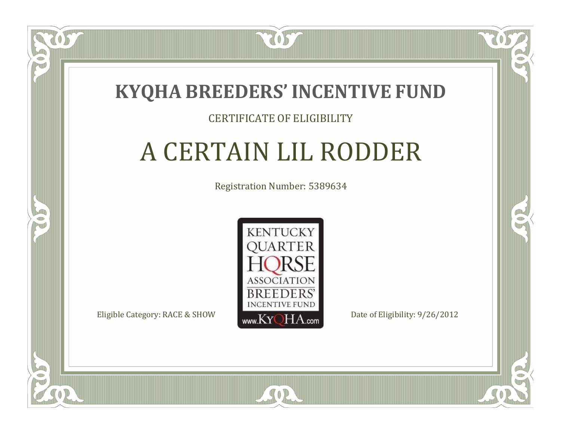

#### CERTIFICATE OF ELIGIBILITY

# A CERTAIN LIL RODDER

Registration Number: 5389634



SOR

 $\Box$ T

S

RO

P.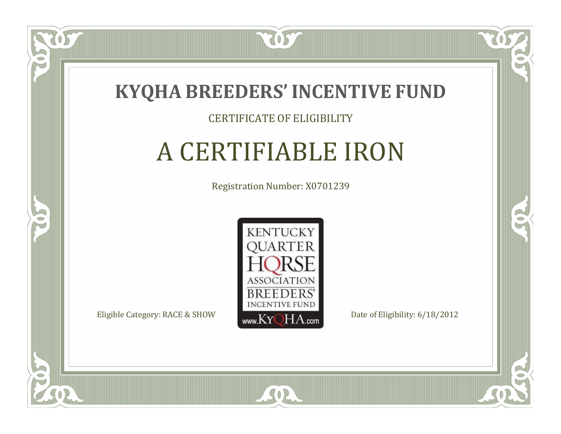

#### CERTIFICATE OF ELIGIBILITY

### A CERTIFIABLE IRON

Registration Number: X0701239



 $SO2$ 

 $\mathbb{R}^2$ 

B

 $\Box$ N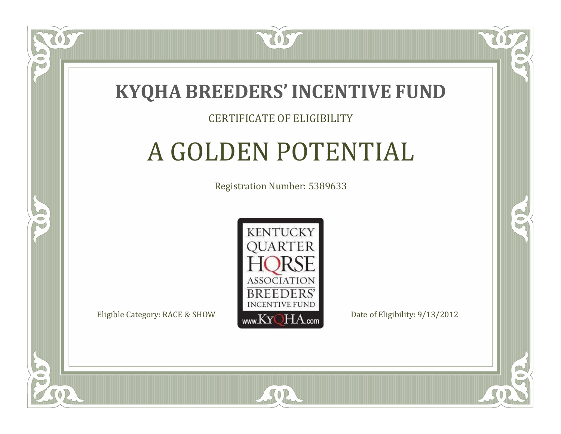

#### CERTIFICATE OF ELIGIBILITY

### A GOLDEN POTENTIAL

Registration Number: 5389633



SOR

CO.

B

 $\blacksquare$ N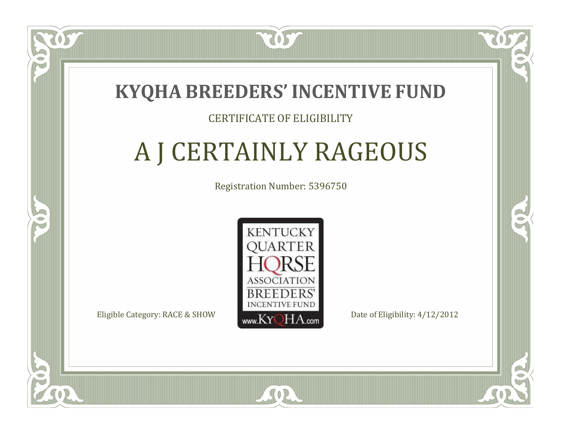#### **KYQHA BREEDERS'INCENTIVE FUND**

7057

#### CERTIFICATE OF ELIGIBILITY

# A J CERTAINLY RAGEOUS

Registration Number: 5396750



SOR

RO

P.

 $\Box$ N

S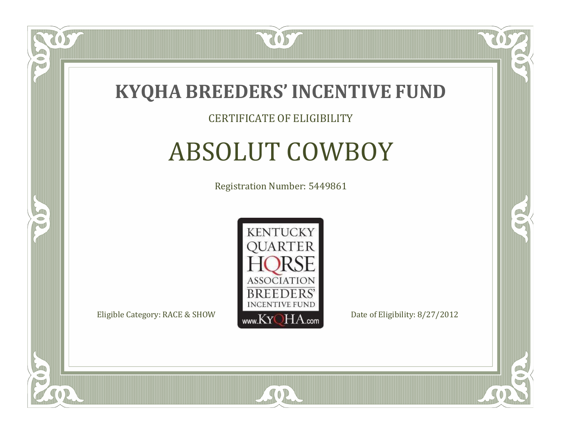

#### CERTIFICATE OF ELIGIBILITY

#### ABSOLUT COWBOY

Registration Number: 5449861



SOR

CO.

B

 $\Box$ N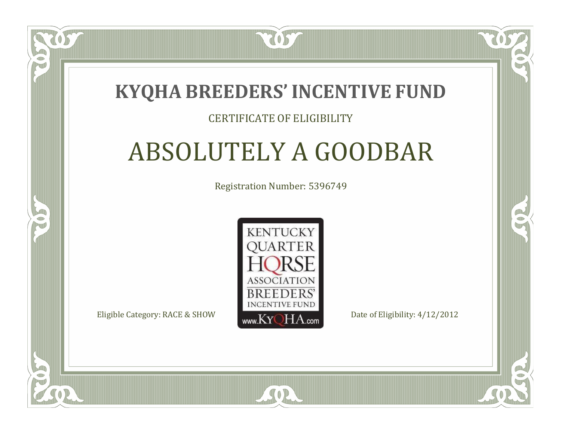#### **KYQHA BREEDERS'INCENTIVE FUND**

7057

#### CERTIFICATE OF ELIGIBILITY

# ABSOLUTELY A GOODBAR

Registration Number: 5396749



SOR

RO

CO.

 $\Box$ N

S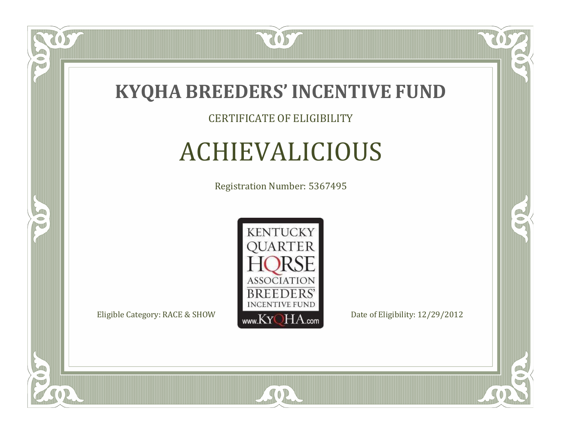

#### CERTIFICATE OF ELIGIBILITY

# ACHIEVALICIOUS

Registration Number: 5367495



SOR

CO.

 $\rightarrow$ 

OS,

 $\Box$ NU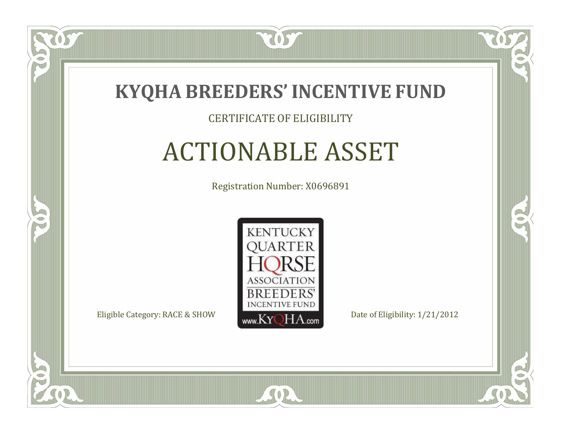

#### CERTIFICATE OF ELIGIBILITY

# ACTIONABLE ASSET

Registration Number: X0696891



SOR

RO

B

 $\Box$ N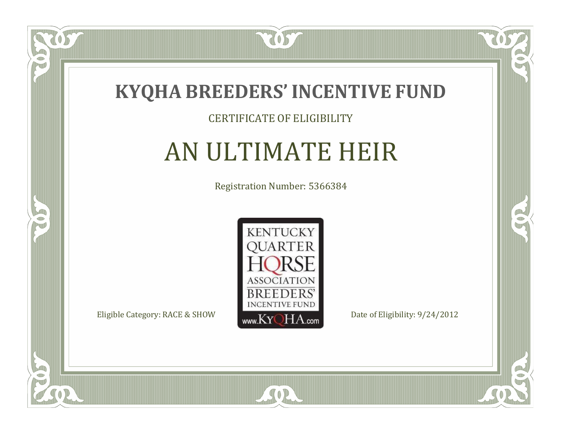

#### CERTIFICATE OF ELIGIBILITY

# AN ULTIMATE HEIR

Registration Number: 5366384



SOR

CO.

 $\rightarrow$ 

057

 $\bullet$ NU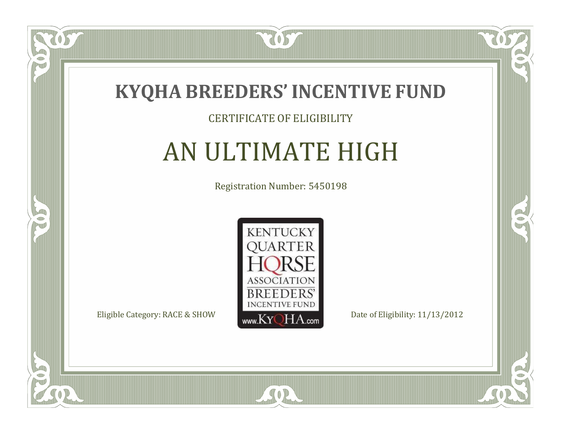

#### CERTIFICATE OF ELIGIBILITY

# AN ULTIMATE HIGH

Registration Number: 5450198



 $SO2$ 

CO.

 $\rightarrow$ 

US

 $\bullet$ N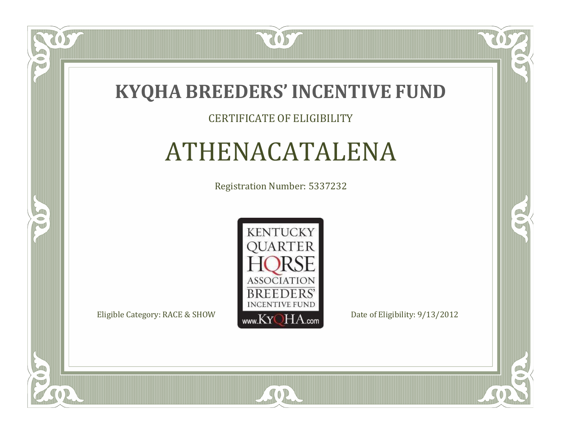

#### CERTIFICATE OF ELIGIBILITY

# ATHENACATALENA

Registration Number: 5337232



SOR

CO.

 $\rightarrow$ 

 $\delta S$ 

 $\Box$ NU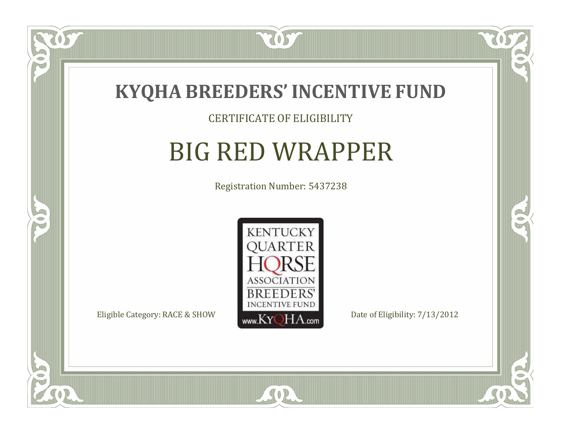

057

 $\Box$ NU

5

#### CERTIFICATE OF ELIGIBILITY

# BIG RED WRAPPER

Registration Number: 5437238



SOR

CO.

B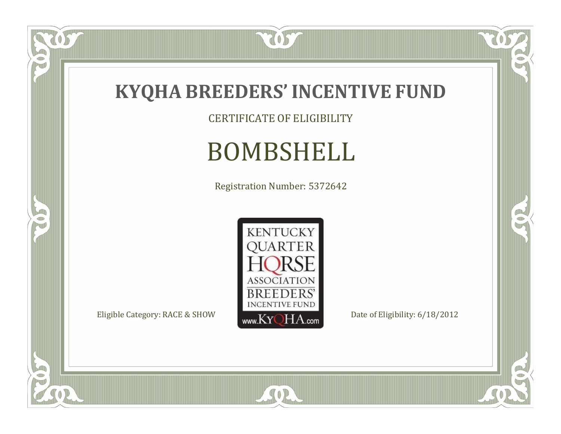

CERTIFICATE OF ELIGIBILITY

# BOMBSHELL

Registration Number: 5372642



SOR

 $\mathbb{R}$ 

 $\mathbb{R}^2$ 

US

P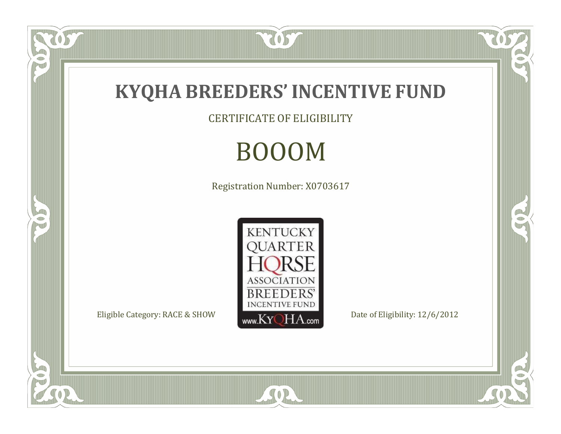

CERTIFICATE OF ELIGIBILITY

# BOOOM

Registration Number: X0703617



SOR

US.

P

5

 $\mathbb{R}$ 

 $\mathbb{R}^2$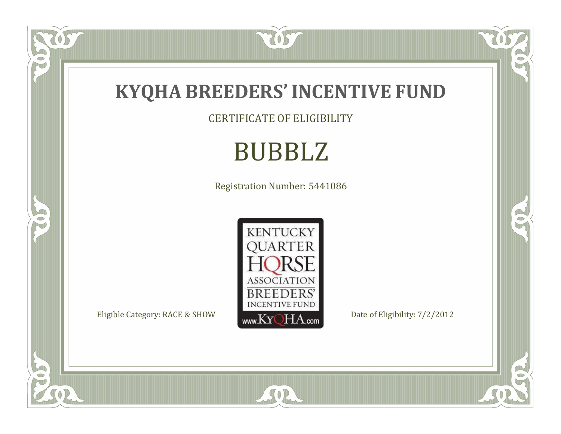

CERTIFICATE OF ELIGIBILITY

# BUBBLZ

Registration Number: 5441086



SOR

RO

 $\mathbb{R}^2$ 

205

FO

5

 $\overline{\mathbb{C}}$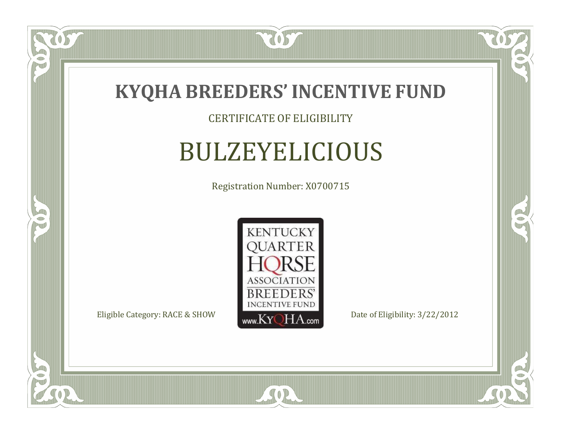

OS,

 $\bullet$ NU

5

#### CERTIFICATE OF ELIGIBILITY

#### BULZEYELICIOUS

Registration Number: X0700715



SOR

CO.

 $\rightarrow$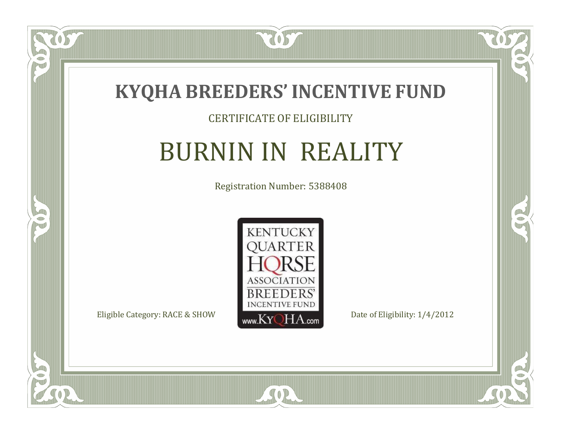

#### CERTIFICATE OF ELIGIBILITY

# BURNIN IN REALITY

Registration Number: 5388408



SOR

CO.

 $\rightarrow$ 

 $\overline{OS}$ 

 $\bullet$ NU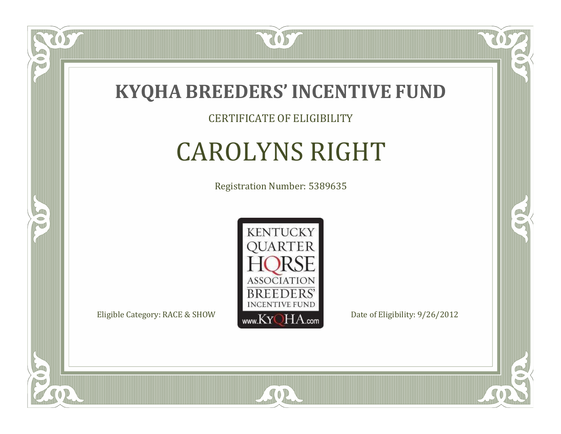

CERTIFICATE OF ELIGIBILITY

# CAROLYNS RIGHT

Registration Number: 5389635



SOR

CO.

 $\rightarrow$ 

 $\Box$ NU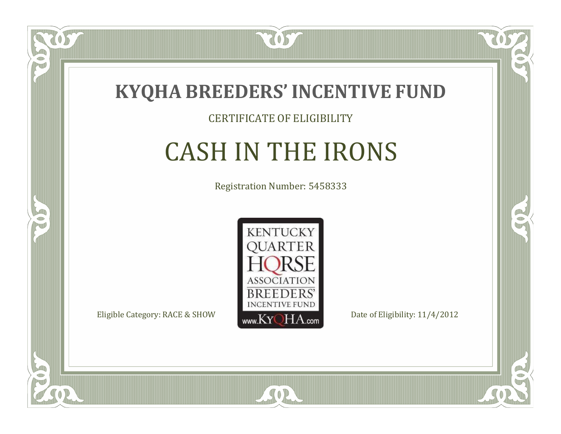

#### CERTIFICATE OF ELIGIBILITY

# CASH IN THE IRONS

Registration Number: 5458333



SOR

CO.

 $\rightarrow$ 

OS

 $\Box$ NU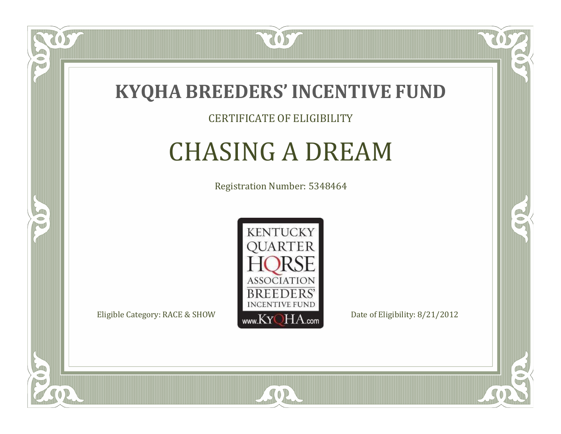

#### CERTIFICATE OF ELIGIBILITY

#### CHASING A DREAM

Registration Number: 5348464



SOR

CO.

OR.

 $\Box$ NU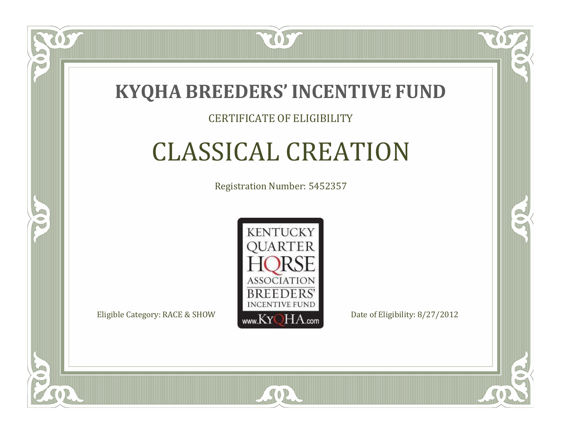

#### CERTIFICATE OF ELIGIBILITY

# CLASSICAL CREATION

Registration Number: 5452357



RO

B

 $\Box$ N

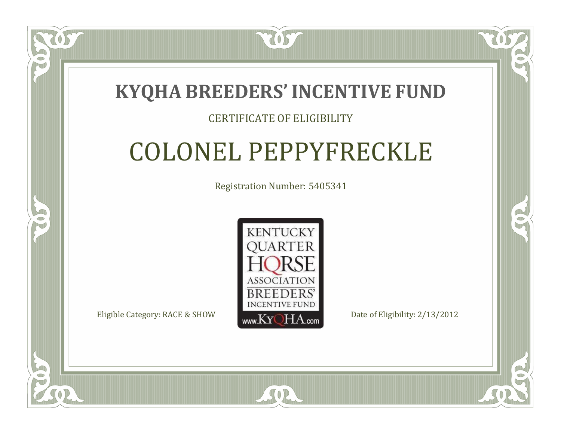#### **KYQHA BREEDERS'INCENTIVE FUND**

7057

#### CERTIFICATE OF ELIGIBILITY

# COLONEL PEPPYFRECKLE

Registration Number: 5405341



 $SO2$ 

CO.

B

 $\Box$ N

S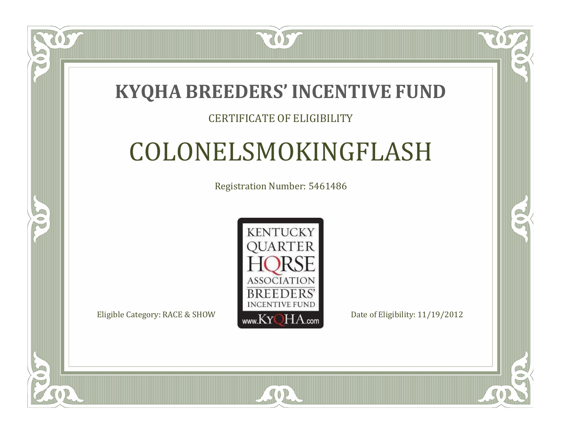#### **KYQHA BREEDERS'INCENTIVE FUND**

7057

#### CERTIFICATE OF ELIGIBILITY

# COLONELSMOKINGFLASH

Registration Number: 5461486



SOR

RO

P.

 $\Box$ N

S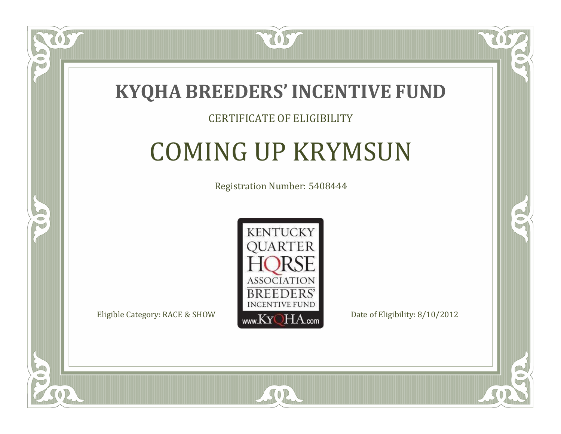

#### CERTIFICATE OF ELIGIBILITY

# COMING UP KRYMSUN

Registration Number: 5408444



SOR

CO.

 $\rightarrow$ 

 $\blacksquare$ N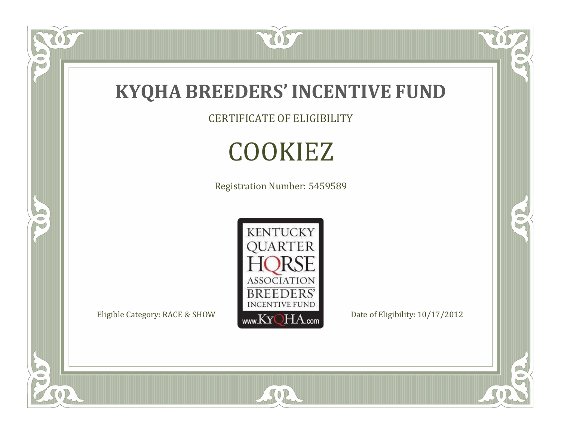

CERTIFICATE OF ELIGIBILITY

# COOKIEZ

Registration Number: 5459589



SOR

 $\mathbb{R}$ 

 $\mathbb{R}^2$ 

 $\overline{OS}$ 

 $\bullet$ N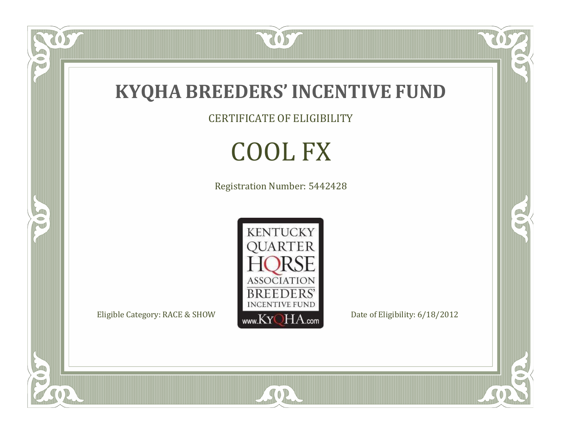

CERTIFICATE OF ELIGIBILITY

# COOL FX

Registration Number: 5442428



SOR

 $\mathbb{R}$ 

 $\mathbb{R}^2$ 

OS.

P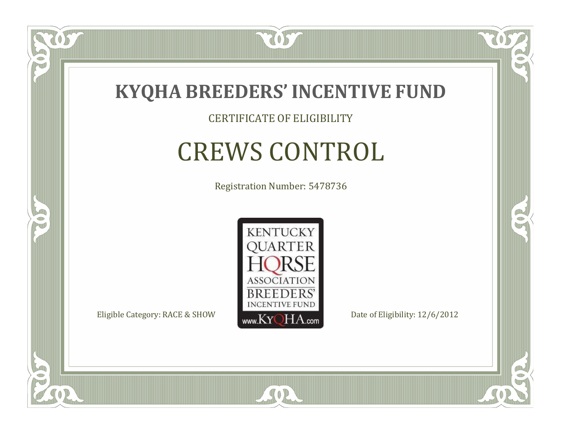

CERTIFICATE OF ELIGIBILITY

# CREWS CONTROL

Registration Number: 5478736



SOR

CO.

B

 $\Box$ NU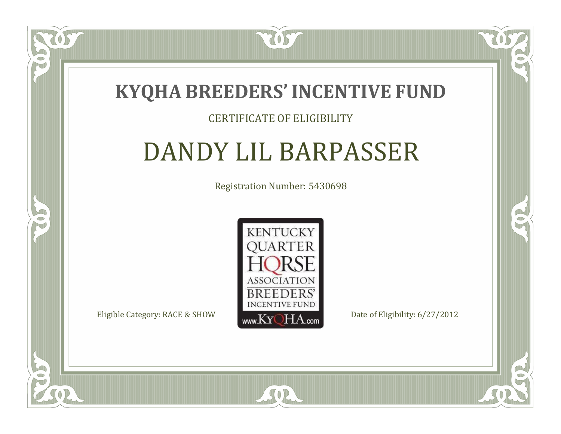

#### CERTIFICATE OF ELIGIBILITY

# DANDY LIL BARPASSER

Registration Number: 5430698



SOR

CO.

 $\rightarrow$ 

 $\Box$ N

S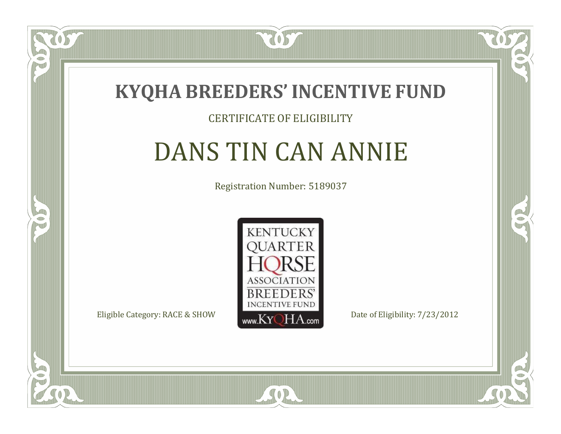

#### CERTIFICATE OF ELIGIBILITY

# DANS TIN CAN ANNIE

Registration Number: 5189037



SOR

CO.

 $\rightarrow$ 

 $\Box$ N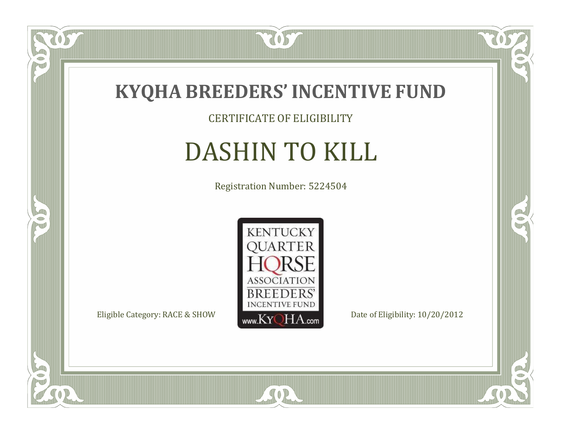

#### CERTIFICATE OF ELIGIBILITY

# DASHIN TO KILL

Registration Number: 5224504



SOR

CO.

 $\rightarrow$ 

US

 $\bullet$ NU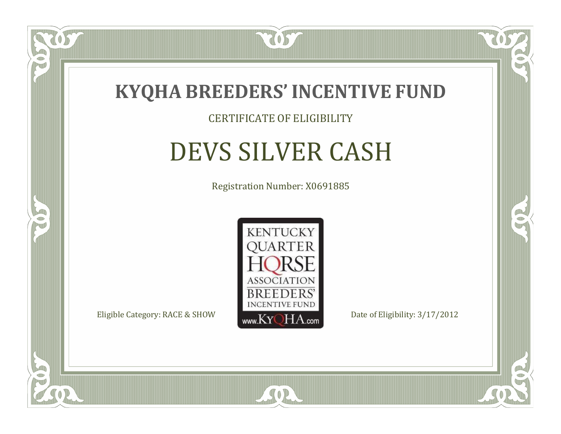

#### CERTIFICATE OF ELIGIBILITY

# DEVS SILVER CASH

Registration Number: X0691885



SOR

CO.

B

 $\Box$ N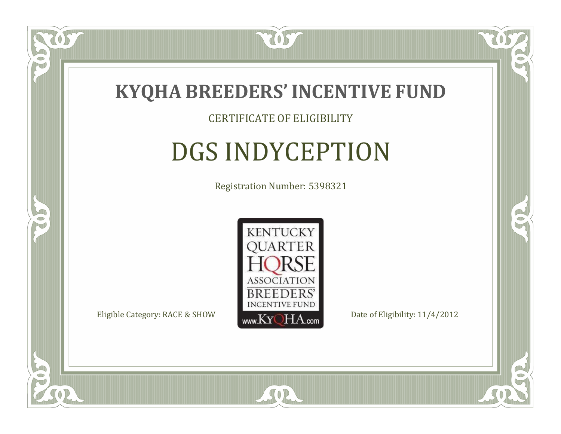

#### CERTIFICATE OF ELIGIBILITY

# DGS INDYCEPTION

Registration Number: 5398321



SOR

CO.

B

 $\Box$ NU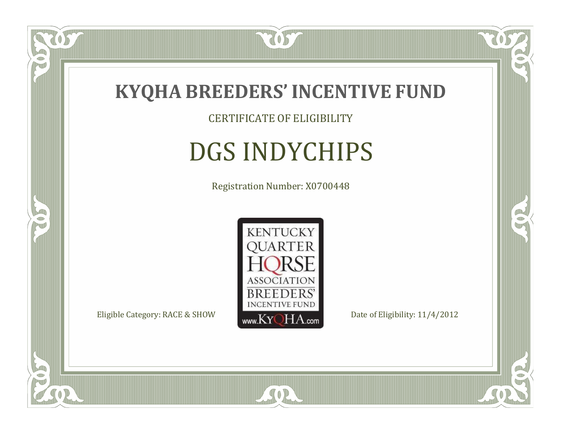

CERTIFICATE OF ELIGIBILITY

# DGS INDYCHIPS

Registration Number: X0700448



SOR

CO.

 $\rightarrow$ 

 $\delta S$ 

 $\Box$ NU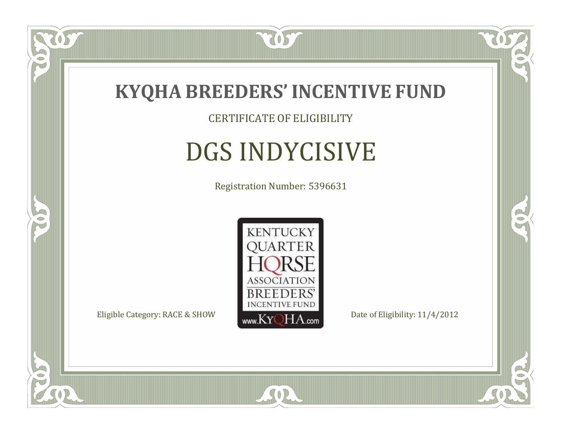

CERTIFICATE OF ELIGIBILITY

# DGS INDYCISIVE

Registration Number: 5396631



SOR

CO.

OR.

057

 $\Box$ NU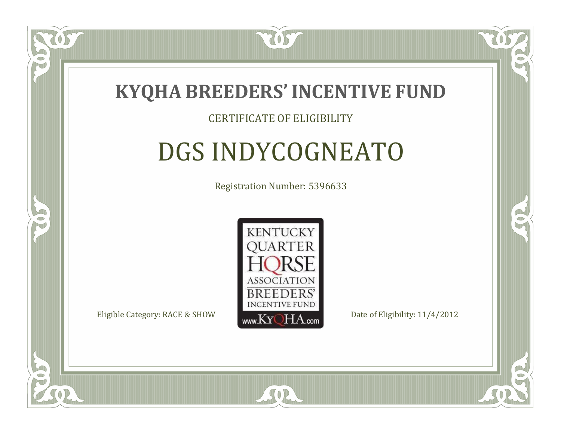

#### CERTIFICATE OF ELIGIBILITY

# DGS INDYCOGNEATO

Registration Number: 5396633



SOR

RO

B

 $\Box$ N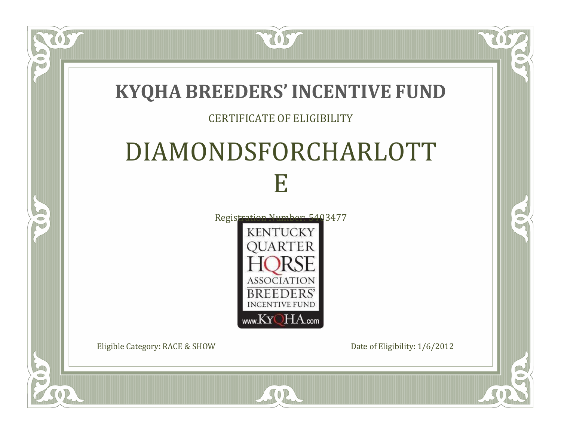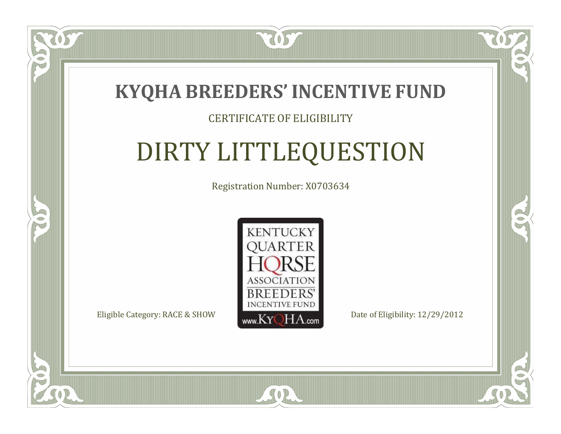

### CERTIFICATE OF ELIGIBILITY

# DIRTY LITTLEQUESTION

Registration Number: X0703634



 $SO<sub>2</sub>$ 

RO

CO.

 $\Box$ N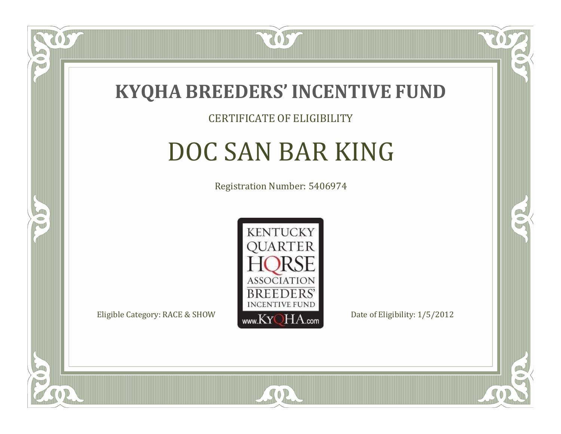

#### CERTIFICATE OF ELIGIBILITY

## DOC SAN BAR KING

Registration Number: 5406974



SOR

CO.

B

 $\Box$ NU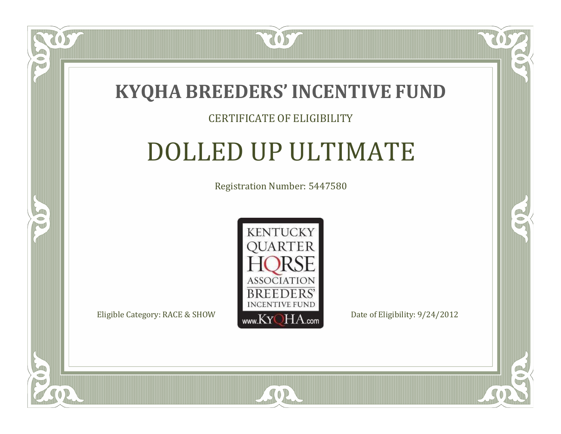

### CERTIFICATE OF ELIGIBILITY

# DOLLED UP ULTIMATE

Registration Number: 5447580



SOR

CO.

 $\rightarrow$ 

057

 $\Box$ NU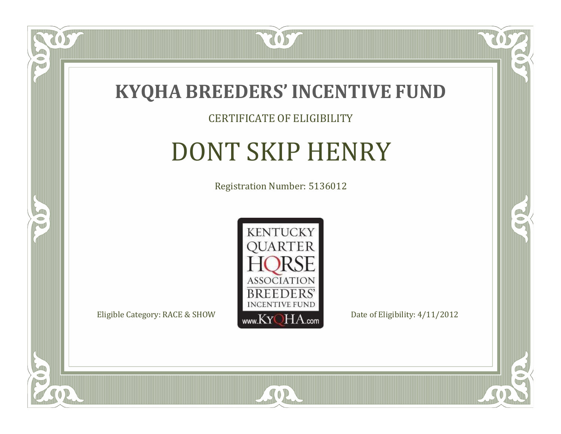

#### CERTIFICATE OF ELIGIBILITY

# DONT SKIP HENRY

Registration Number: 5136012



SOR

CO.

 $\rightarrow$ 

 $\delta S$ 

 $\Box$ NU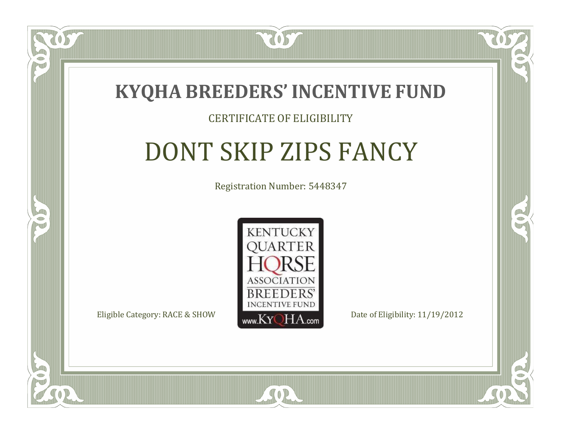

### CERTIFICATE OF ELIGIBILITY

# DONT SKIP ZIPS FANCY

Registration Number: 5448347



SOR

 $\Box$ N

S

CO.

B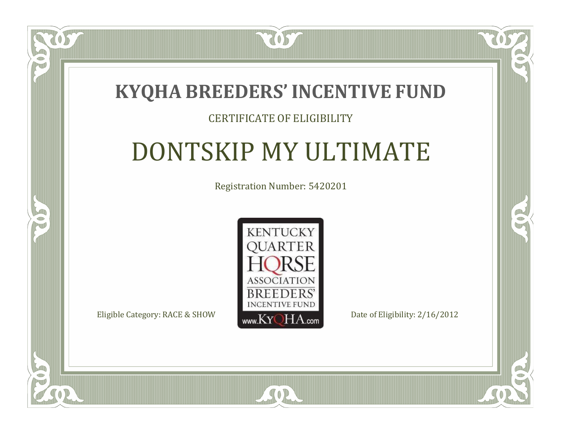

### CERTIFICATE OF ELIGIBILITY

# DONTSKIP MY ULTIMATE

Registration Number: 5420201



SOR

 $\mathbb{R}$ 

 $\rightarrow$ 

 $\blacksquare$ N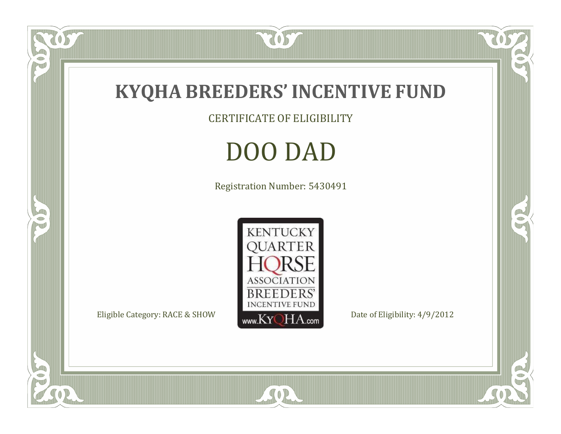

CERTIFICATE OF ELIGIBILITY

# DOO DAD

Registration Number: 5430491



SOR

RO

 $\mathbb{R}^2$ 

OST

P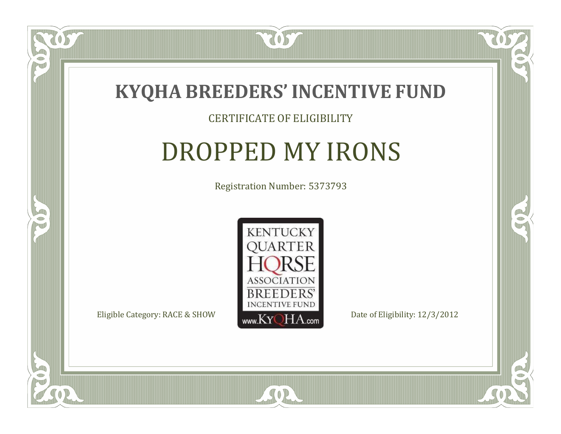

#### CERTIFICATE OF ELIGIBILITY

### DROPPED MY IRONS

Registration Number: 5373793



SOR

CO.

 $\rightarrow$ 

 $\Box$ NU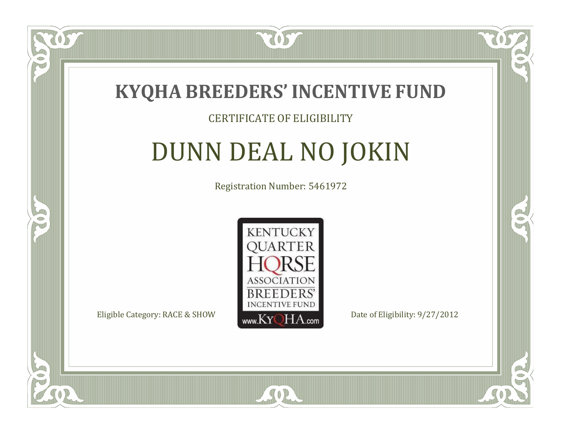

### CERTIFICATE OF ELIGIBILITY

# DUNN DEAL NO JOKIN

Registration Number: 5461972



SOR

RO

B.

 $\Box$ N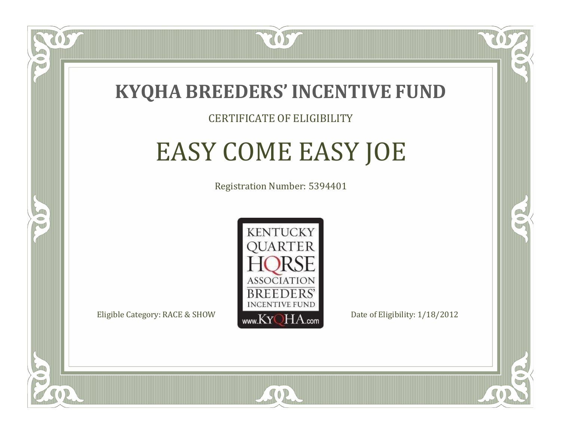

### CERTIFICATE OF ELIGIBILITY

# EASY COME EASY JOE

Registration Number: 5394401



 $SO<sub>2</sub>$ 

RO

B.

 $\Box$ N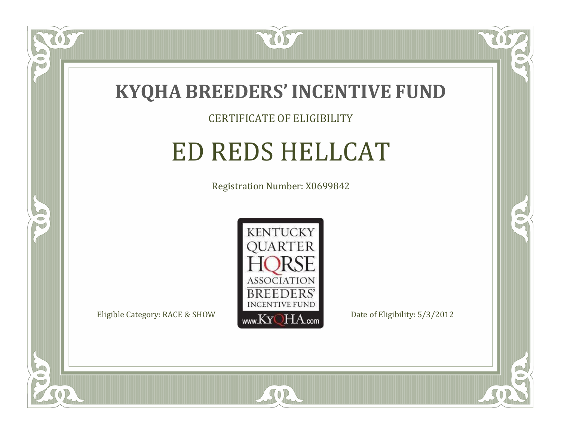

US

 $\Box$ NU

5

### CERTIFICATE OF ELIGIBILITY

## ED REDS HELLCAT

Registration Number: X0699842



SOR

RO

B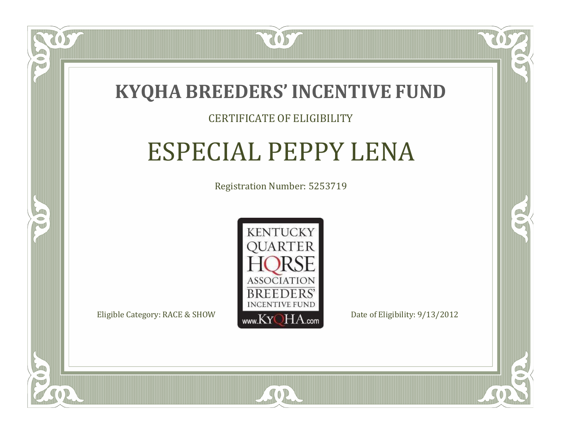

#### CERTIFICATE OF ELIGIBILITY

### ESPECIAL PEPPY LENA

Registration Number: 5253719



SOR

CO.

 $\rightarrow$ 

 $\Box$ N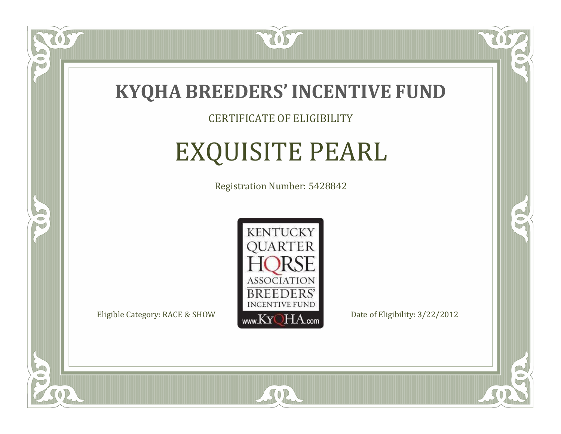

### CERTIFICATE OF ELIGIBILITY

# EXQUISITE PEARL

Registration Number: 5428842



SOR

 $\mathbb{R}$ 

 $\rightarrow$ 

US

 $\Box$ NU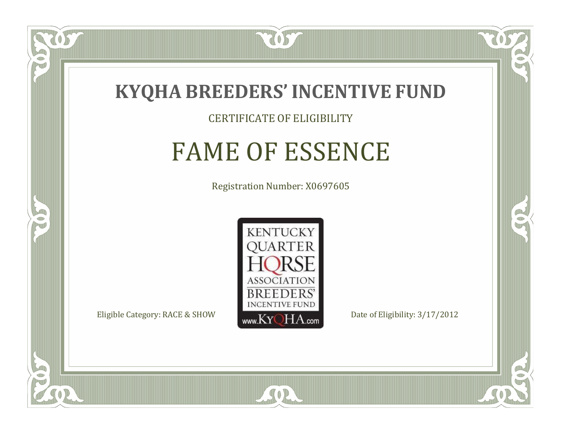

CERTIFICATE OF ELIGIBILITY

### FAME OF ESSENCE

Registration Number: X0697605



SOR

RO

B

 $\Box$ N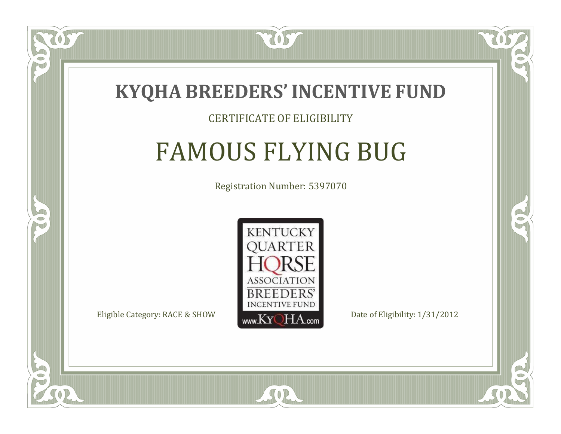

### CERTIFICATE OF ELIGIBILITY

# FAMOUS FLYING BUG

Registration Number: 5397070



SOR

RO

B

 $\Box$ N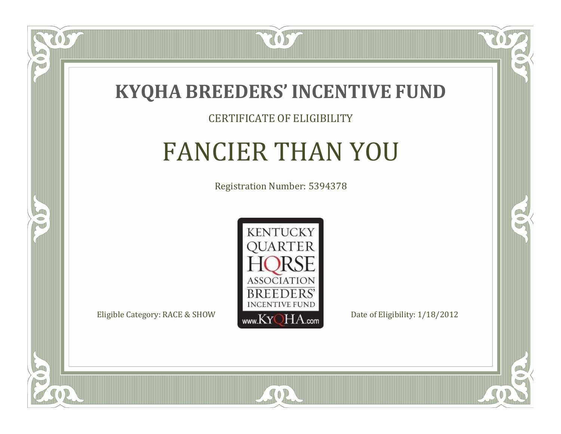

#### CERTIFICATE OF ELIGIBILITY

### FANCIER THAN YOU

Registration Number: 5394378



SOR

 $\mathbb{R}$ 

 $\rightarrow$ 

US

 $\bullet$ NU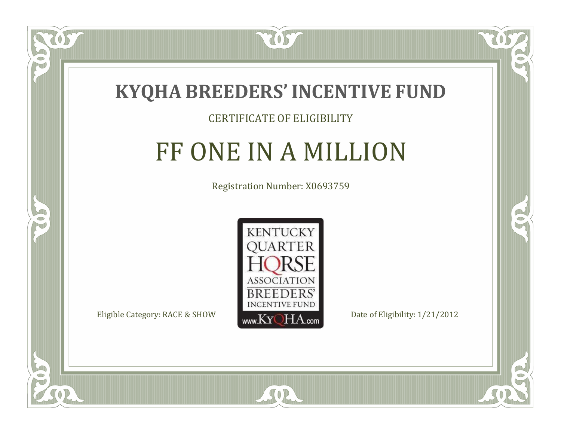

### CERTIFICATE OF ELIGIBILITY

## FF ONE IN A MILLION

Registration Number: X0693759



SOR

CO.

 $\rightarrow$ 

 $\Box$ NU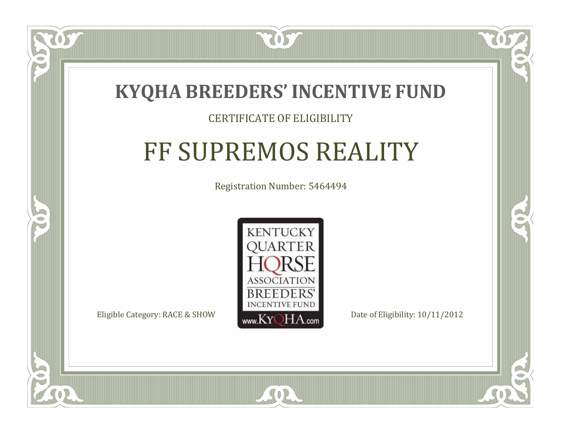

### CERTIFICATE OF ELIGIBILITY

# FF SUPREMOS REALITY

Registration Number: 5464494



 $SO2$ 

CO.

B

 $\blacksquare$ N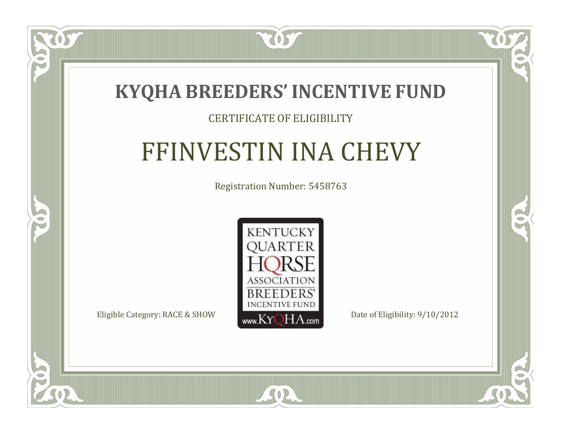

### CERTIFICATE OF ELIGIBILITY

# FFINVESTIN INA CHEVY

Registration Number: 5458763



 $SO2$ 

CO.

 $\rightarrow$ 

 $\Box$ N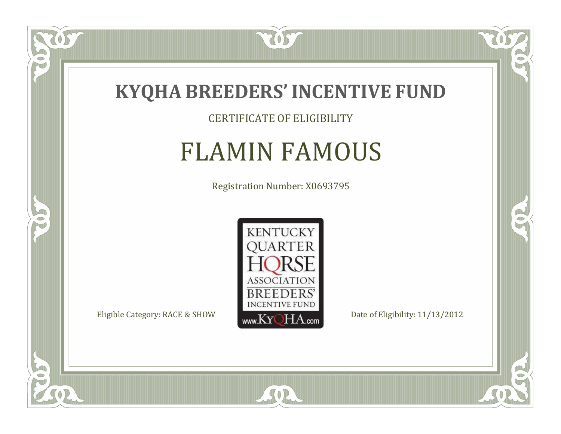

### CERTIFICATE OF ELIGIBILITY

### FLAMIN FAMOUS

Registration Number: X0693795



SOR

CO.

 $\rightarrow$ 

 $\delta S$ 

 $\bullet$ NU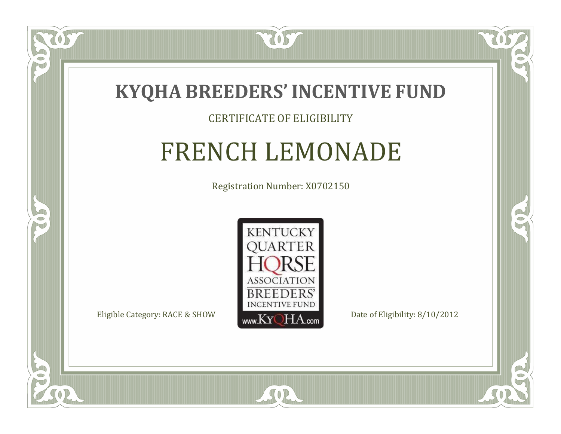

### CERTIFICATE OF ELIGIBILITY

### FRENCH LEMONADE

Registration Number: X0702150



CO.

 $\rightarrow$ 



OS

 $\Box$ NU

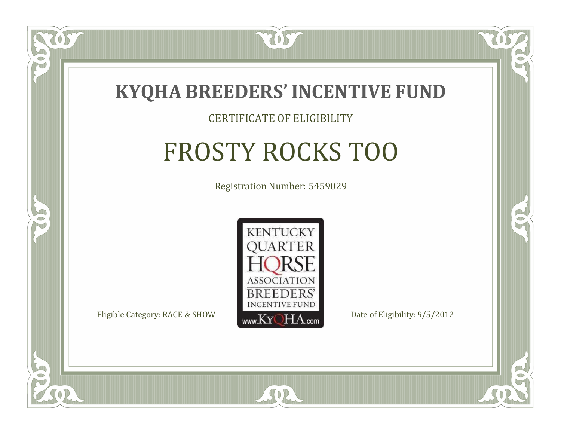

#### CERTIFICATE OF ELIGIBILITY

# FROSTY ROCKS TOO

Registration Number: 5459029



 $SO2$ 

CO.

B

 $\blacksquare$ N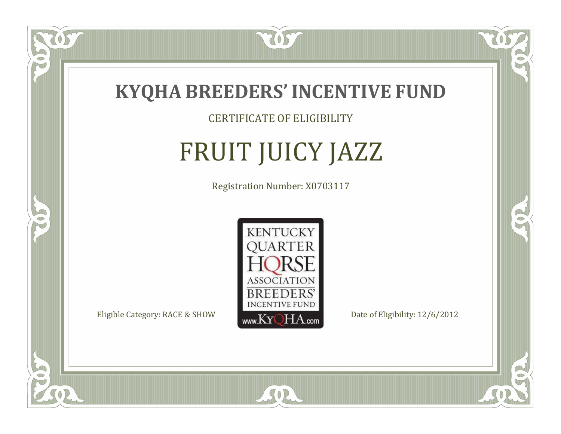

CERTIFICATE OF ELIGIBILITY

# FRUIT JUICY JAZZ

Registration Number: X0703117



 $SO<sub>2</sub>$ 

RO

CO.

 $\Box$ N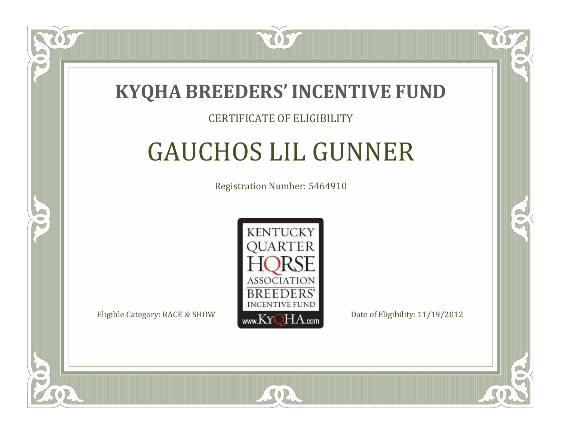

### CERTIFICATE OF ELIGIBILITY

# GAUCHOS LIL GUNNER

Registration Number: 5464910



SOR

RO

CO.

 $\Box$ N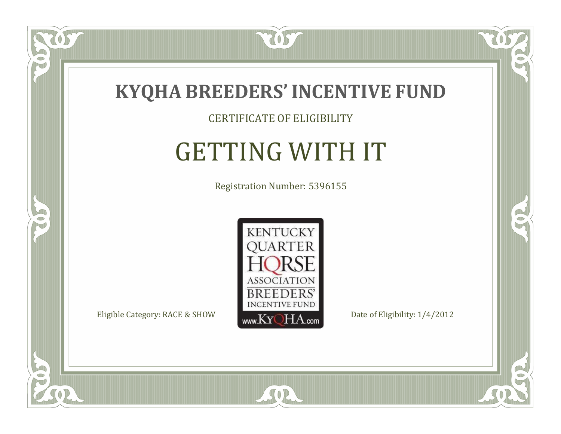

CERTIFICATE OF ELIGIBILITY

# GETTING WITH IT

Registration Number: 5396155



 $SO2$ 

CO.

 $\rightarrow$ 

 $\delta S$ 

 $\bullet$ NU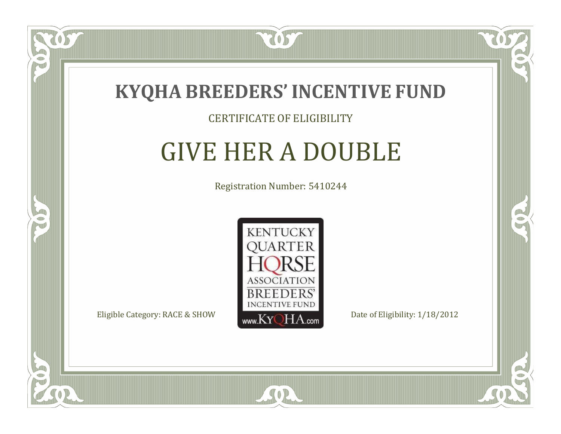

#### CERTIFICATE OF ELIGIBILITY

### GIVE HER A DOUBLE

Registration Number: 5410244



SOR

CO.

B

 $\Box$ NU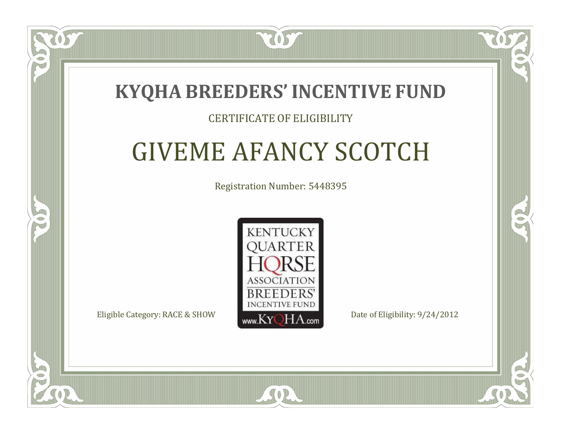

#### CERTIFICATE OF ELIGIBILITY

# GIVEME AFANCY SCOTCH

Registration Number: 5448395



RO

P.

 $\Box$ T

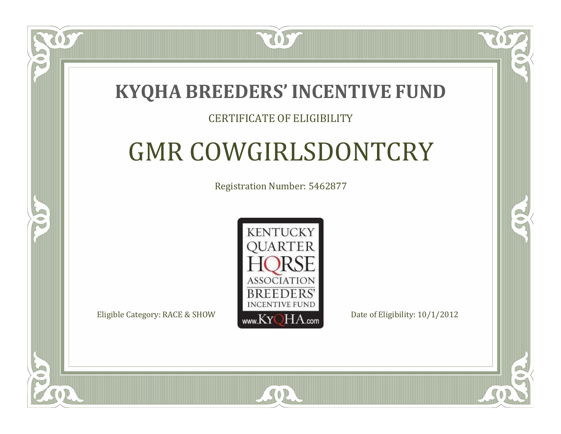### **KYQHA BREEDERS'INCENTIVE FUND**

7057

### CERTIFICATE OF ELIGIBILITY

# GMR COWGIRLSDONTCRY

Registration Number: 5462877



SOR

CO.

B

 $\Box$ T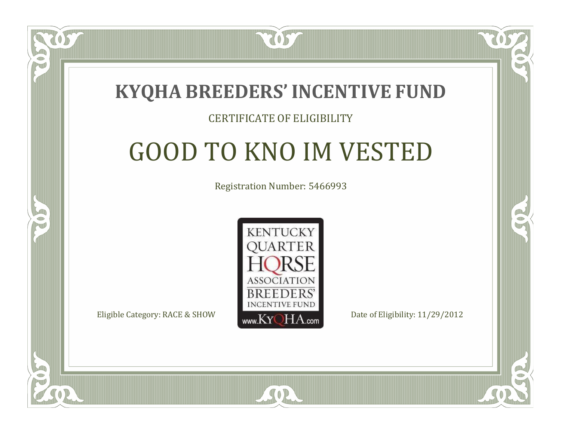

#### CERTIFICATE OF ELIGIBILITY

# GOOD TO KNO IM VESTED

Registration Number: 5466993



SOR

CO.

P.

 $\Box$ T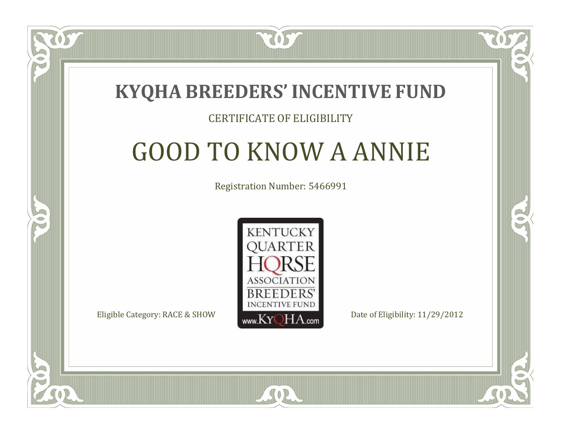

#### CERTIFICATE OF ELIGIBILITY

# GOOD TO KNOW A ANNIE

Registration Number: 5466991



SOR

CO.

P.

 $\Box$ N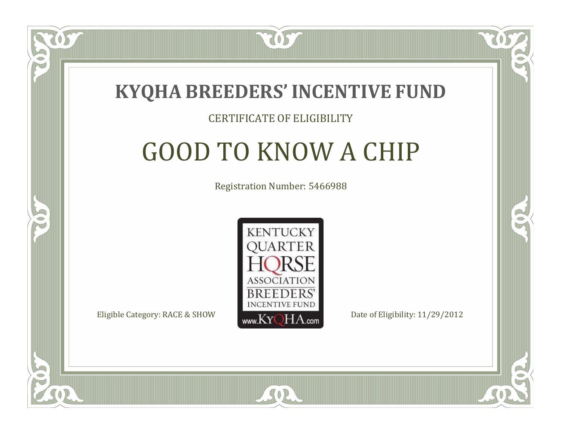

#### CERTIFICATE OF ELIGIBILITY

# GOOD TO KNOW A CHIP

Registration Number: 5466988



SOR

CO.

P.

 $\Box$ N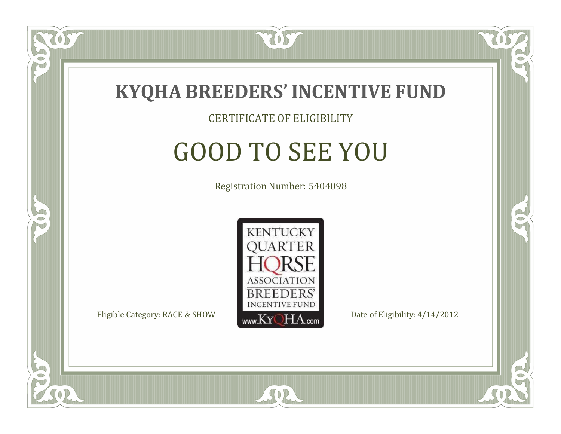

#### CERTIFICATE OF ELIGIBILITY

# GOOD TO SEE YOU

Registration Number: 5404098



SOR

CO.

OR.

 $\Box$ NU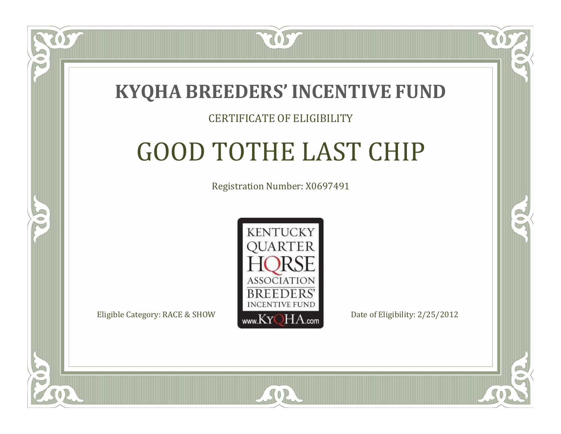### **KYQHA BREEDERS'INCENTIVE FUND**

7057

 $\Box$ N

S

### CERTIFICATE OF ELIGIBILITY

# GOOD TOTHE LAST CHIP

Registration Number: X0697491



 $SO2$ 

CO.

CO.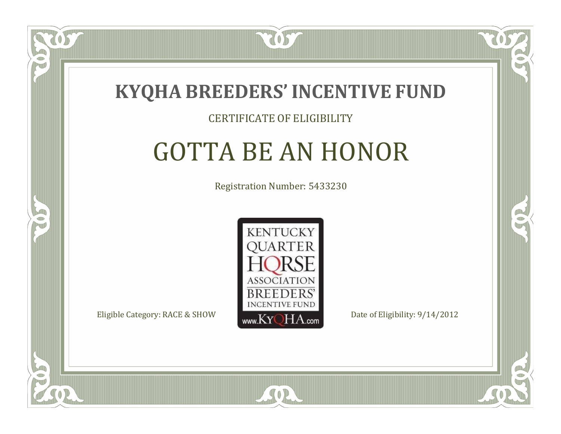

#### CERTIFICATE OF ELIGIBILITY

# GOTTA BE AN HONOR

Registration Number: 5433230



CO.

CO.

 $\Box$ N

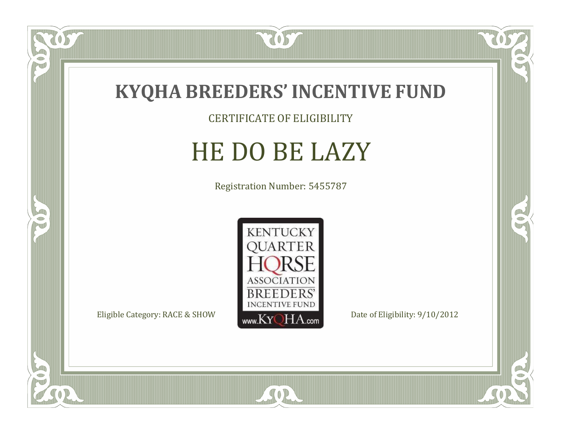

CERTIFICATE OF ELIGIBILITY

# HE DO BE LAZY

Registration Number: 5455787



SOR

057

 $\bullet$ NU

5

CO.

 $\rightarrow$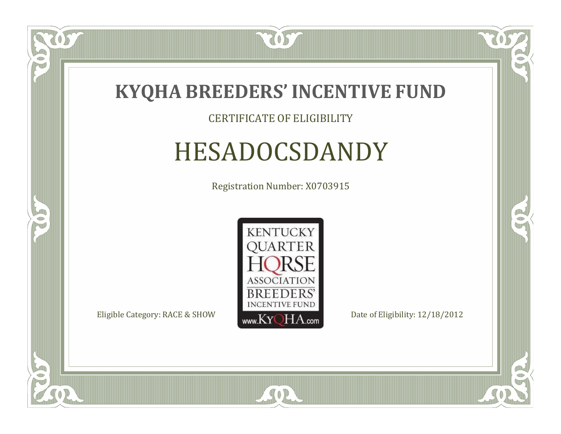

 $\delta S$ 

 $\Box$ NU

5

#### CERTIFICATE OF ELIGIBILITY

# HESADOCSDANDY

Registration Number: X0703915



SOR

CO.

 $\rightarrow$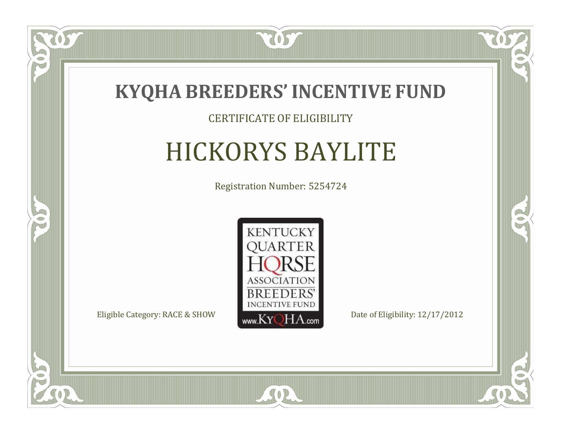

#### CERTIFICATE OF ELIGIBILITY

# HICKORYS BAYLITE

Registration Number: 5254724



CO.

 $\rightarrow$ 

 $\Box$ N

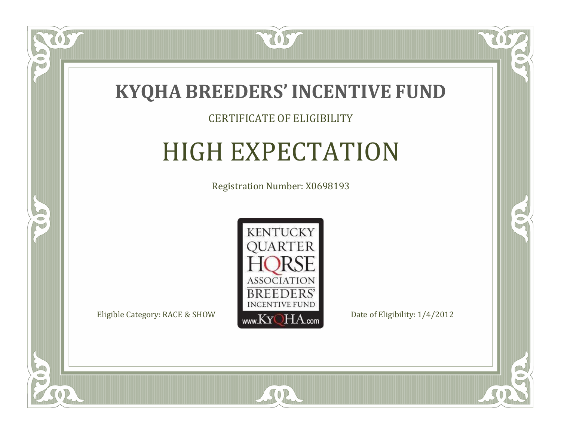

#### CERTIFICATE OF ELIGIBILITY

# HIGH EXPECTATION

Registration Number: X0698193



 $SO2$ 

CO.

 $\rightarrow$ 

 $\delta S$ 

 $\Box$ N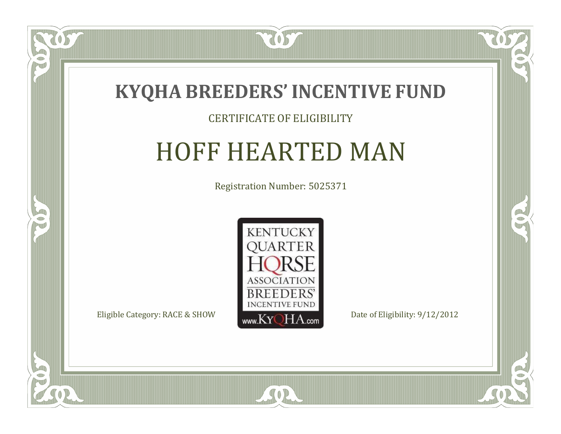

#### CERTIFICATE OF ELIGIBILITY

### HOFF HEARTED MAN

Registration Number: 5025371



SOR

CO.

 $\rightarrow$ 

US

 $\Box$ NU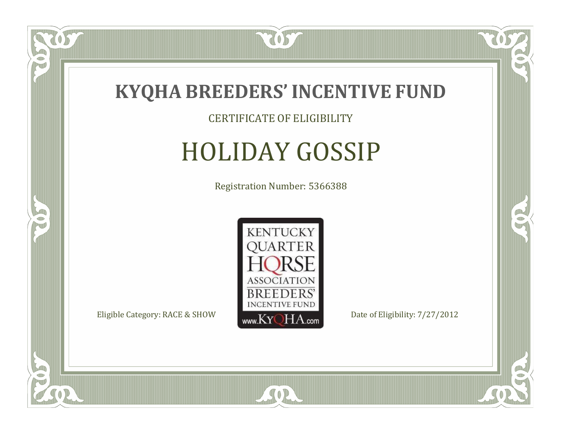

#### CERTIFICATE OF ELIGIBILITY

# HOLIDAY GOSSIP

Registration Number: 5366388



SOR

RO

 $\rightarrow$ 

US

 $\bullet$ NU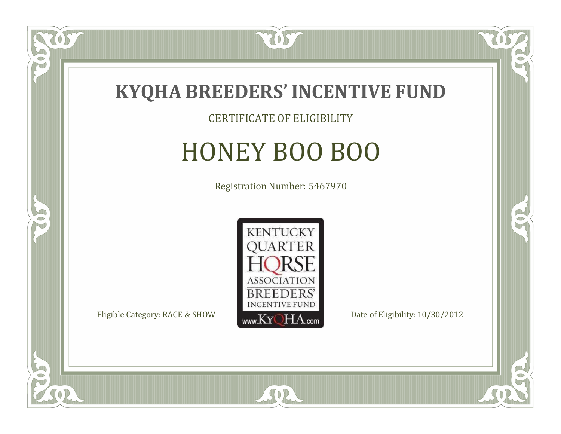

CERTIFICATE OF ELIGIBILITY

# HONEY BOO BOO

Registration Number: 5467970



SOR

CO.

 $\rightarrow$ 

 $\overline{OS}$ 

 $\bullet$ NU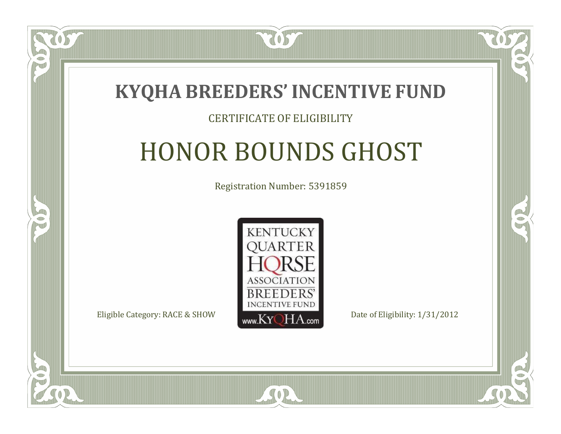

#### CERTIFICATE OF ELIGIBILITY

# HONOR BOUNDS GHOST

Registration Number: 5391859



RO

CO.

 $\Box$ N

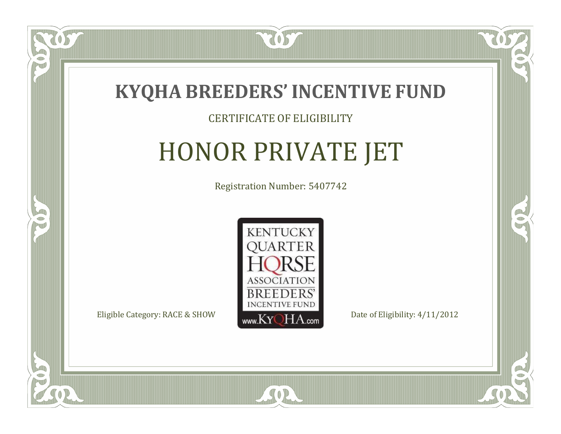

#### CERTIFICATE OF ELIGIBILITY

# HONOR PRIVATE JET

Registration Number: 5407742



RO

CO.

 $\Box$ N

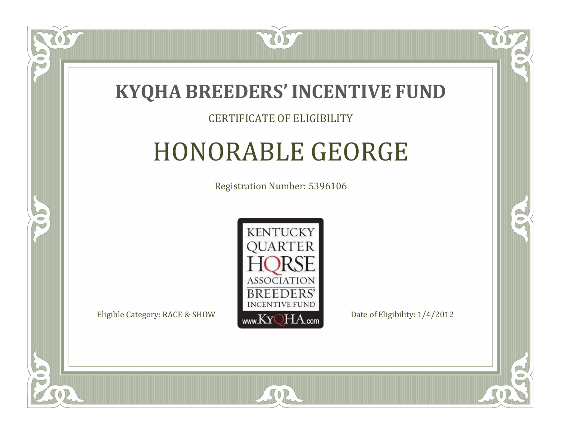

#### CERTIFICATE OF ELIGIBILITY

# HONORABLE GEORGE

Registration Number: 5396106



 $\Box$ N

5

RO

CO.

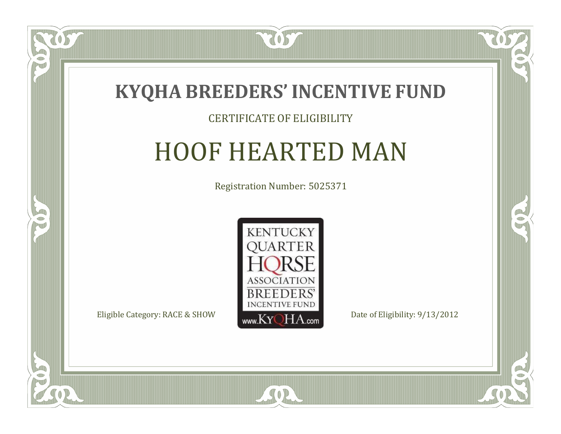

#### CERTIFICATE OF ELIGIBILITY

## HOOF HEARTED MAN

Registration Number: 5025371



SOR

CO.

 $\rightarrow$ 

057

 $\Box$ N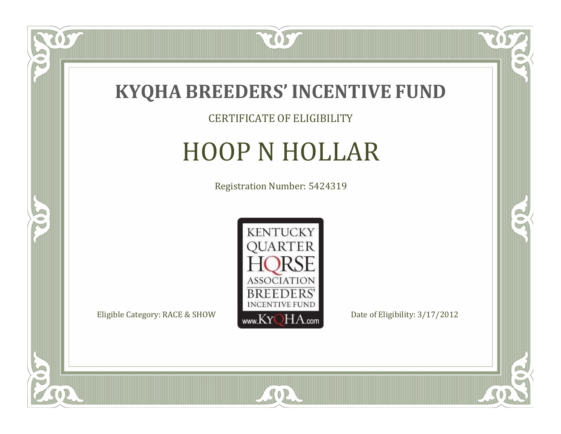

#### CERTIFICATE OF ELIGIBILITY

# HOOP N HOLLAR

Registration Number: 5424319



SOR

US

 $\bullet$ NU

5

 $\mathbb{R}$ 

 $\rightarrow$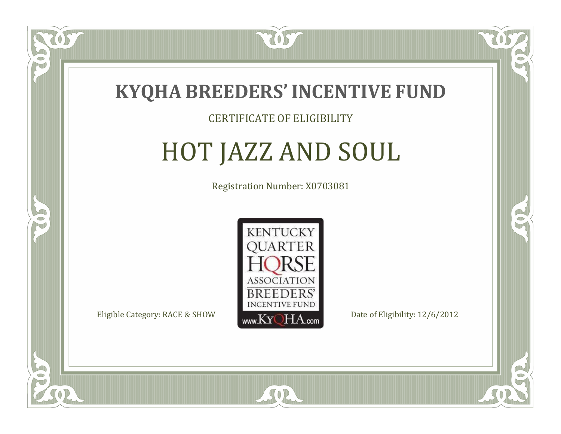

#### CERTIFICATE OF ELIGIBILITY

# HOT JAZZ AND SOUL

Registration Number: X0703081



SOR

RO

CO.

 $\Box$ N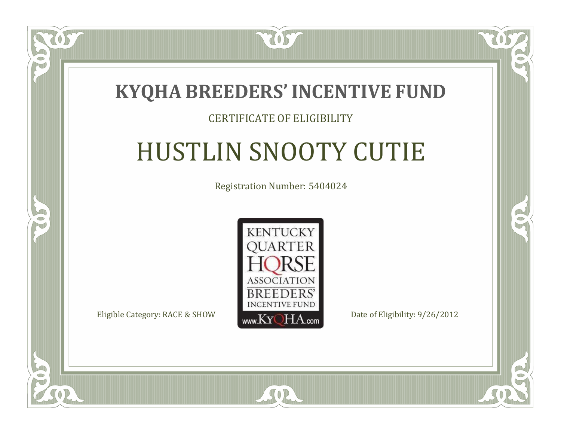

#### CERTIFICATE OF ELIGIBILITY

# HUSTLIN SNOOTY CUTIE

Registration Number: 5404024



 $SO2$ 

CO.

 $\rightarrow$ 

 $\blacksquare$ N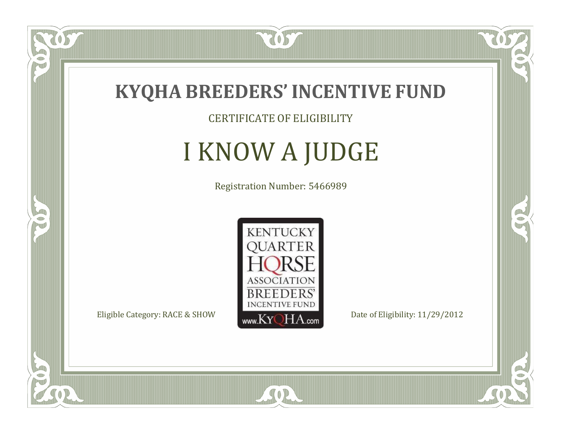

CERTIFICATE OF ELIGIBILITY

# I KNOW A JUDGE

Registration Number: 5466989



 $SO<sub>2</sub>$ 

RO

CO.

 $\Box$ N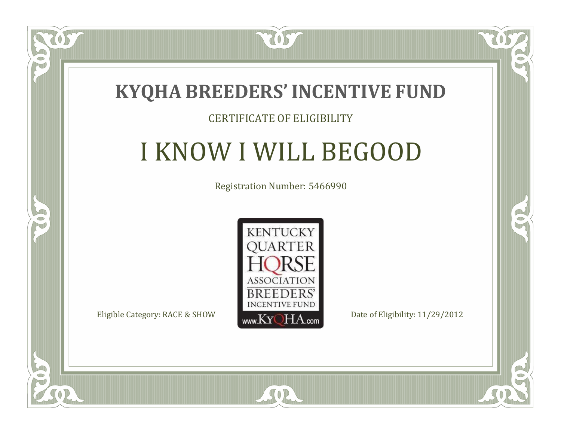

#### CERTIFICATE OF ELIGIBILITY

# I KNOW I WILL BEGOOD

Registration Number: 5466990



CO.

B

 $\Box$ N

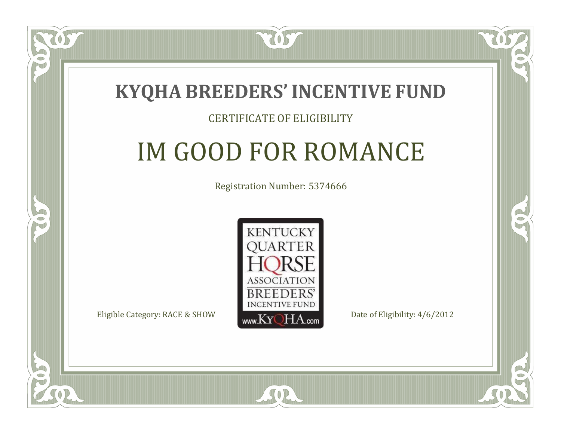### **KYQHA BREEDERS'INCENTIVE FUND**

7057

#### CERTIFICATE OF ELIGIBILITY

# IM GOOD FOR ROMANCE

Registration Number: 5374666



 $SO2$ 

RO

P.

 $\Box$ T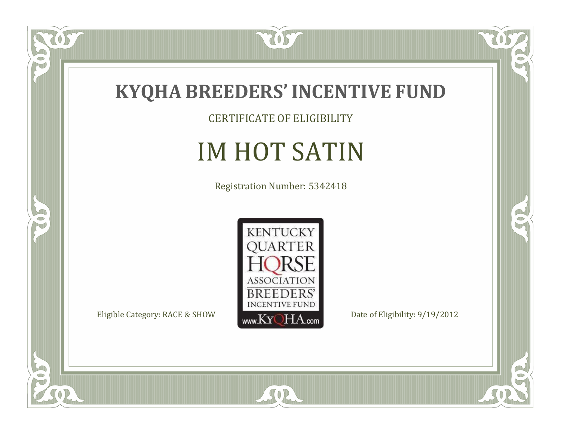

CERTIFICATE OF ELIGIBILITY

# IM HOT SATIN

Registration Number: 5342418



SOR

 $\mathbb{R}$ 

 $\mathbb{R}^2$ 

tos

 $\bullet$ N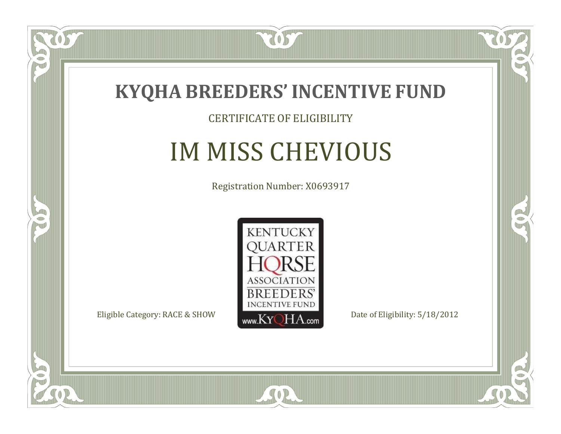

#### CERTIFICATE OF ELIGIBILITY

# IM MISS CHEVIOUS

Registration Number: X0693917



 $SO2$ 

CO.

 $\rightarrow$ 

OS

 $\Box$ NU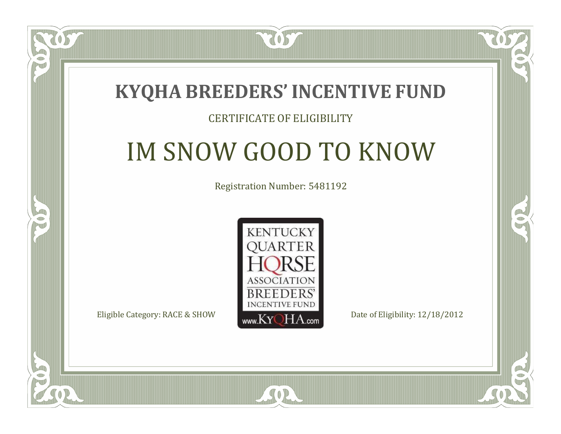### **KYQHA BREEDERS'INCENTIVE FUND**

7057

 $\Box$ N

S

#### CERTIFICATE OF ELIGIBILITY

# IM SNOW GOOD TO KNOW

Registration Number: 5481192



SOR

CO.

P.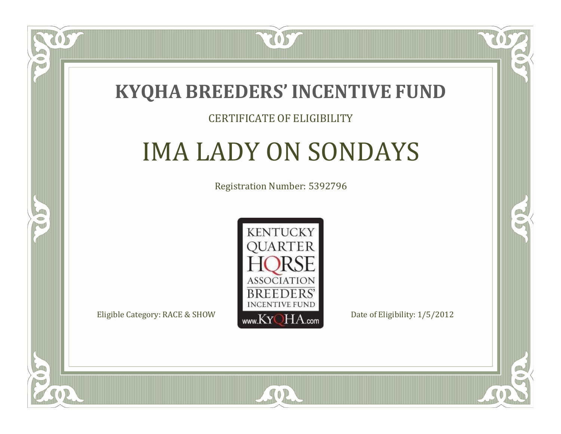

#### CERTIFICATE OF ELIGIBILITY

# IMA LADY ON SONDAYS

Registration Number: 5392796



SOR

CO.

 $\rightarrow$ 

 $\blacksquare$ N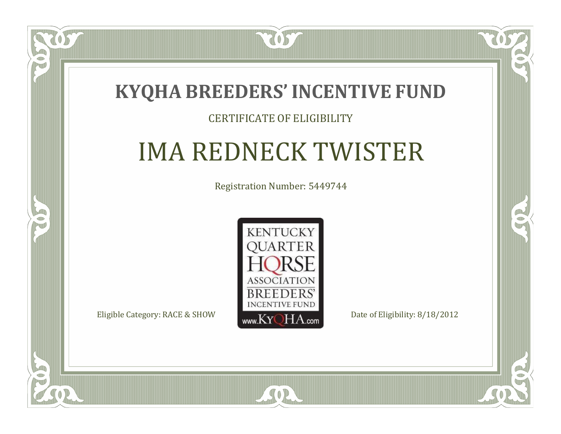### **KYQHA BREEDERS'INCENTIVE FUND**

7057

#### CERTIFICATE OF ELIGIBILITY

# IMA REDNECK TWISTER

Registration Number: 5449744



SOR

CO.

 $\rightarrow$ 

 $\blacksquare$ N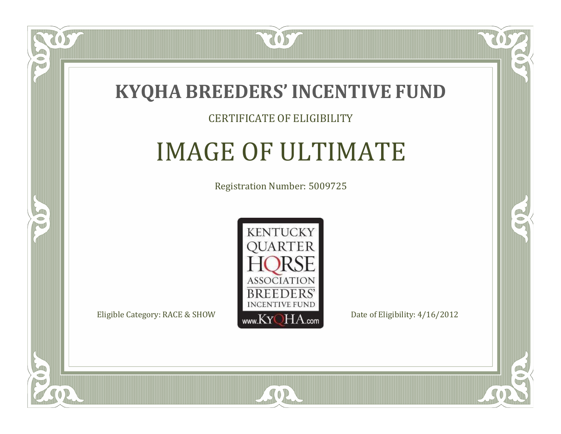

#### CERTIFICATE OF ELIGIBILITY

### IMAGE OF ULTIMATE

Registration Number: 5009725



SOR

CO.

 $\rightarrow$ 

 $\Box$ N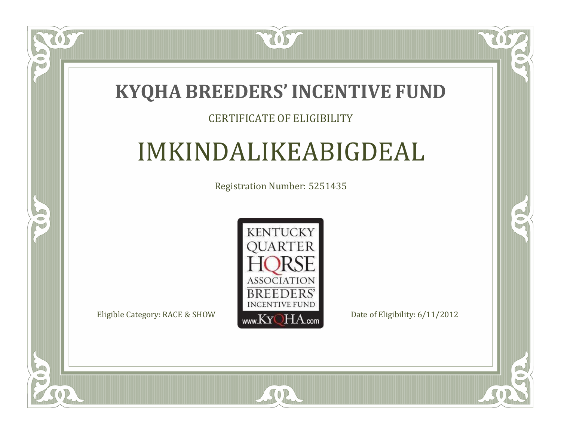### **KYQHA BREEDERS'INCENTIVE FUND**

7057

#### CERTIFICATE OF ELIGIBILITY

### IMKINDALIKEABIGDEAL

Registration Number: 5251435



SOR

CO.

 $\rightarrow$ 

ÒS

 $\Box$ N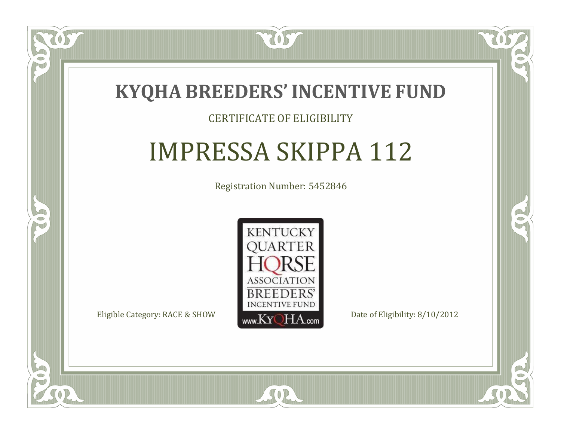

#### CERTIFICATE OF ELIGIBILITY

## IMPRESSA SKIPPA 112

Registration Number: 5452846



SOR

CO.

B

 $\Box$ N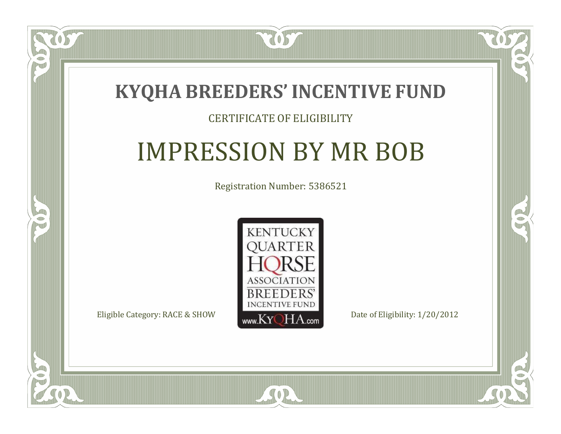

#### CERTIFICATE OF ELIGIBILITY

## IMPRESSION BY MR BOB

Registration Number: 5386521



SOR

CO.

 $\rightarrow$ 

 $\Box$ N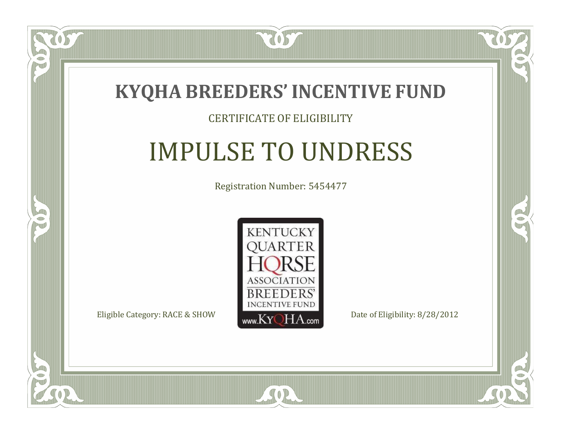

#### CERTIFICATE OF ELIGIBILITY

## IMPULSE TO UNDRESS

Registration Number: 5454477



SOR

CO.

 $\rightarrow$ 

 $\Box$ N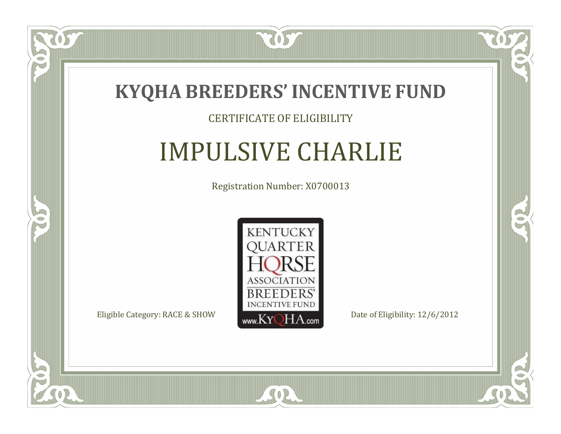

#### CERTIFICATE OF ELIGIBILITY

### IMPULSIVE CHARLIE

Registration Number: X0700013



SOR

CO.

 $\rightarrow$ 

 $\delta S$ 

 $\Box$ NU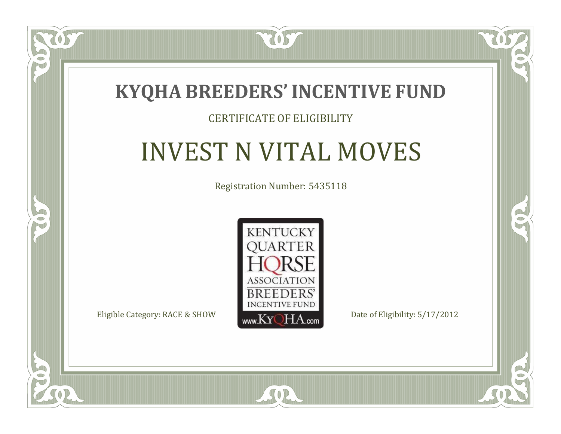

#### CERTIFICATE OF ELIGIBILITY

## INVEST N VITAL MOVES

Registration Number: 5435118



 $SO2$ 

CO.

 $\rightarrow$ 

 $\blacksquare$ N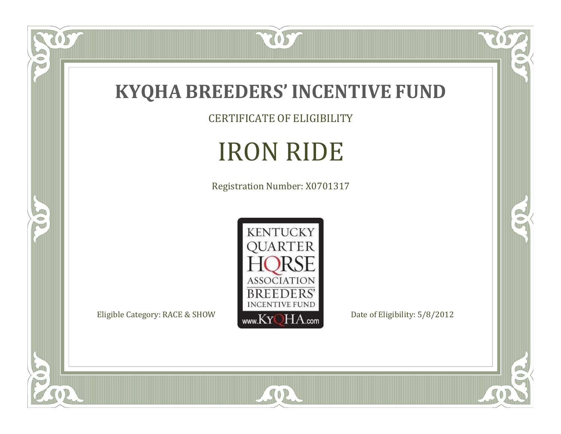

CERTIFICATE OF ELIGIBILITY

# IRON RIDE

Registration Number: X0701317



SOR

 $\mathbb{R}$ 

 $\mathbb{R}^2$ 

US.

P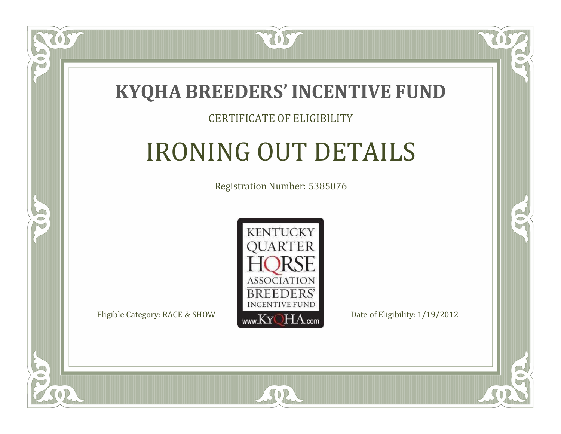

#### CERTIFICATE OF ELIGIBILITY

# IRONING OUT DETAILS

Registration Number: 5385076



 $SO2$ 

RO

B

 $\Box$ N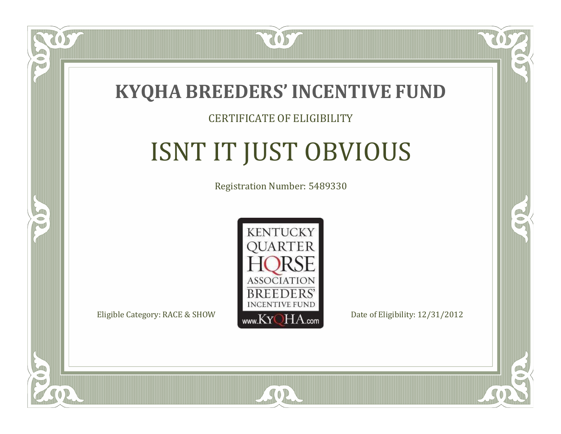

#### CERTIFICATE OF ELIGIBILITY

# ISNT IT JUST OBVIOUS

Registration Number: 5489330



RO

CO.

 $\Box$ N

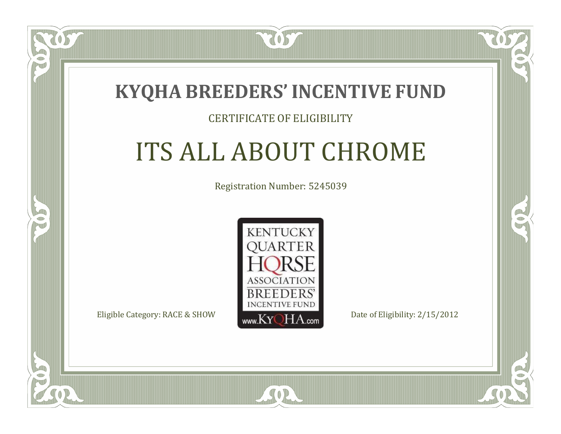### **KYQHA BREEDERS'INCENTIVE FUND**

7057

#### CERTIFICATE OF ELIGIBILITY

# ITS ALL ABOUT CHROME

Registration Number: 5245039



SOR

CO.

CO.

 $\Box$ N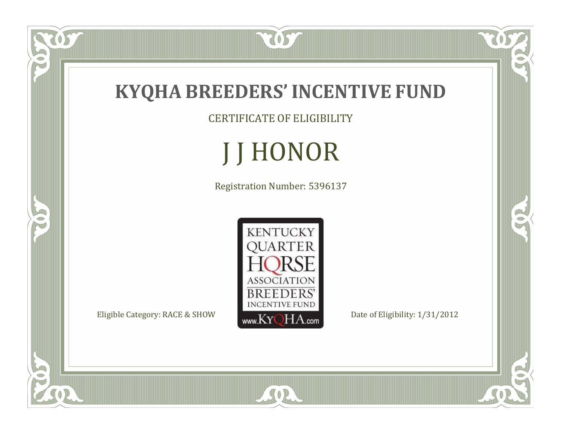

CERTIFICATE OF ELIGIBILITY

J J HONOR

Registration Number: 5396137



SOR

 $\check{OS}$ 

FO

5

RO

 $\mathbb{R}^2$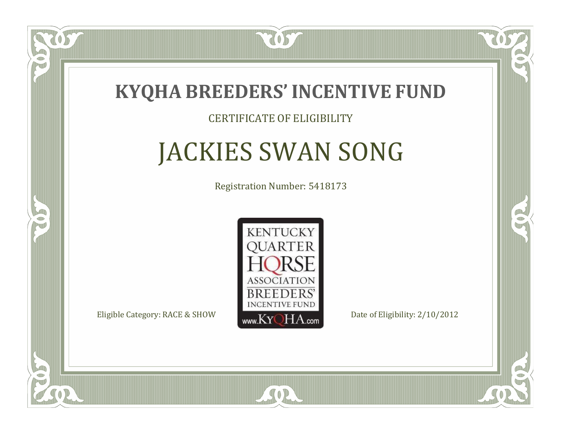

#### CERTIFICATE OF ELIGIBILITY

# JACKIES SWAN SONG

Registration Number: 5418173



SOR

CO.

CO.

 $\Box$ N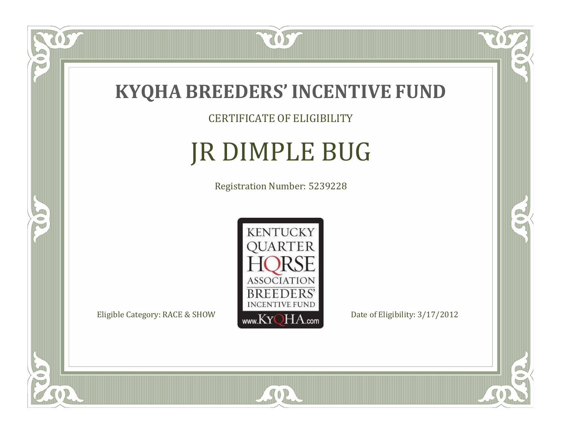

CERTIFICATE OF ELIGIBILITY

# JR DIMPLE BUG

Registration Number: 5239228



SOR

CO.

 $\rightarrow$ 

 $\overline{OS}$ 

 $\bullet$ NU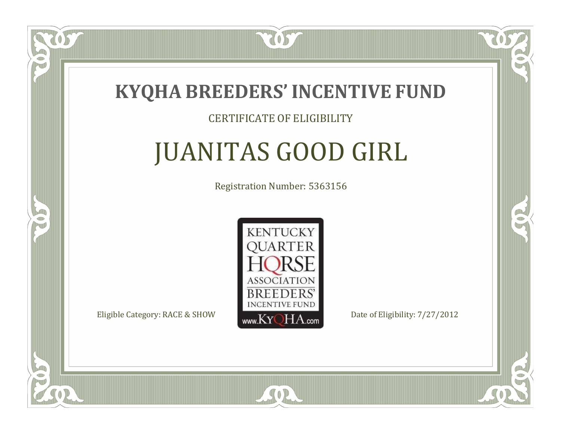

#### CERTIFICATE OF ELIGIBILITY

# JUANITAS GOOD GIRL

Registration Number: 5363156



CO.

CO.

 $\blacksquare$ N

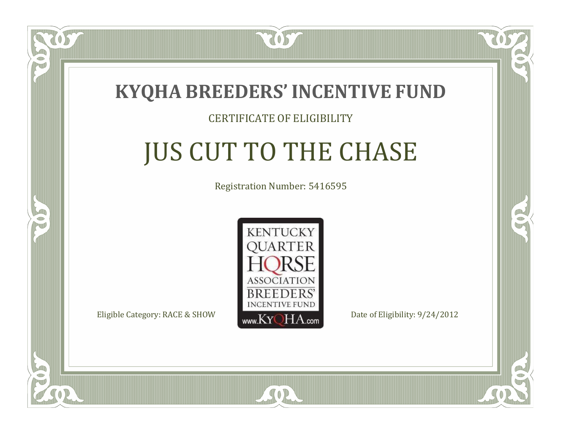

#### CERTIFICATE OF ELIGIBILITY

# JUS CUT TO THE CHASE

Registration Number: 5416595



 $SO2$ 

CO.

CO.

 $\blacksquare$ N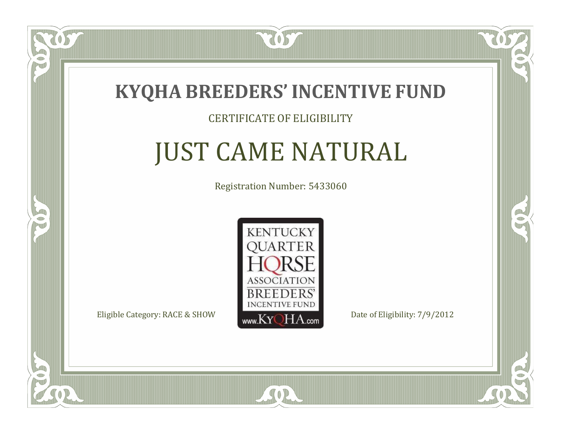

### CERTIFICATE OF ELIGIBILITY

# JUST CAME NATURAL

Registration Number: 5433060



SOR

CO.

CO.

 $\Box$ N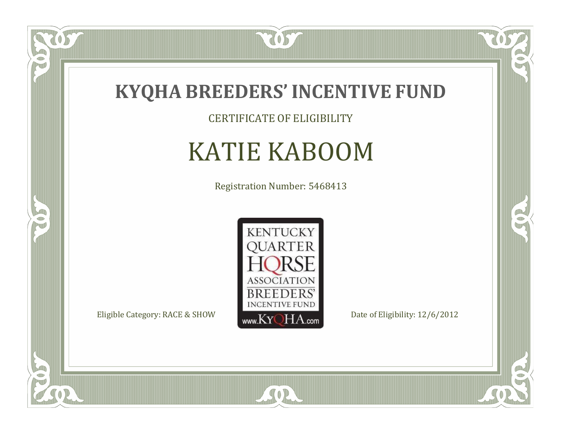

CERTIFICATE OF ELIGIBILITY

# KATIE KABOOM

Registration Number: 5468413



SOR

US

 $\bullet$ NU

5

 $\mathbb{R}$ 

 $\rightarrow$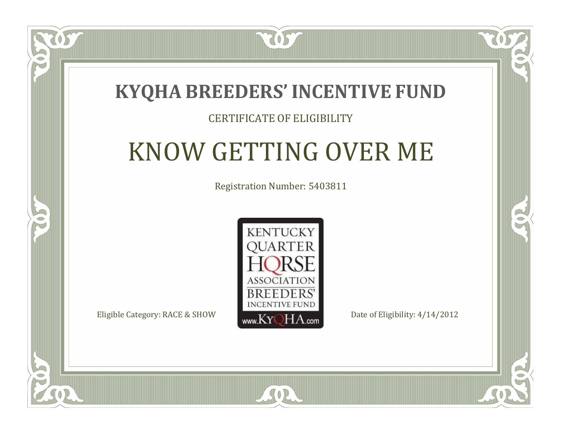### **KYQHA BREEDERS'INCENTIVE FUND**

7057

### CERTIFICATE OF ELIGIBILITY

# KNOW GETTING OVER ME

Registration Number: 5403811



 $SO2$ 

CO.

 $\rightarrow$ 

 $\Box$ N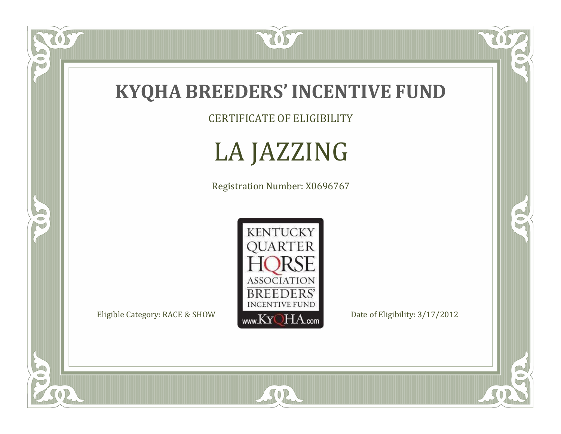

CERTIFICATE OF ELIGIBILITY

LA JAZZING

Registration Number: X0696767



SOR

 $\overline{OS}$ 

 $\bullet$ N

5

 $\mathbb{R}$ 

 $\mathbb{R}^2$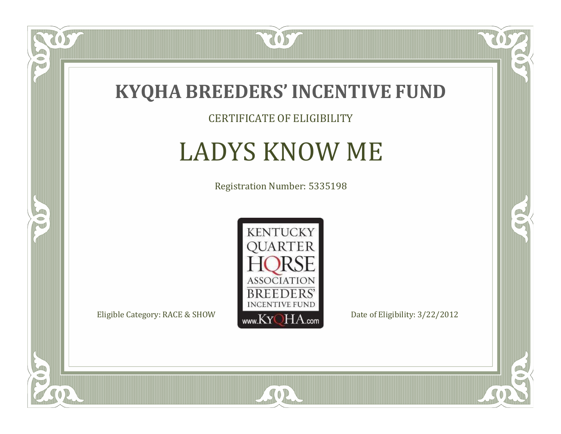

CERTIFICATE OF ELIGIBILITY

# LADYS KNOW ME

Registration Number: 5335198



SOR

 $\mathbb{R}$ 

 $\rightarrow$ 

US

 $\bullet$ NU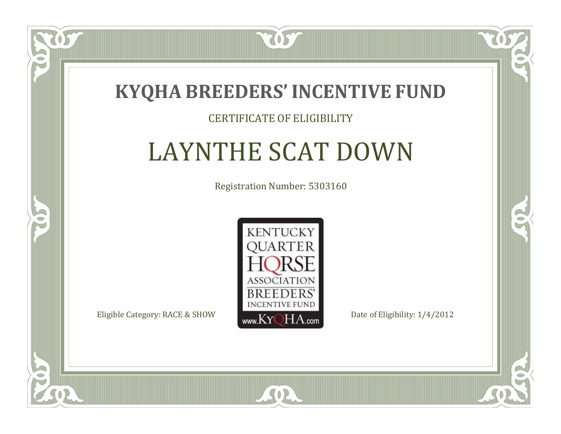

#### CERTIFICATE OF ELIGIBILITY

## LAYNTHE SCAT DOWN

Registration Number: 5303160



 $SO2$ 

CO.

 $\rightarrow$ 

 $\Box$ N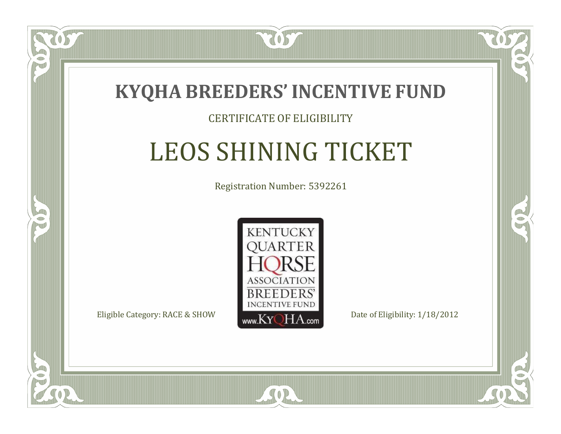

### CERTIFICATE OF ELIGIBILITY

# LEOS SHINING TICKET

Registration Number: 5392261



SOR

RO

CO.

 $\Box$ N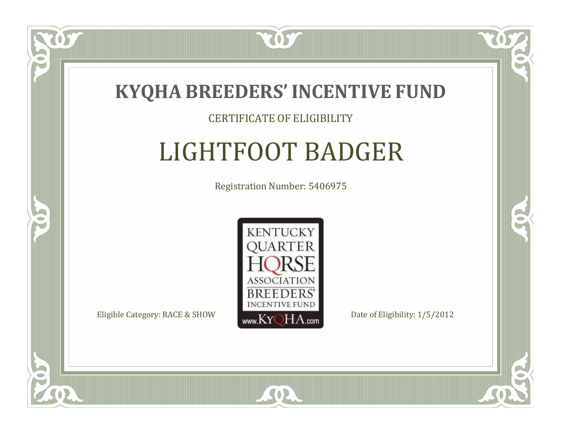

### CERTIFICATE OF ELIGIBILITY

# LIGHTFOOT BADGER

Registration Number: 5406975



SOR

RO

B

 $\blacksquare$ N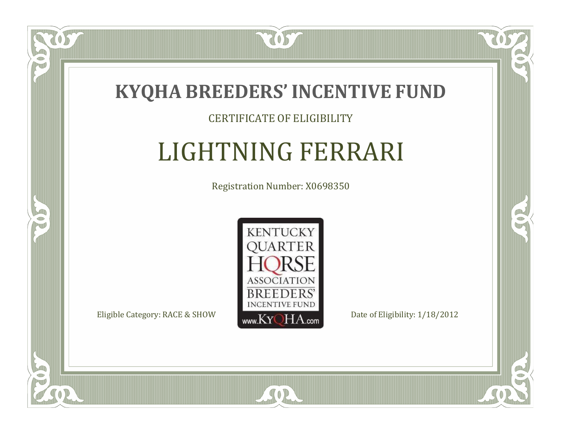

### CERTIFICATE OF ELIGIBILITY

# LIGHTNING FERRARI

Registration Number: X0698350



SOR

CO.

 $\rightarrow$ 

 $\Box$ N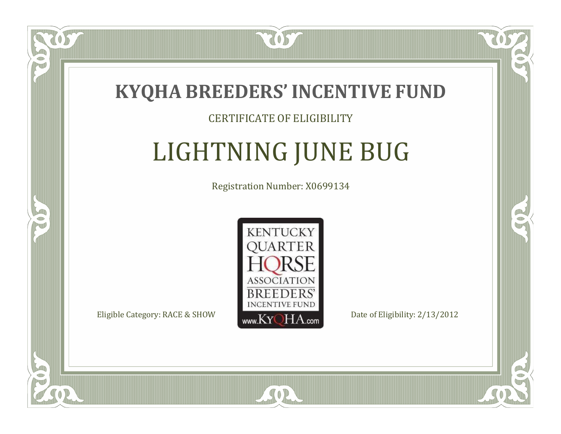

### CERTIFICATE OF ELIGIBILITY

# LIGHTNING JUNE BUG

Registration Number: X0699134



SOR

RO

B.

 $\Box$ N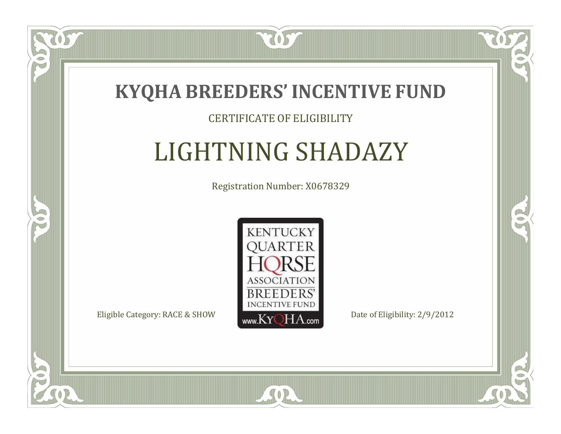

### CERTIFICATE OF ELIGIBILITY

# LIGHTNING SHADAZY

Registration Number: X0678329



SOR

RO

B

 $\blacksquare$ N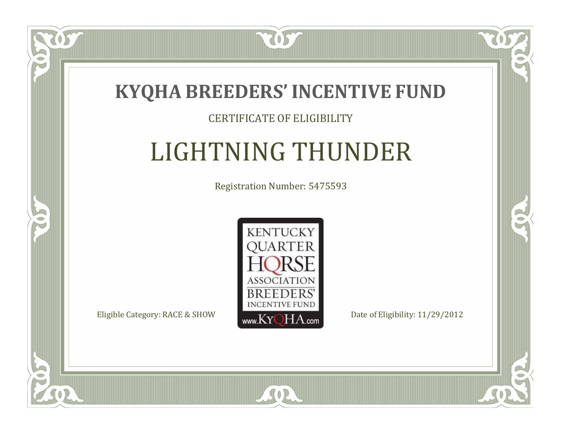

### CERTIFICATE OF ELIGIBILITY

# LIGHTNING THUNDER

Registration Number: 5475593



SOR

CO.

 $\rightarrow$ 

 $\blacksquare$ N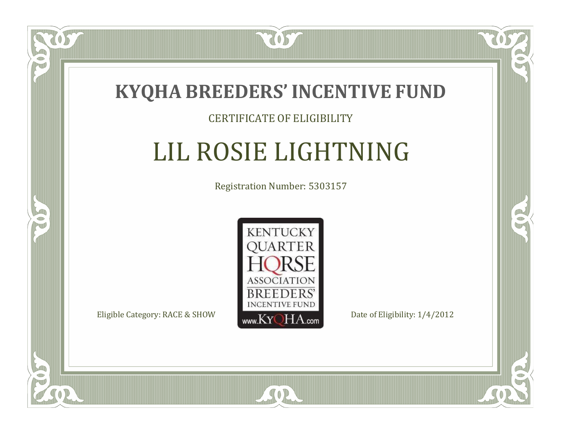

#### CERTIFICATE OF ELIGIBILITY

# LIL ROSIE LIGHTNING

Registration Number: 5303157



SOR

CO.

B

 $\blacksquare$ N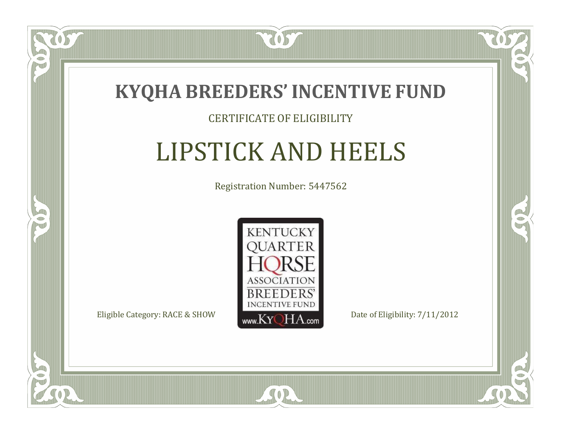

#### CERTIFICATE OF ELIGIBILITY

# LIPSTICK AND HEELS

Registration Number: 5447562



 $SO2$ 

CO.

 $\rightarrow$ 

 $\Box$ N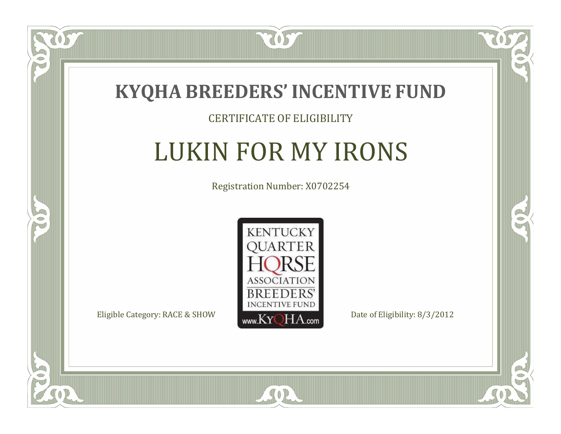

 $\delta S$ 

 $\Box$ N

5

#### CERTIFICATE OF ELIGIBILITY

# LUKIN FOR MY IRONS

Registration Number: X0702254



SOR

CO.

 $\rightarrow$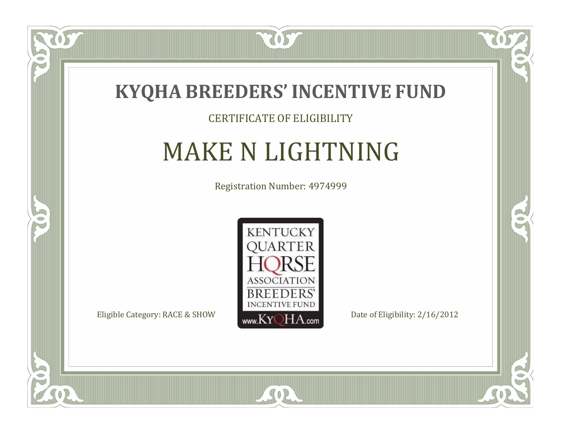

#### CERTIFICATE OF ELIGIBILITY

## MAKE N LIGHTNING

Registration Number: 4974999



SOR

 $\mathbb{R}$ 

 $\rightarrow$ 

057

 $\bullet$ NU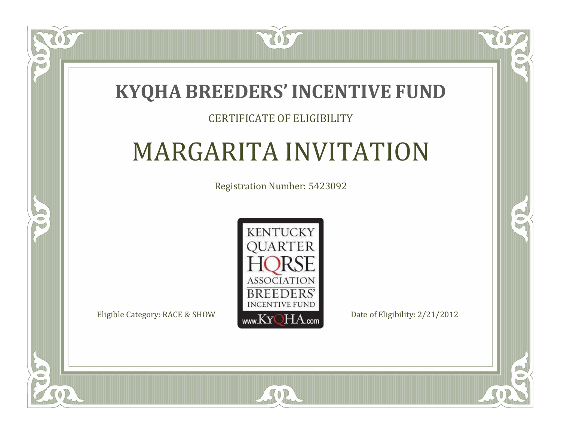### **KYQHA BREEDERS'INCENTIVE FUND**

7057

### CERTIFICATE OF ELIGIBILITY

# MARGARITA INVITATION

Registration Number: 5423092



SOR

CO.

 $\rightarrow$ 

 $\blacksquare$ N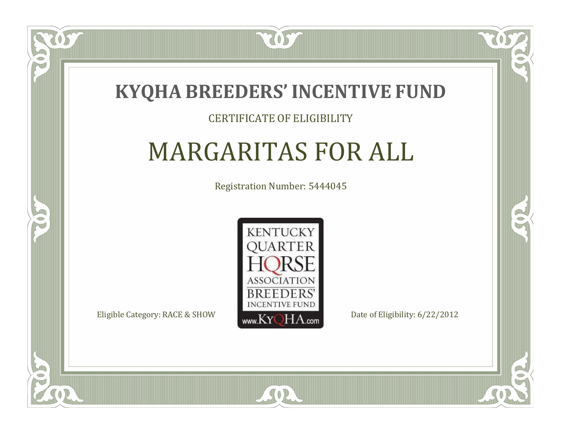

### CERTIFICATE OF ELIGIBILITY

# MARGARITAS FOR ALL

Registration Number: 5444045



SOR

CO.

B

 $\Box$ N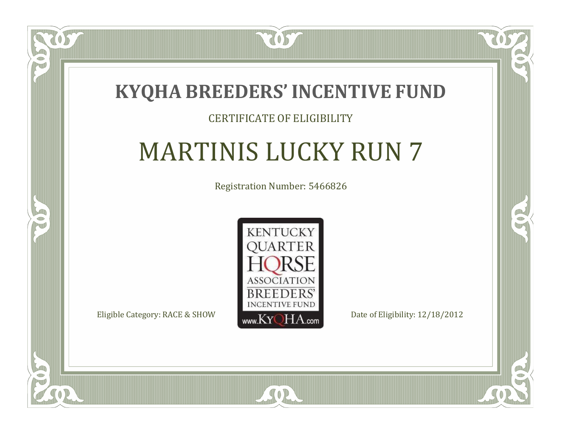

### CERTIFICATE OF ELIGIBILITY

# MARTINIS LUCKY RUN 7

Registration Number: 5466826



SOR

CO.

 $\rightarrow$ 

 $\blacksquare$ N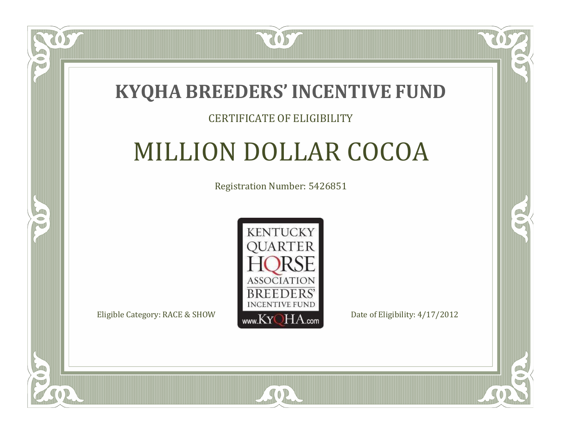

### CERTIFICATE OF ELIGIBILITY

## MILLION DOLLAR COCOA

Registration Number: 5426851



SOR

RO

A.

 $\blacksquare$ N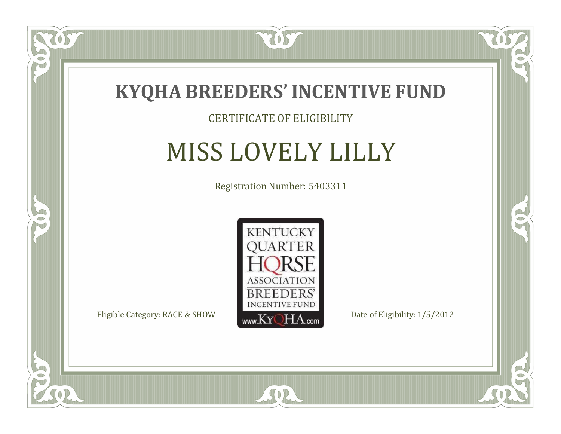

### CERTIFICATE OF ELIGIBILITY

# MISS LOVELY LILLY

Registration Number: 5403311



SOR

CO.

 $\rightarrow$ 

US

 $\Box$ N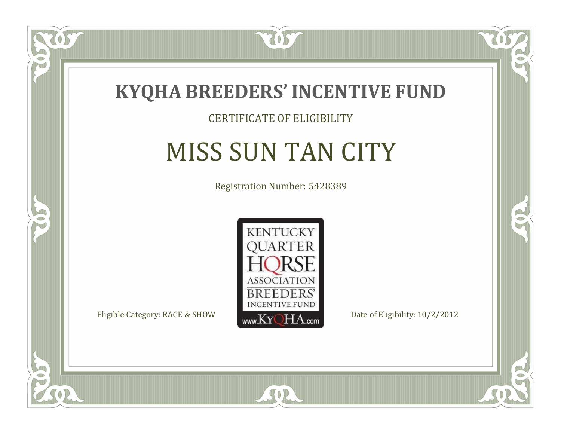

### CERTIFICATE OF ELIGIBILITY

# MISS SUN TAN CITY

Registration Number: 5428389



 $SO2$ 

CO.

 $\rightarrow$ 

 $\Box$ N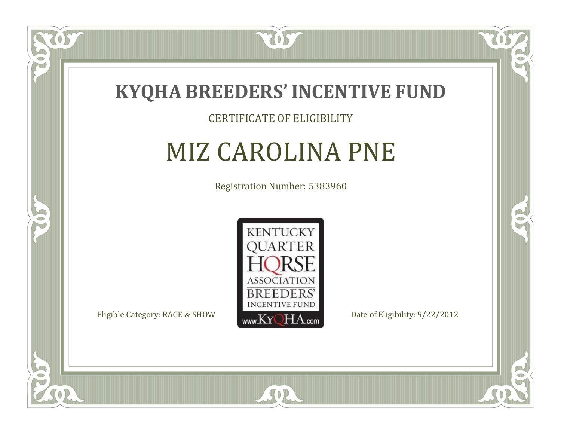

#### CERTIFICATE OF ELIGIBILITY

# MIZ CAROLINA PNE

Registration Number: 5383960



SOR

CO.

 $\rightarrow$ 

 $\Box$ NU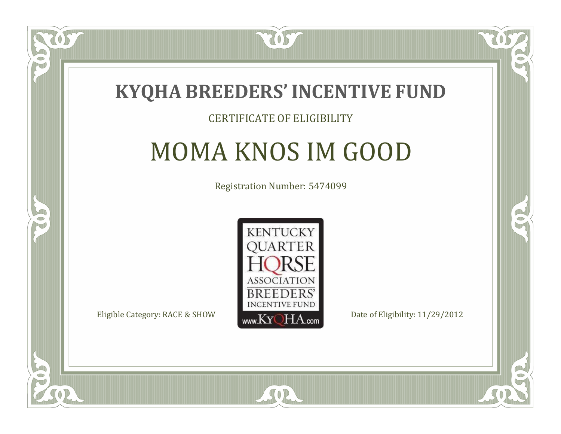

#### CERTIFICATE OF ELIGIBILITY

# MOMA KNOS IM GOOD

Registration Number: 5474099



CO.

CO.

 $\Box$ N

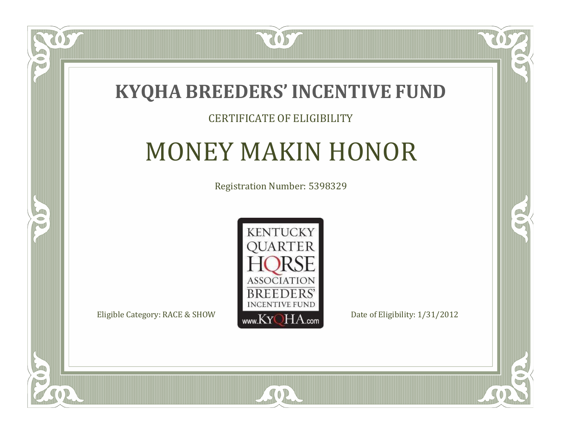

### CERTIFICATE OF ELIGIBILITY

# MONEY MAKIN HONOR

Registration Number: 5398329



SOR

CO.

 $\rightarrow$ 

 $\blacksquare$ N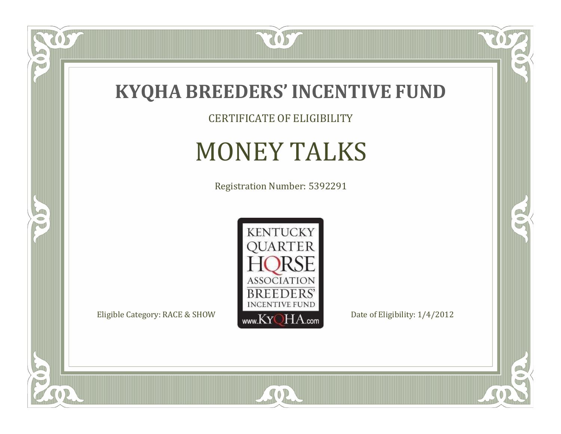

CERTIFICATE OF ELIGIBILITY

# MONEY TALKS

Registration Number: 5392291



SOR

 $\mathbb{R}$ 

 $\mathbb{R}^2$ 

 $\overline{OS}$ 

 $\bullet$ N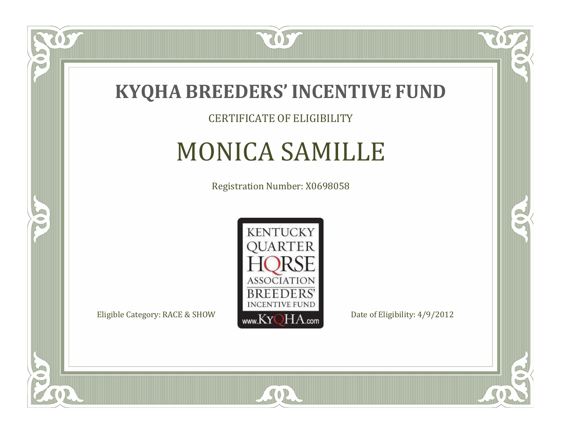

CERTIFICATE OF ELIGIBILITY

## MONICA SAMILLE

Registration Number: X0698058



SOR

CO.

 $\rightarrow$ 

OS

 $\Box$ NU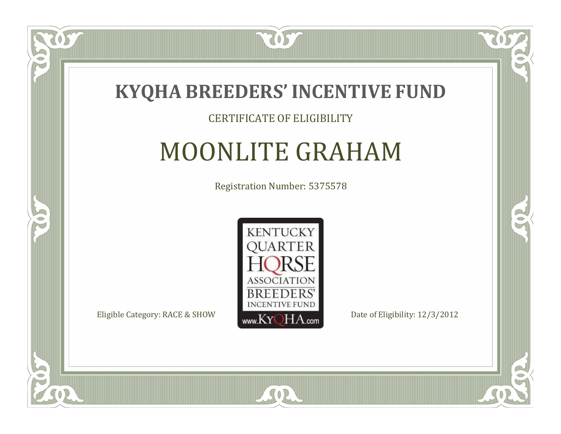

#### CERTIFICATE OF ELIGIBILITY

# MOONLITE GRAHAM

Registration Number: 5375578



CO.

 $\rightarrow$ 

 $\Box$ NU

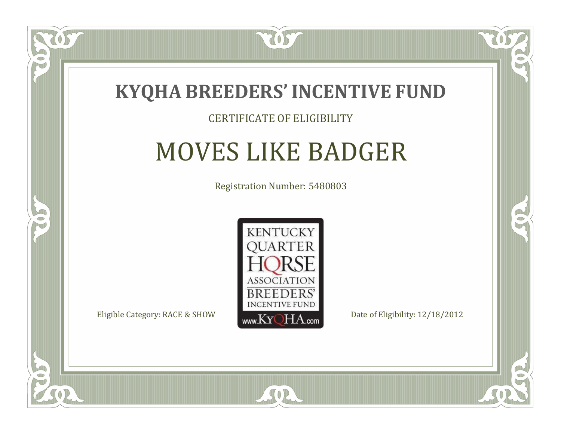

#### CERTIFICATE OF ELIGIBILITY

### MOVES LIKE BADGER

Registration Number: 5480803



SOR

CO.

B

 $\Box$ N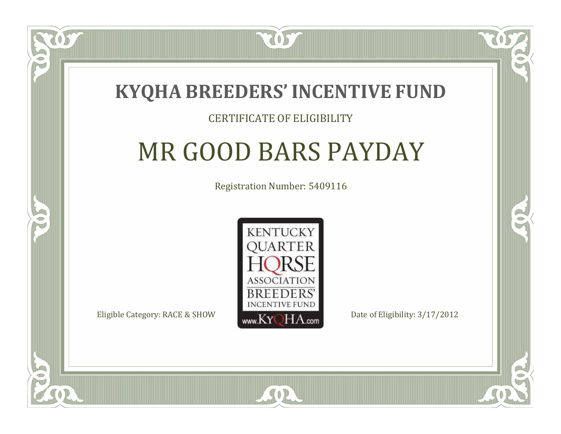

#### CERTIFICATE OF ELIGIBILITY

# MR GOOD BARS PAYDAY

Registration Number: 5409116



SOR

RO

P.

 $\Box$ N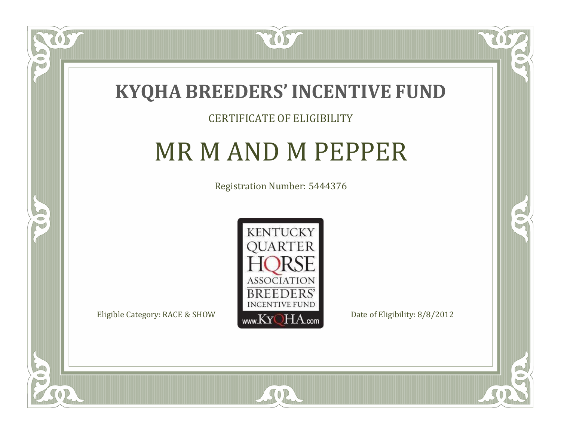

#### CERTIFICATE OF ELIGIBILITY

### MR M AND M PEPPER

Registration Number: 5444376



SOR

 $\Box$ N

5

CO.

B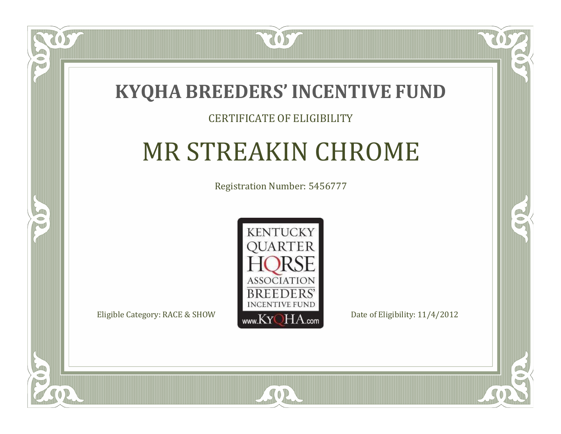

### CERTIFICATE OF ELIGIBILITY

# MR STREAKIN CHROME

Registration Number: 5456777



 $SO2$ 

 $\blacksquare$ N

5

CO.

 $\rightarrow$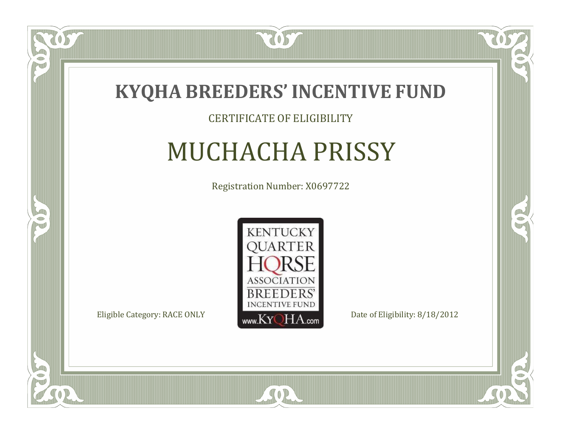

#### CERTIFICATE OF ELIGIBILITY

# MUCHACHA PRISSY

Registration Number: X0697722



SOR

CO.

 $\rightarrow$ 

 $\delta S$ 

 $\Box$ NU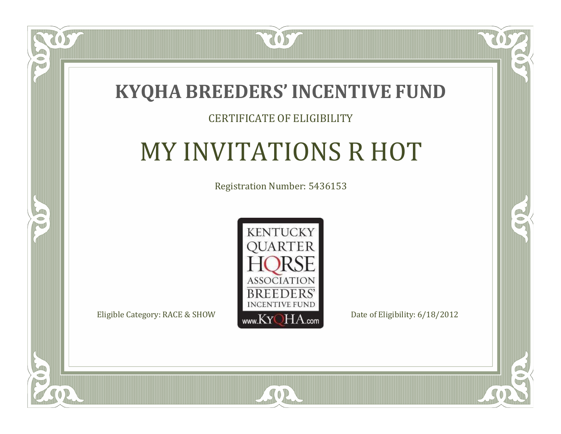

### CERTIFICATE OF ELIGIBILITY

# MY INVITATIONS R HOT

Registration Number: 5436153



SOR

CO.

 $\rightarrow$ 

 $\blacksquare$ N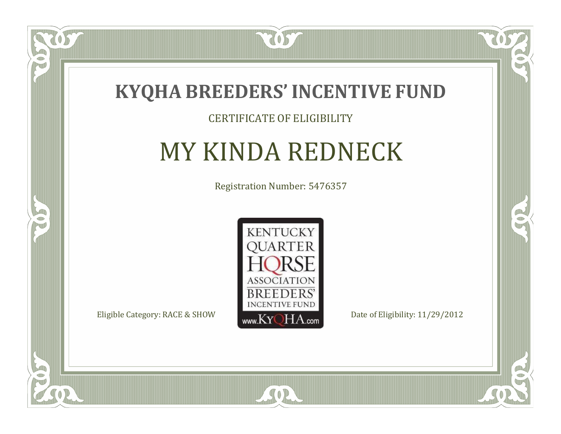

#### CERTIFICATE OF ELIGIBILITY

# MY KINDA REDNECK

Registration Number: 5476357



CO.

 $\rightarrow$ 

 $\delta S$ 

 $\Box$ N

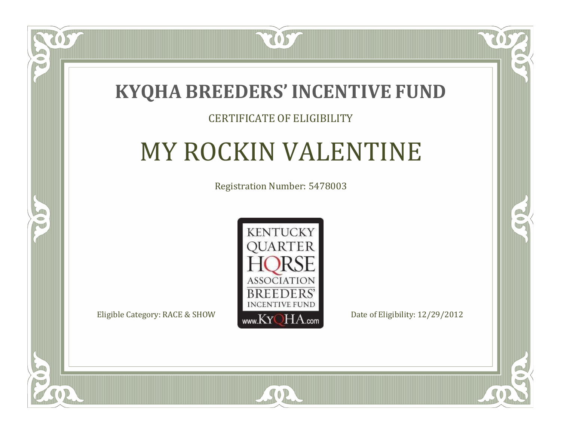

### CERTIFICATE OF ELIGIBILITY

# MY ROCKIN VALENTINE

Registration Number: 5478003



CO.

 $\rightarrow$ 

 $\blacksquare$ N

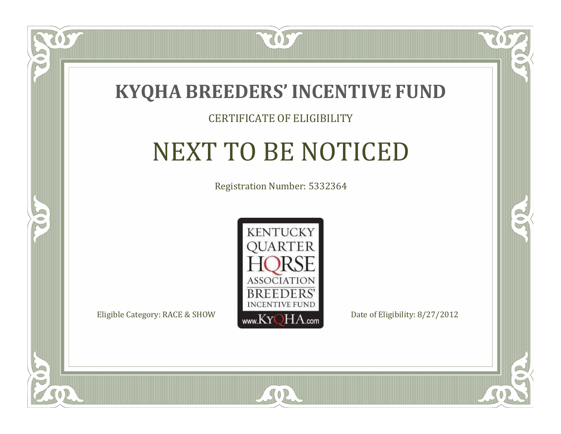

#### CERTIFICATE OF ELIGIBILITY

## NEXT TO BE NOTICED

Registration Number: 5332364



SOR

CO.

B

 $\blacksquare$ N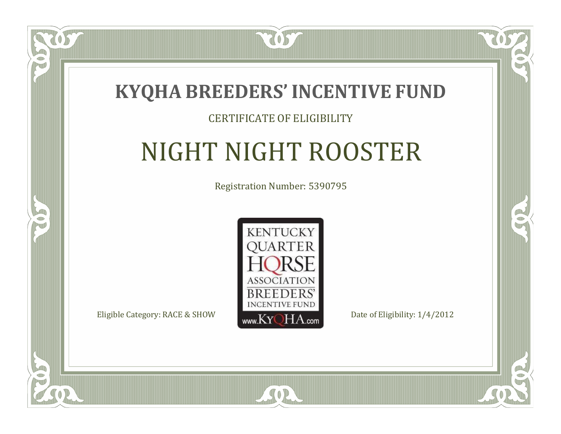

#### CERTIFICATE OF ELIGIBILITY

# NIGHT NIGHT ROOSTER

Registration Number: 5390795



SOR

CO.

 $\rightarrow$ 

 $\blacksquare$ N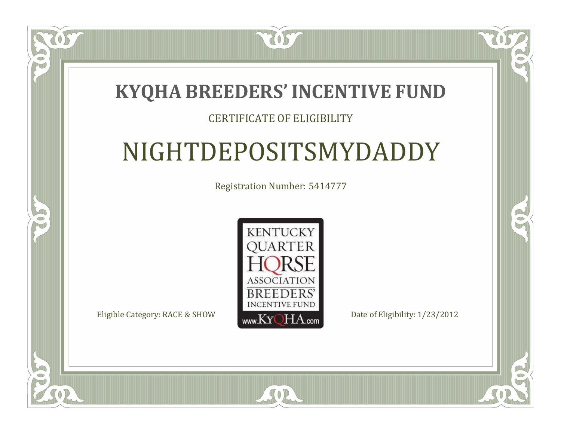### **KYQHA BREEDERS'INCENTIVE FUND**

7057

#### CERTIFICATE OF ELIGIBILITY

# NIGHTDEPOSITSMYDADDY

Registration Number: 5414777



SOR

 $\mathbb{R}$ 

 $\rightarrow$ 

 $\blacksquare$ N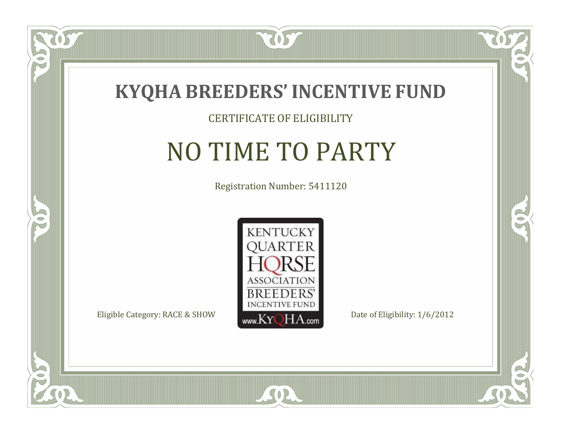

#### CERTIFICATE OF ELIGIBILITY

### NO TIME TO PARTY

Registration Number: 5411120



SOR

CO.

B

 $\Box$ NU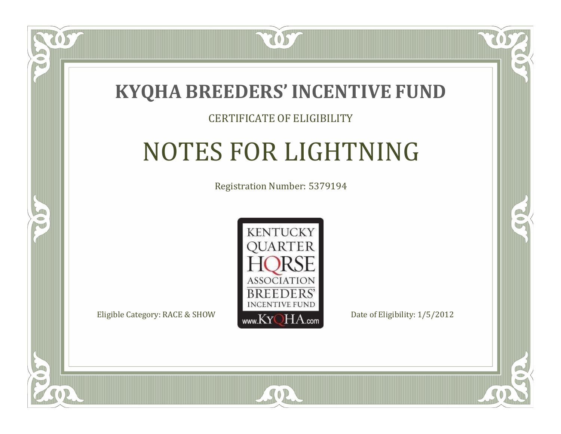

#### CERTIFICATE OF ELIGIBILITY

# NOTES FOR LIGHTNING

Registration Number: 5379194



 $SO2$ 

CO.

B

 $\blacksquare$ N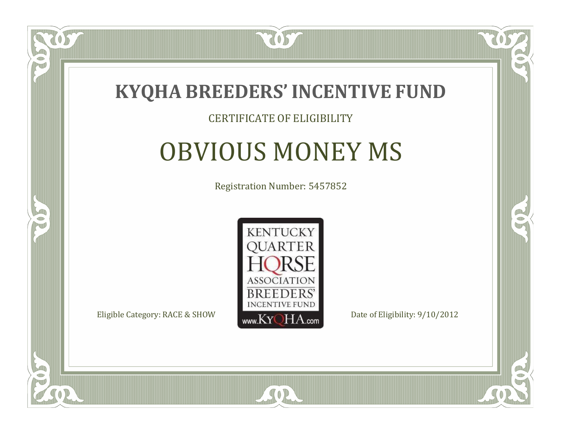

#### CERTIFICATE OF ELIGIBILITY

### OBVIOUS MONEY MS

Registration Number: 5457852



CO.

B

 $\Box$ NU

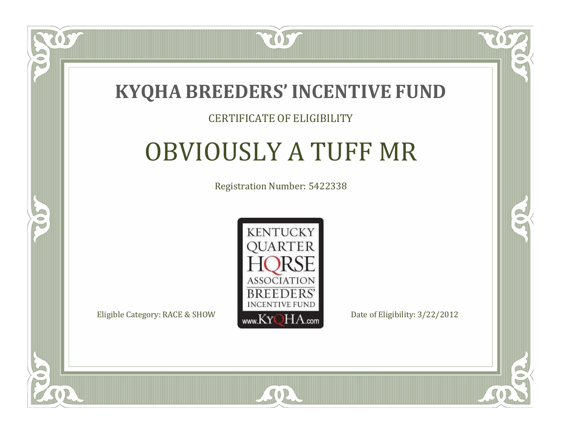

#### CERTIFICATE OF ELIGIBILITY

## OBVIOUSLY A TUFF MR

Registration Number: 5422338



SOR

CO.

 $\rightarrow$ 

 $\Box$ N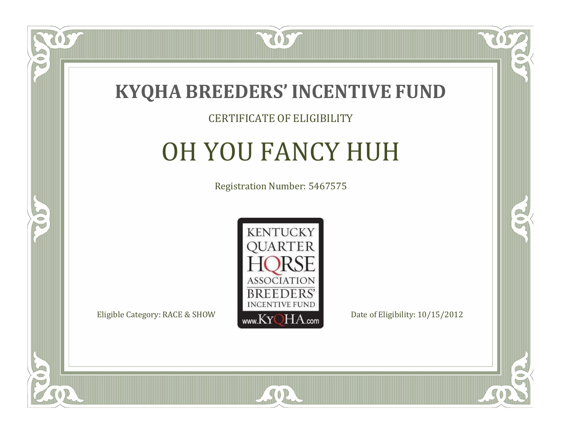

#### CERTIFICATE OF ELIGIBILITY

# OH YOU FANCY HUH

Registration Number: 5467575



CO.

 $\rightarrow$ 

 $\Box$ N

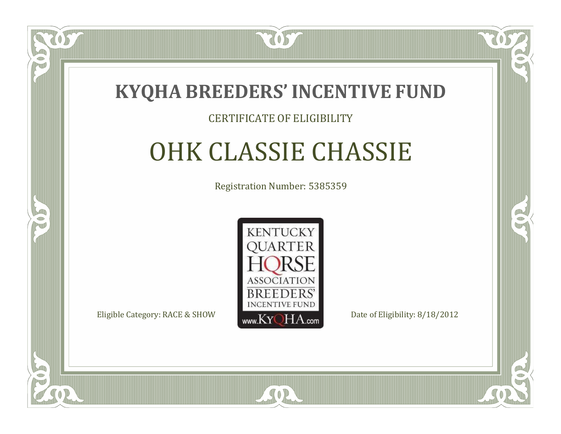

#### CERTIFICATE OF ELIGIBILITY

# OHK CLASSIE CHASSIE

Registration Number: 5385359



SOR

RO

B

 $\Box$ N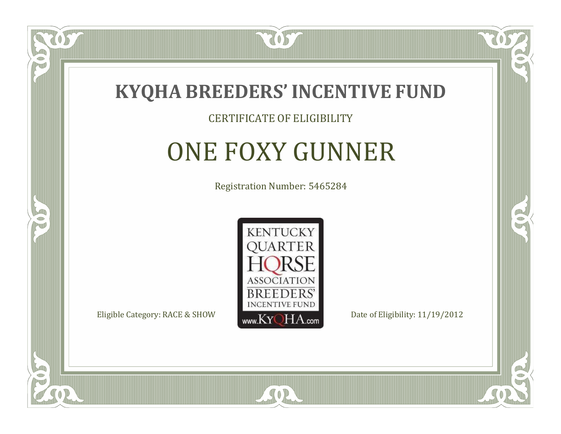

#### CERTIFICATE OF ELIGIBILITY

# ONE FOXY GUNNER

Registration Number: 5465284



SOR

CO.

B

 $\Box$ N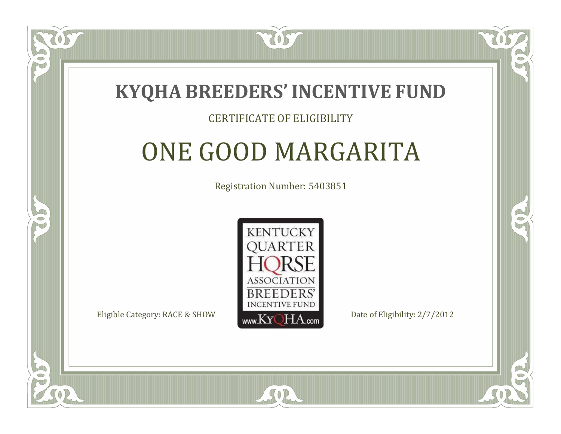

#### CERTIFICATE OF ELIGIBILITY

## ONE GOOD MARGARITA

Registration Number: 5403851



 $SO2$ 

RO

P.

 $\Box$ T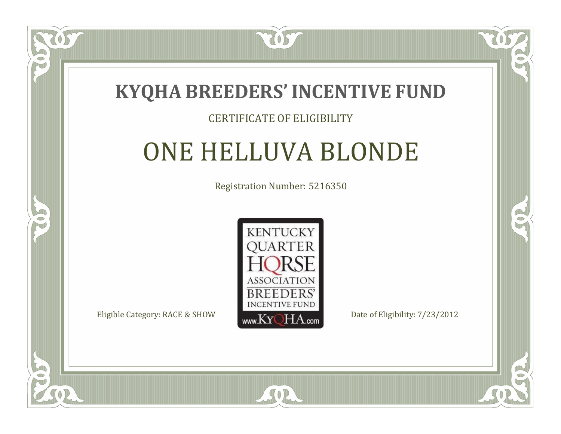

#### CERTIFICATE OF ELIGIBILITY

# ONE HELLUVA BLONDE

Registration Number: 5216350



SOR

RO

B

 $\blacksquare$ N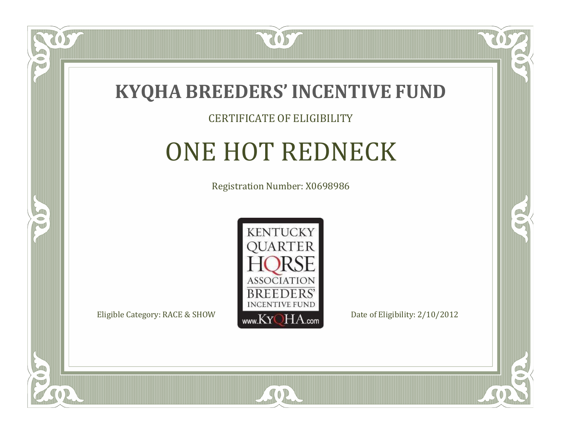

#### CERTIFICATE OF ELIGIBILITY

## ONE HOT REDNECK

Registration Number: X0698986



SOR

CO.

B

 $\Box$ N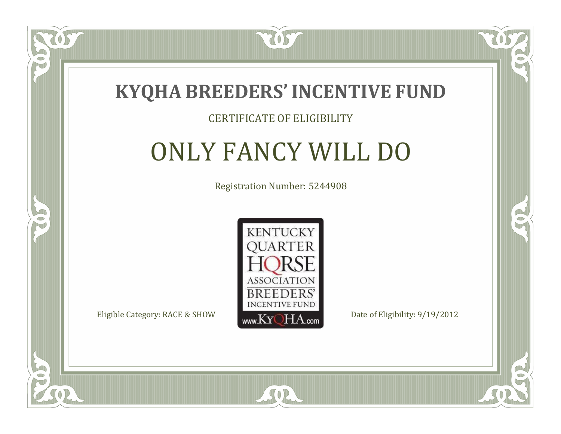

#### CERTIFICATE OF ELIGIBILITY

# ONLY FANCY WILL DO

Registration Number: 5244908



SOR

CO.

 $\rightarrow$ 

OS

 $\Box$ NU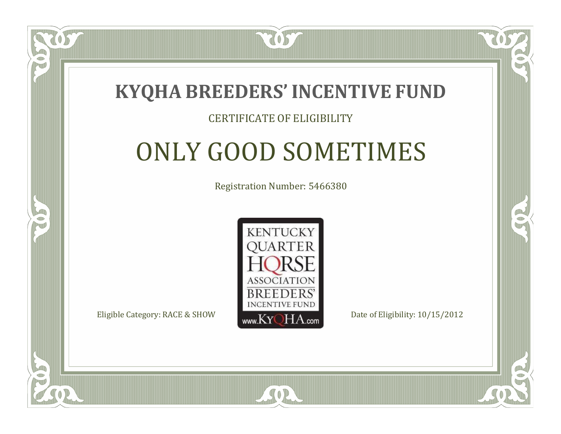

#### CERTIFICATE OF ELIGIBILITY

# ONLY GOOD SOMETIMES

Registration Number: 5466380



SOR

RO

P.

 $\Box$ T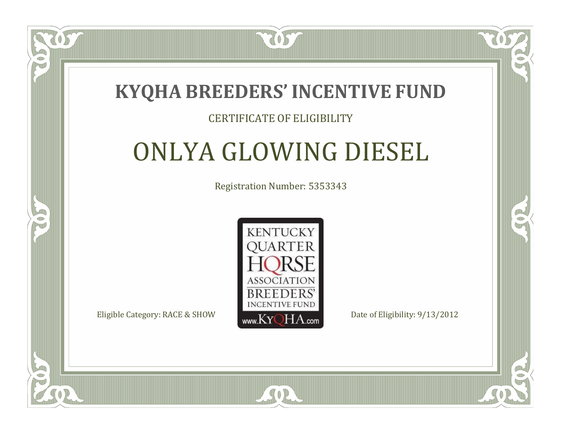

#### CERTIFICATE OF ELIGIBILITY

# ONLYA GLOWING DIESEL

Registration Number: 5353343



SOR

RO

P.

 $\Box$ N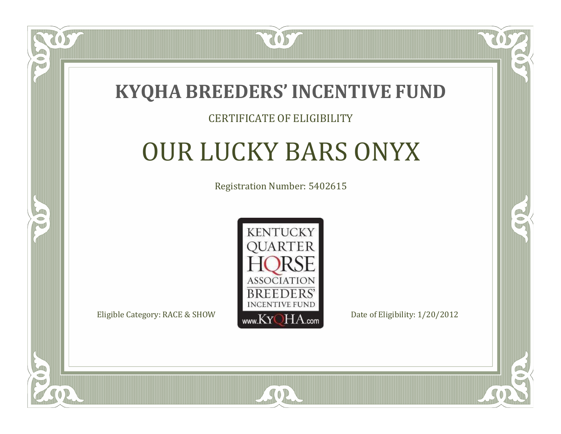

#### CERTIFICATE OF ELIGIBILITY

# OUR LUCKY BARS ONYX

Registration Number: 5402615



SOR

CO.

B

 $\blacksquare$ N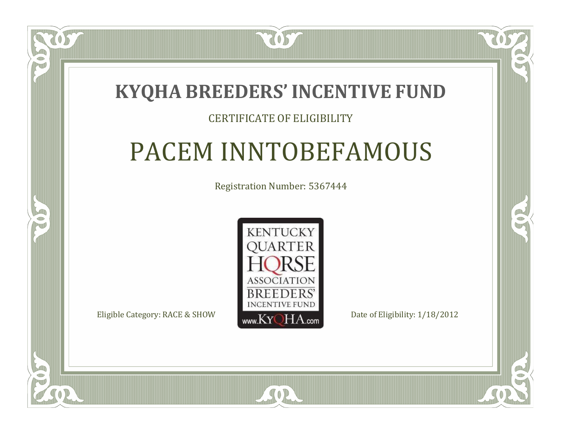### **KYQHA BREEDERS'INCENTIVE FUND**

7057

#### CERTIFICATE OF ELIGIBILITY

## PACEM INNTOBEFAMOUS

Registration Number: 5367444



SOR

RO

B

 $\Box$ T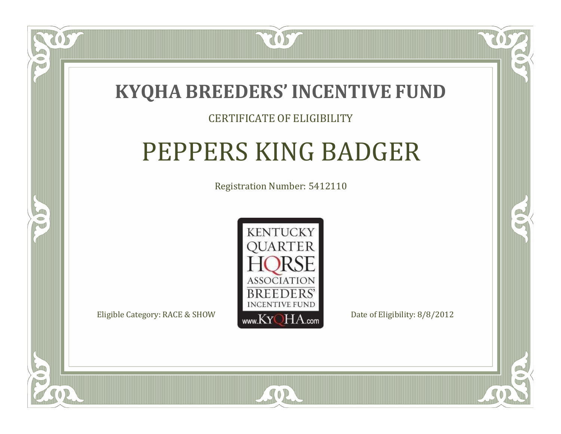

#### CERTIFICATE OF ELIGIBILITY

## PEPPERS KING BADGER

Registration Number: 5412110



SOR

 $\Box$ T

S

RO

P.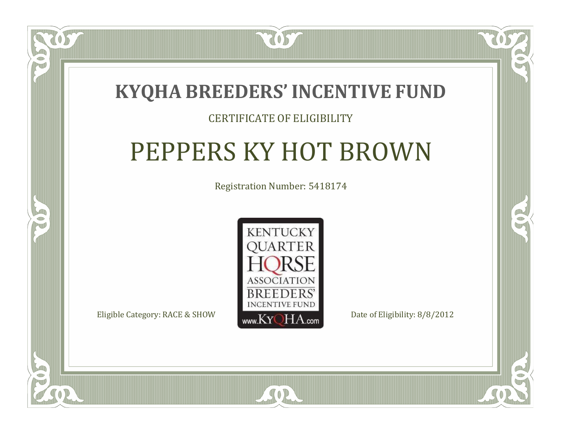

#### CERTIFICATE OF ELIGIBILITY

# PEPPERS KY HOT BROWN

Registration Number: 5418174



SOR

CO.

 $\rightarrow$ 

 $\Box$ N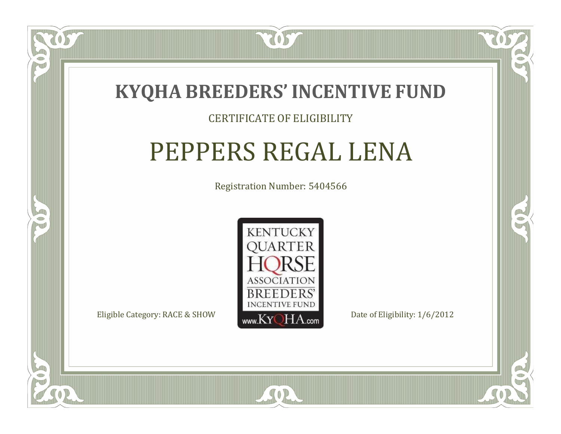

#### CERTIFICATE OF ELIGIBILITY

### PEPPERS REGAL LENA

Registration Number: 5404566



SOR

RO

CO.

 $\blacksquare$ N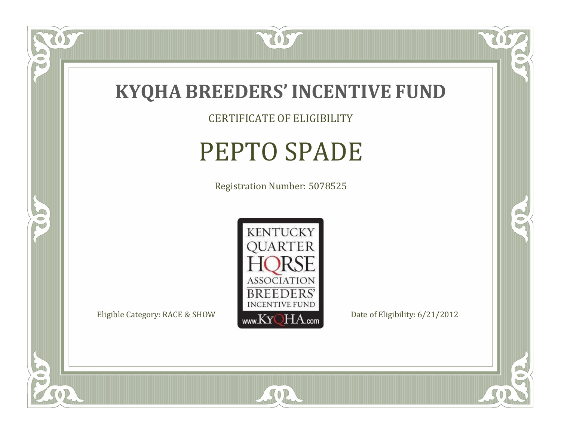

CERTIFICATE OF ELIGIBILITY

# PEPTO SPADE

Registration Number: 5078525



SOR

CO.

 $\rightarrow$ 

057

 $\bullet$ N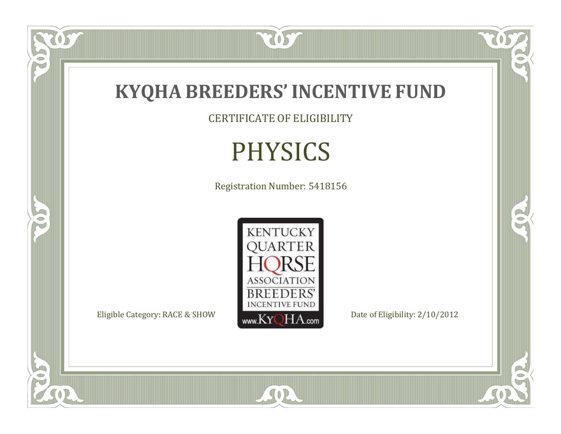

CERTIFICATE OF ELIGIBILITY

# PHYSICS

Registration Number: 5418156



SOR

US.

FO

5

 $\mathbb{R}$ 

 $\mathbb{R}^2$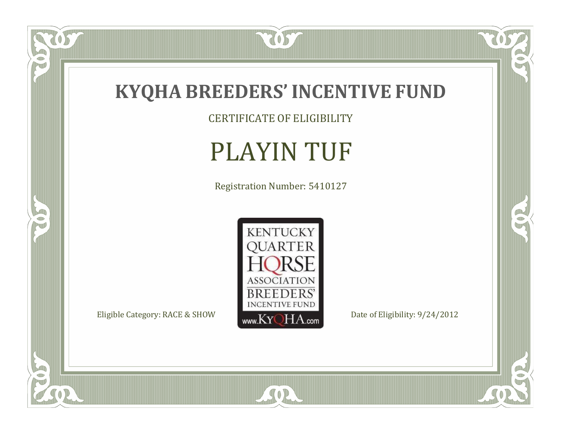

US.

FO

5

O

CERTIFICATE OF ELIGIBILITY

# PLAYIN TUF

Registration Number: 5410127



SOR

RO

 $\mathbb{R}^2$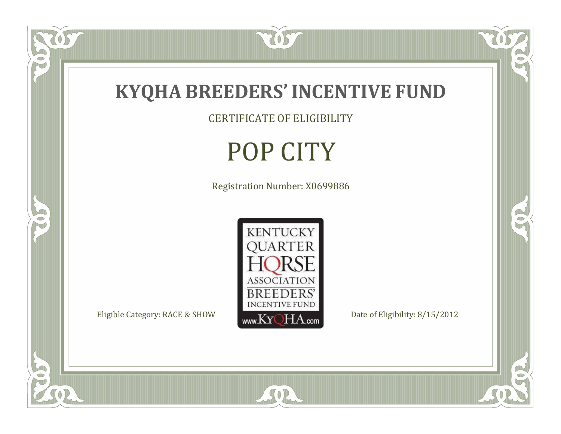

US.

 $\bullet$ N

5

CERTIFICATE OF ELIGIBILITY

# POP CITY

Registration Number: X0699886



SOR

 $\mathbb{R}$ 

R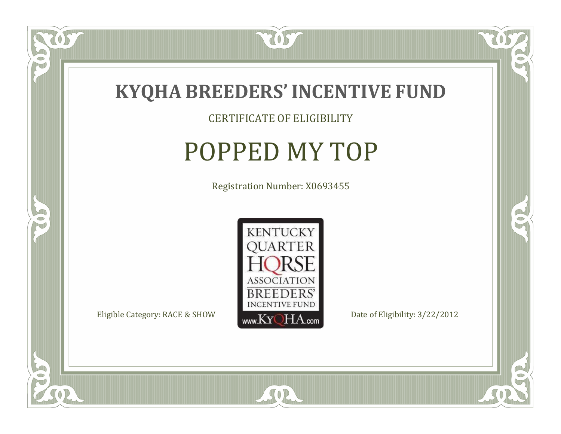

CERTIFICATE OF ELIGIBILITY

### POPPED MY TOP

Registration Number: X0693455



SOR

CO.

 $\rightarrow$ 

 $\delta S$ 

 $\Box$ NU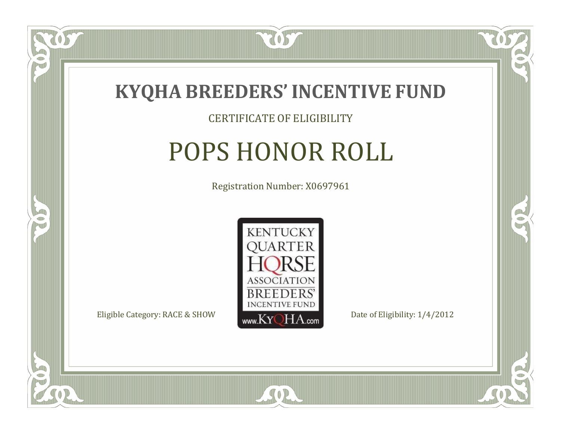

#### CERTIFICATE OF ELIGIBILITY

# POPS HONOR ROLL

Registration Number: X0697961



SOR

CO.

B)

 $\Box$ N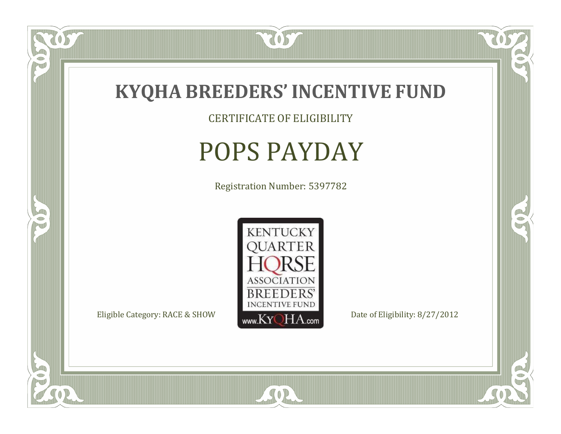

CERTIFICATE OF ELIGIBILITY

### POPS PAYDAY

Registration Number: 5397782



SOR

 $\mathbb{R}$ 

 $\rightarrow$ 

057

 $\bullet$ NU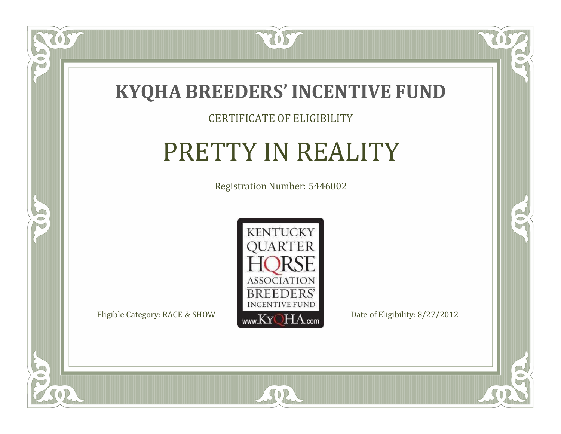

#### CERTIFICATE OF ELIGIBILITY

# PRETTY IN REALITY

Registration Number: 5446002



SOR

US

 $\bullet$ NU

5

CO.

 $\rightarrow$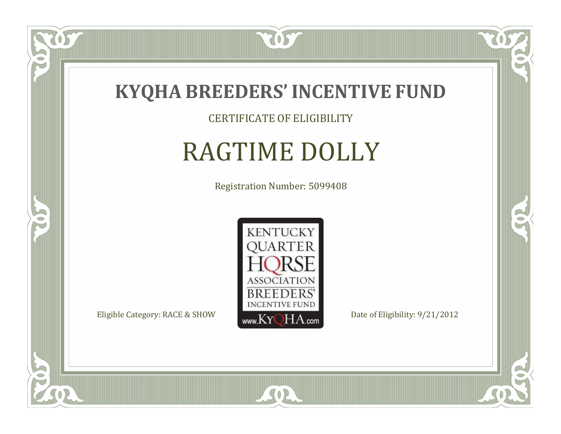

CERTIFICATE OF ELIGIBILITY

# RAGTIME DOLLY

Registration Number: 5099408



SOR

CO.

 $\rightarrow$ 

US

 $\bullet$ NU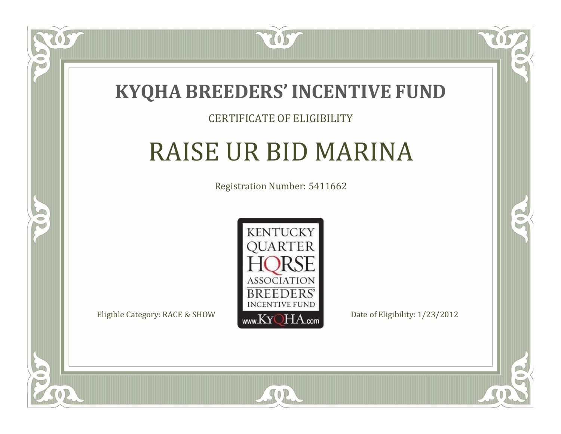

#### CERTIFICATE OF ELIGIBILITY

# RAISE UR BID MARINA

Registration Number: 5411662



SOR

CO.

B)

 $\Box$ N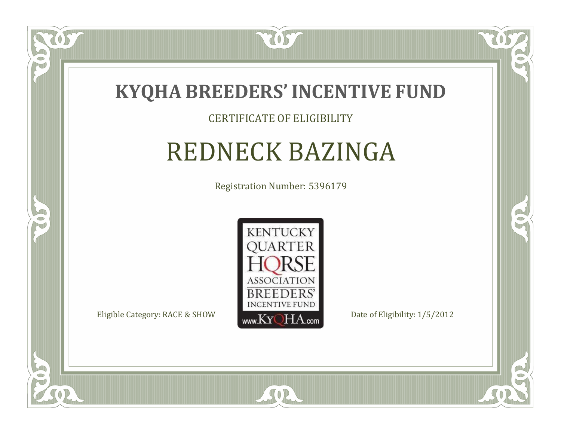

#### CERTIFICATE OF ELIGIBILITY

### REDNECK BAZINGA

Registration Number: 5396179



SOR

CO.

B)

US

 $\Box$ NU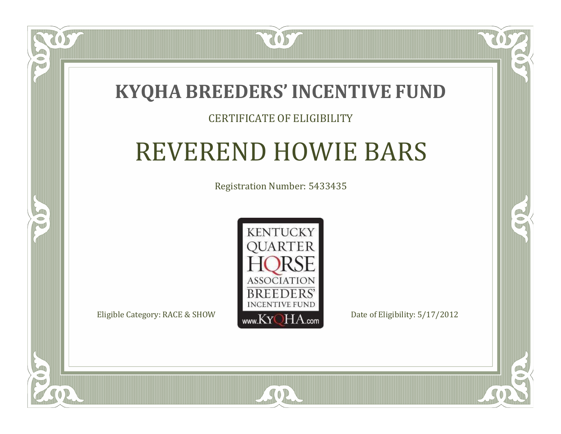

#### CERTIFICATE OF ELIGIBILITY

## REVEREND HOWIE BARS

Registration Number: 5433435



SOR

CO.

 $\rightarrow$ 

 $\Box$ N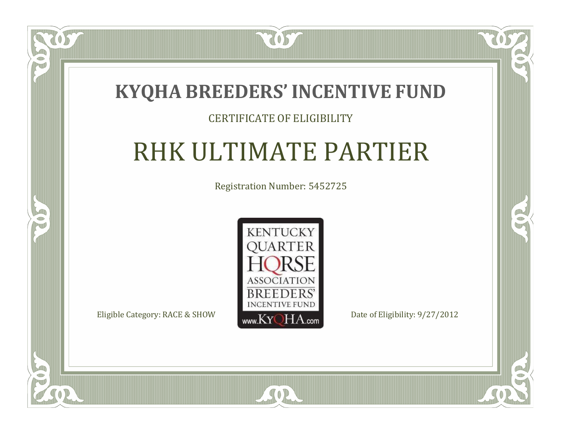

#### CERTIFICATE OF ELIGIBILITY

# RHK ULTIMATE PARTIER

Registration Number: 5452725



 $SO2$ 

CO.

 $\rightarrow$ 

 $\blacksquare$ N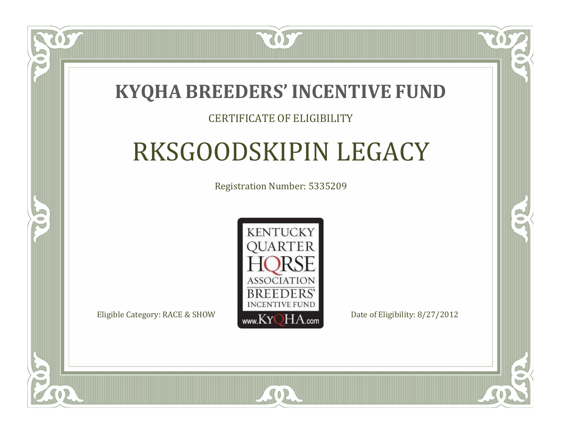### **KYQHA BREEDERS'INCENTIVE FUND**

7057

#### CERTIFICATE OF ELIGIBILITY

# RKSGOODSKIPIN LEGACY

Registration Number: 5335209



 $SO2$ 

RO

B)

 $\Box$ T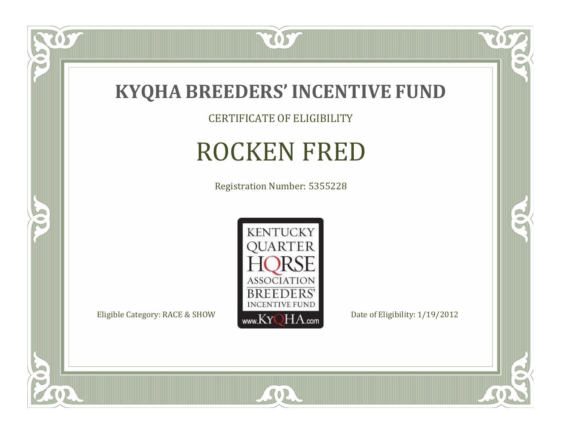

CERTIFICATE OF ELIGIBILITY

# ROCKEN FRED

Registration Number: 5355228



SOR

 $\mathbb{R}$ 

CO.

tos

 $\bullet$ N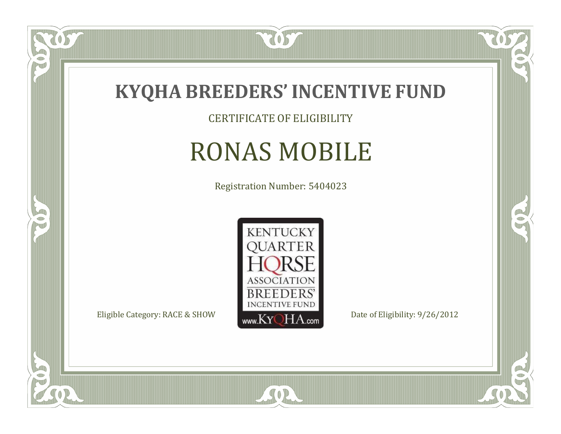

CERTIFICATE OF ELIGIBILITY

## RONAS MOBILE

Registration Number: 5404023



SOR

 $\mathbb{R}$ 

 $\rightarrow$ 

US

 $\bullet$ NU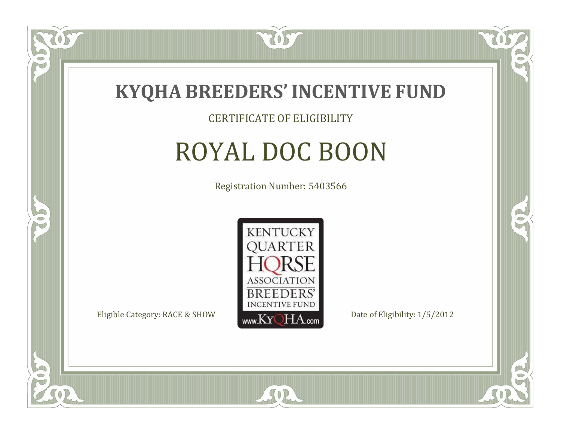

#### CERTIFICATE OF ELIGIBILITY

## ROYAL DOC BOON

Registration Number: 5403566



SOR

RO

B

US

 $\Box$ NU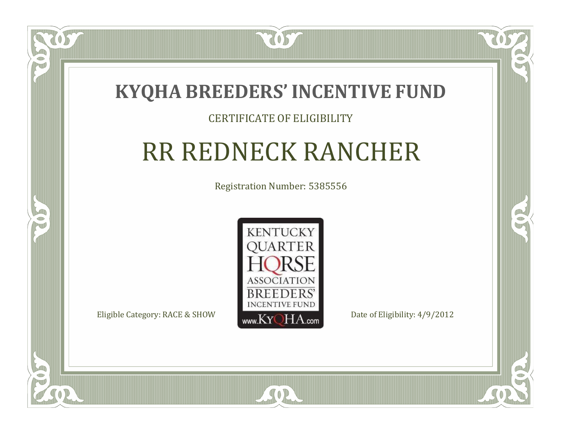

#### CERTIFICATE OF ELIGIBILITY

# RR REDNECK RANCHER

Registration Number: 5385556



SOR

RO

B

 $\Box$ N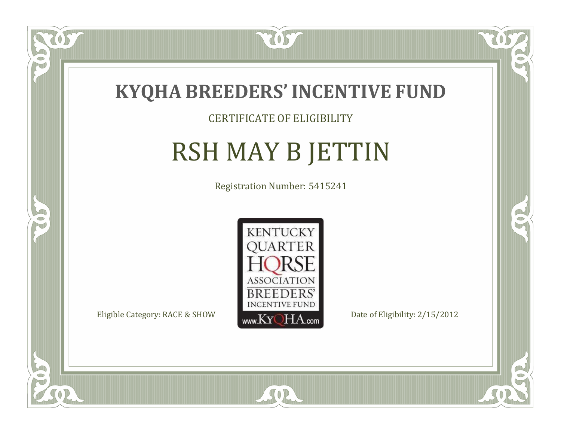

### CERTIFICATE OF ELIGIBILITY

# RSH MAY B JETTIN

Registration Number: 5415241



SOR

RO

B

 $\Box$ N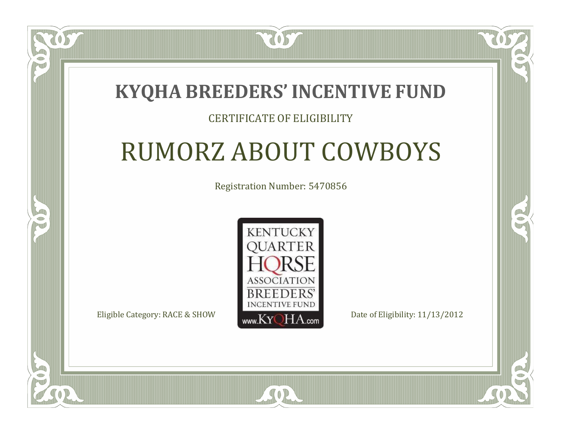### **KYQHA BREEDERS'INCENTIVE FUND**

7057

### CERTIFICATE OF ELIGIBILITY

# RUMORZ ABOUT COWBOYS

Registration Number: 5470856



SOR

RO

P.

 $\Box$ T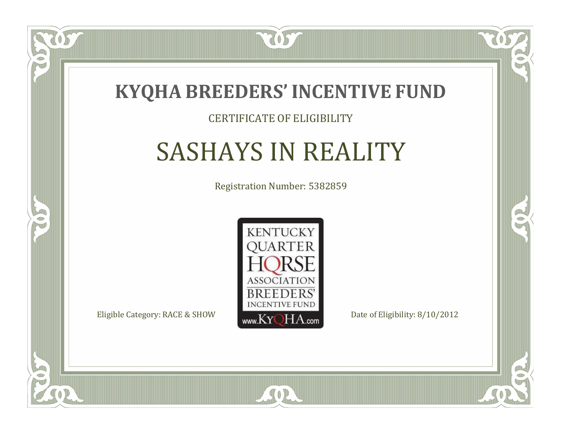

#### CERTIFICATE OF ELIGIBILITY

## SASHAYS IN REALITY

Registration Number: 5382859



SOR

CO.

 $\rightarrow$ 

 $\blacksquare$ N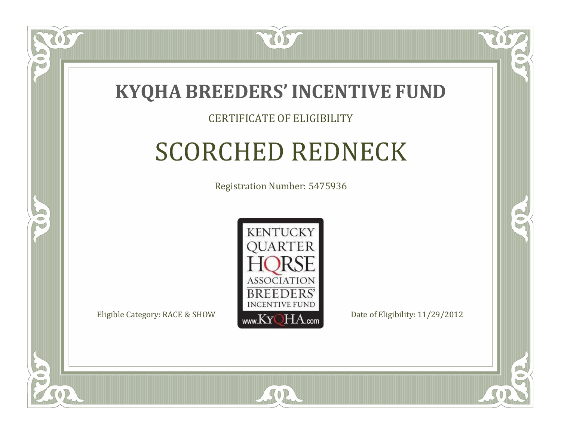

#### CERTIFICATE OF ELIGIBILITY

# SCORCHED REDNECK

Registration Number: 5475936



SOR

RO

P.

 $\Box$ N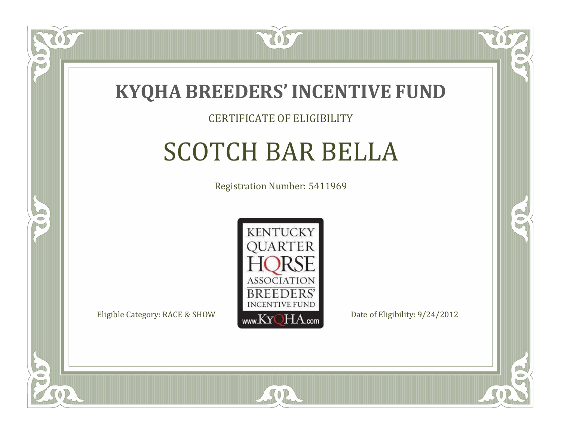

#### CERTIFICATE OF ELIGIBILITY

### SCOTCH BAR BELLA

Registration Number: 5411969



SOR

RO

B

 $\Box$ N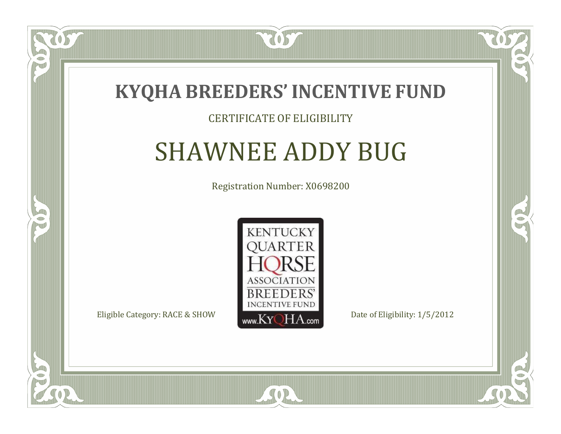

#### CERTIFICATE OF ELIGIBILITY

### SHAWNEE ADDY BUG

Registration Number: X0698200



SOR

RO

B

 $\blacksquare$ N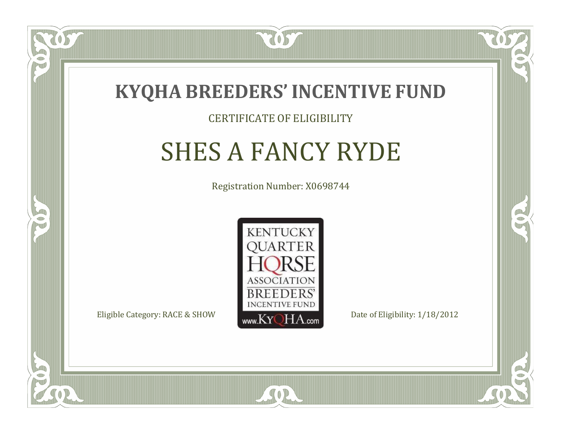

#### CERTIFICATE OF ELIGIBILITY

### SHES A FANCY RYDE

Registration Number: X0698744



SOR

RO

CO.

 $\Box$ N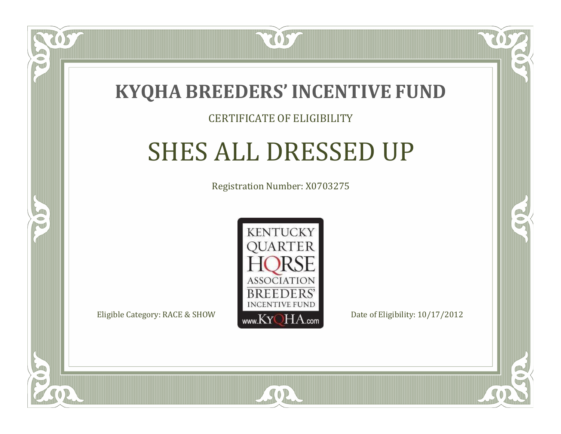

 $\Box$ N

S

#### CERTIFICATE OF ELIGIBILITY

### SHES ALL DRESSED UP

Registration Number: X0703275



 $SO<sub>2</sub>$ 

RO

CO.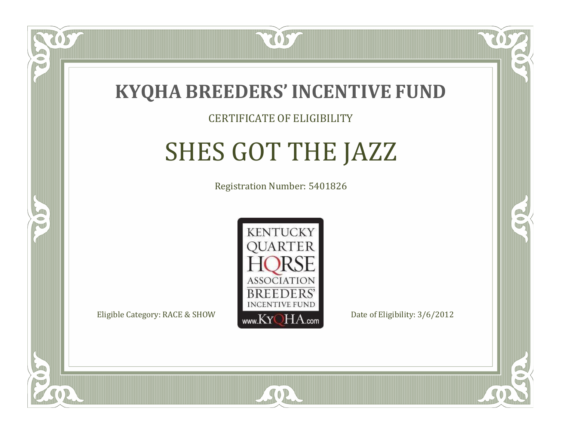

#### CERTIFICATE OF ELIGIBILITY

# SHES GOT THE JAZZ

Registration Number: 5401826



SOR

RO

B.

 $\Box$ N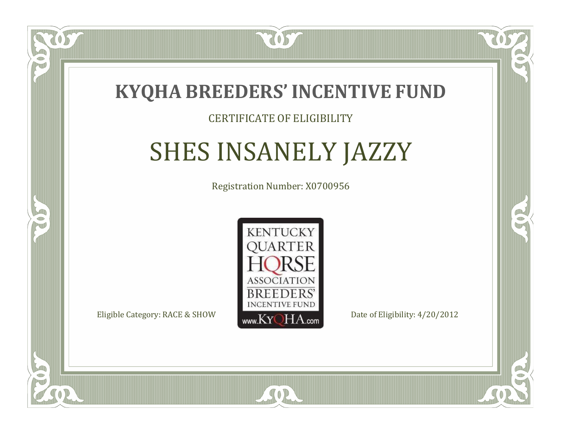

#### CERTIFICATE OF ELIGIBILITY

# SHES INSANELY JAZZY

Registration Number: X0700956



SOR

RO

CO.

 $\Box$ N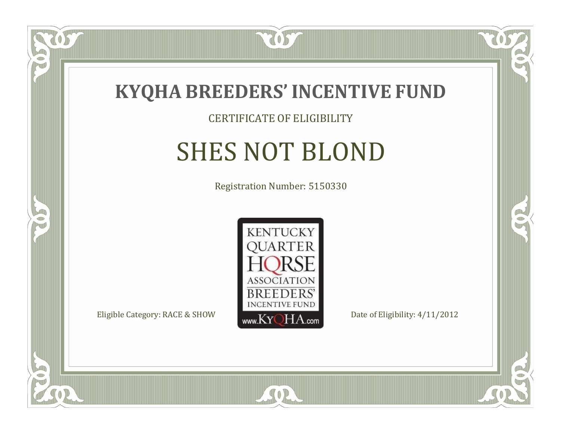

### CERTIFICATE OF ELIGIBILITY

# SHES NOT BLOND

Registration Number: 5150330



CO.

 $\rightarrow$ 

057

 $\Box$ NU

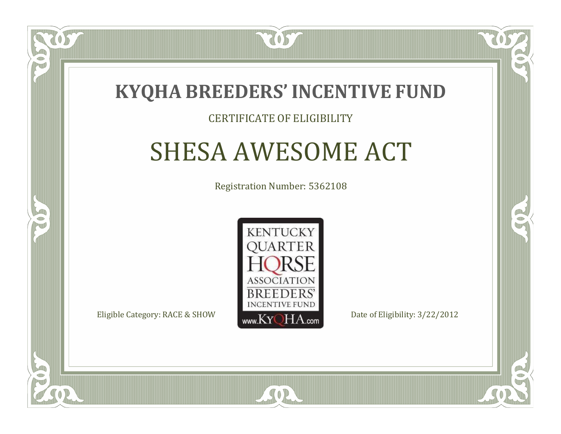

#### CERTIFICATE OF ELIGIBILITY

### SHESA AWESOME ACT

Registration Number: 5362108



SOR

RO

CO.

 $\Box$ T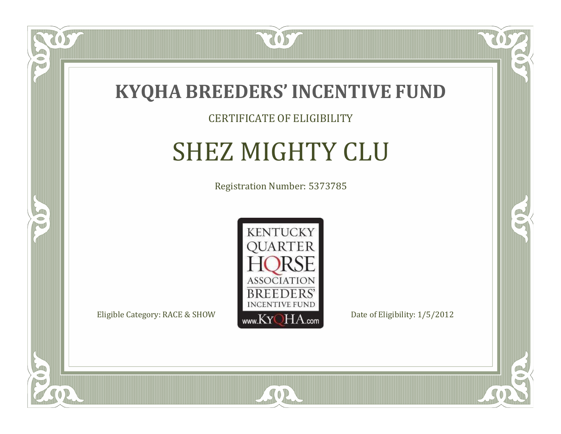

#### CERTIFICATE OF ELIGIBILITY

# SHEZ MIGHTY CLU

Registration Number: 5373785



SOR

CO.

 $\rightarrow$ 

OS

 $\bullet$ NU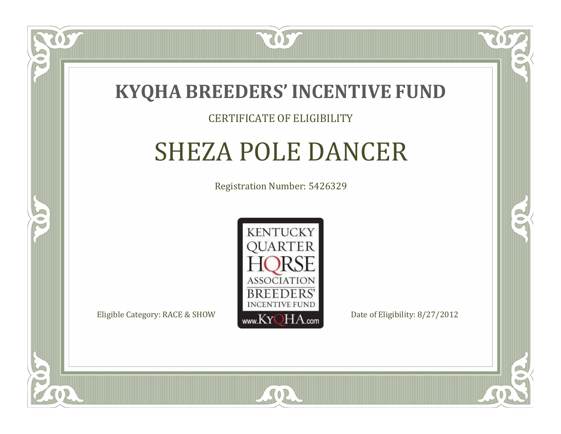

#### CERTIFICATE OF ELIGIBILITY

### SHEZA POLE DANCER

Registration Number: 5426329



RO

CO.

 $\Box$ N

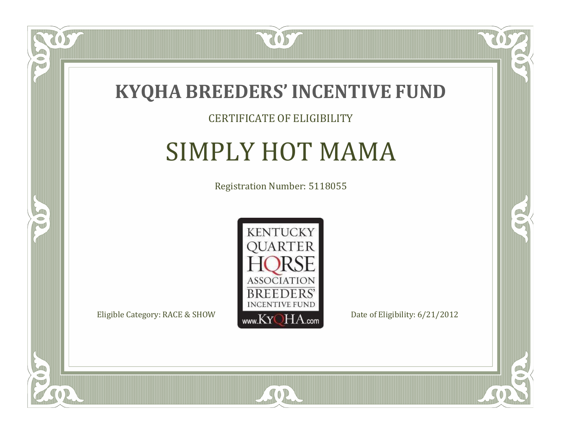

#### CERTIFICATE OF ELIGIBILITY

### SIMPLY HOT MAMA

Registration Number: 5118055



SOR

CO.

 $\rightarrow$ 

057

 $\Box$ NU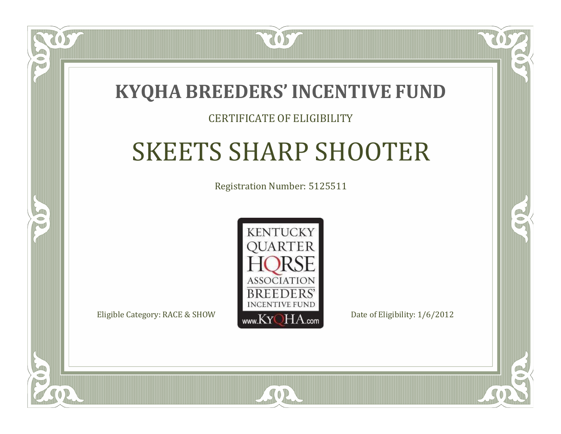

#### CERTIFICATE OF ELIGIBILITY

## SKEETS SHARP SHOOTER

Registration Number: 5125511



SOR

RO

CO.

 $\Box$ T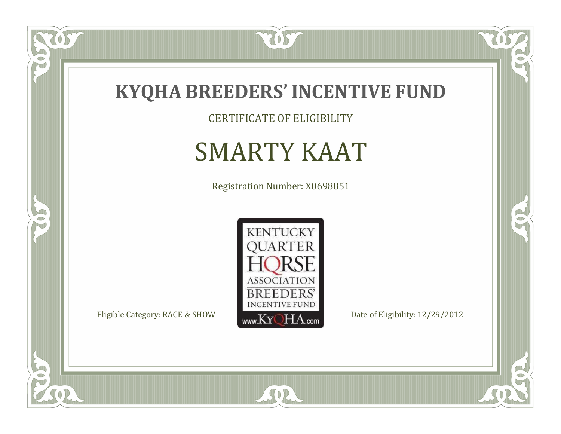

TOST

CERTIFICATE OF ELIGIBILITY

# SMARTY KAAT

Registration Number: X0698851



SOR

CO.

 $\mathbb{R}^2$ 

US

 $\bullet$ NU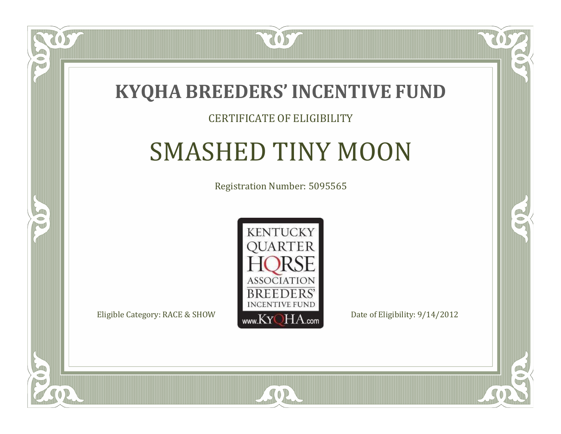

#### CERTIFICATE OF ELIGIBILITY

### SMASHED TINY MOON

Registration Number: 5095565



SOR

CO.

 $\rightarrow$ 

 $\blacksquare$ N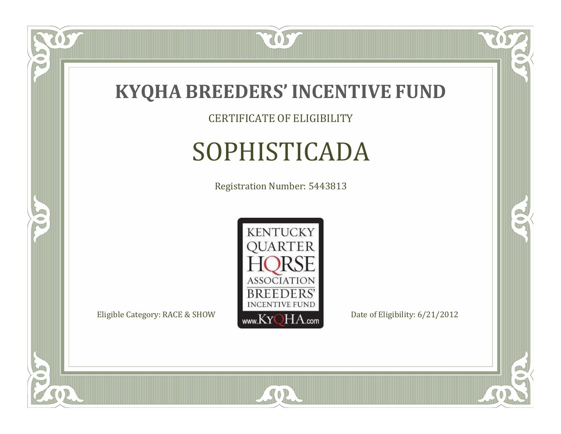

CERTIFICATE OF ELIGIBILITY

# SOPHISTICADA

Registration Number: 5443813



SOR

 $\mathbb{R}$ 

 $\rightarrow$ 

 $\delta S$ 

 $\bullet$ NU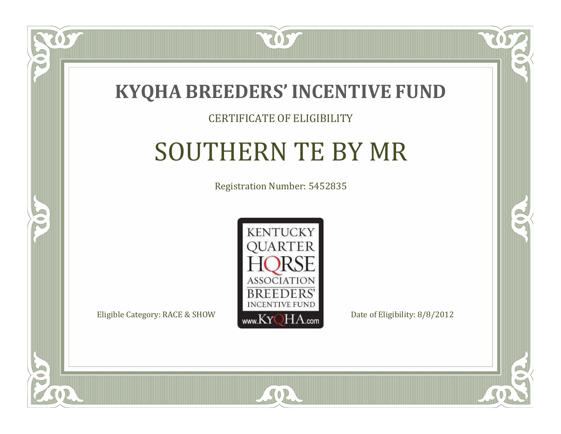

#### CERTIFICATE OF ELIGIBILITY

### SOUTHERN TE BY MR

Registration Number: 5452835



SOR

CO.

 $\rightarrow$ 

 $\Box$ N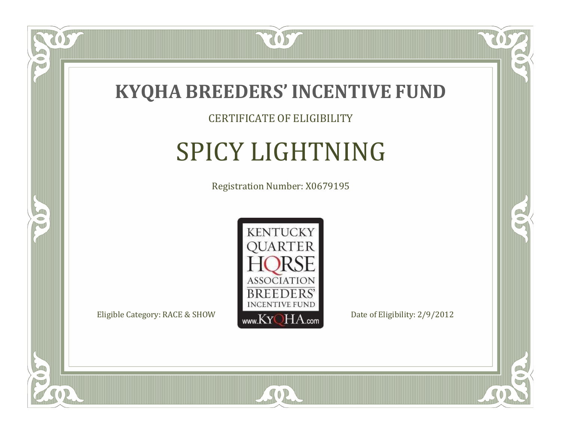

CERTIFICATE OF ELIGIBILITY

# SPICY LIGHTNING

Registration Number: X0679195



SOR

CO.

 $\rightarrow$ 

OS

 $\Box$ NU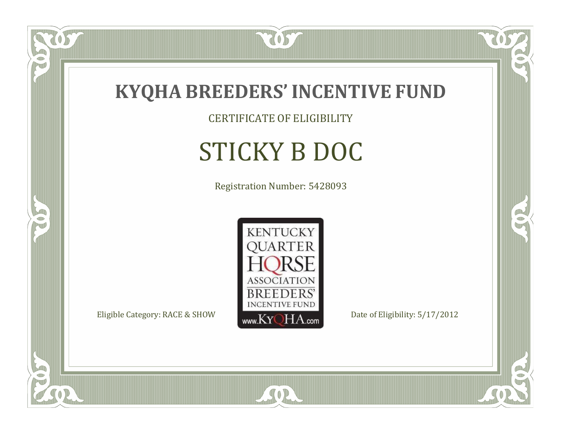

CERTIFICATE OF ELIGIBILITY

# STICKY B DOC

Registration Number: 5428093



SOR

CO.

 $\rightarrow$ 

057

 $\bullet$ NU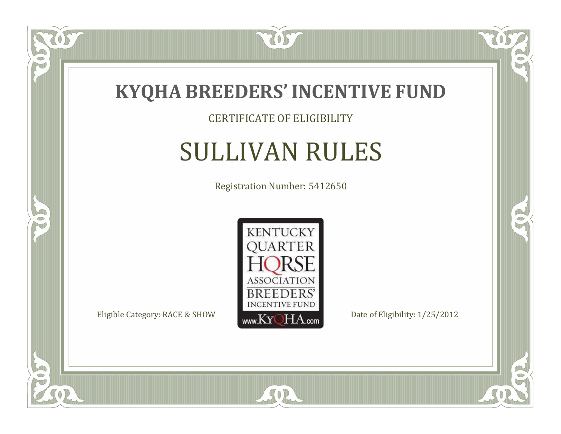

CERTIFICATE OF ELIGIBILITY

### SULLIVAN RULES

Registration Number: 5412650



SOR

CO.

 $\rightarrow$ 

US

 $\bullet$ NU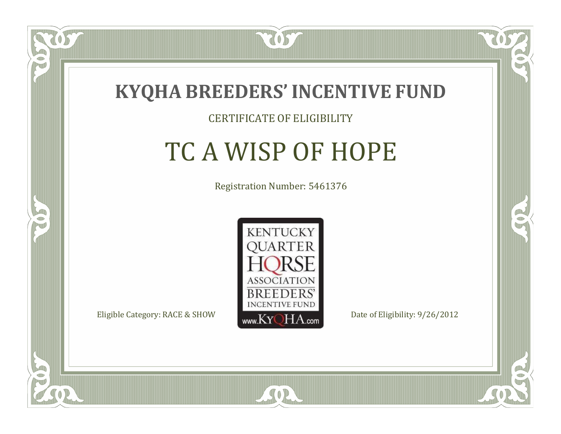

#### CERTIFICATE OF ELIGIBILITY

# TC A WISP OF HOPE

Registration Number: 5461376



SOR

RO

B

 $\Box$ N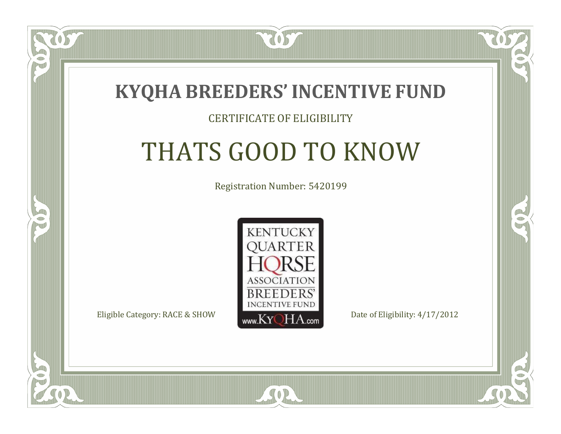

#### CERTIFICATE OF ELIGIBILITY

# THATS GOOD TO KNOW

Registration Number: 5420199



SOR

 $\Box$ N

S

CO.

B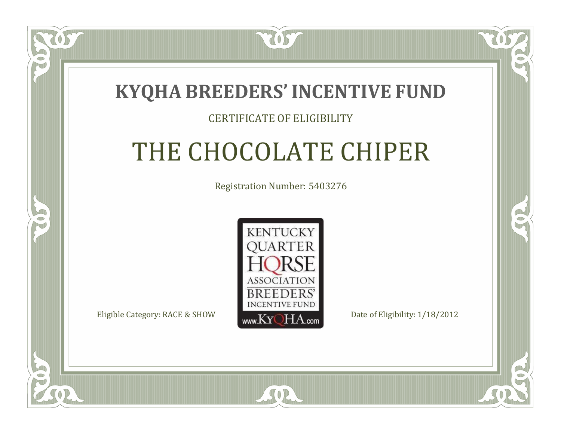

#### CERTIFICATE OF ELIGIBILITY

# THE CHOCOLATE CHIPER

Registration Number: 5403276



SOR

RO

P.

 $\Box$ T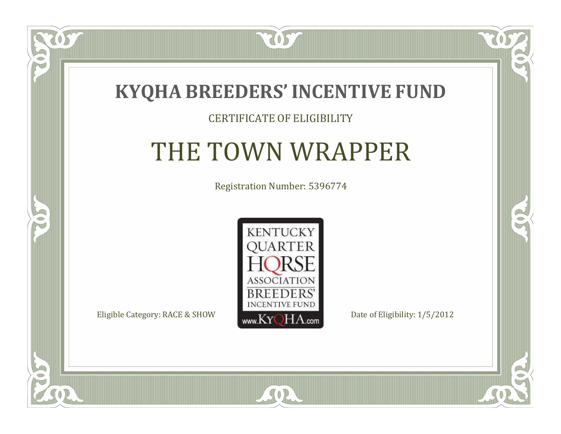

#### CERTIFICATE OF ELIGIBILITY

### THE TOWN WRAPPER

Registration Number: 5396774



CO.

 $\rightarrow$ 

 $\Box$ N

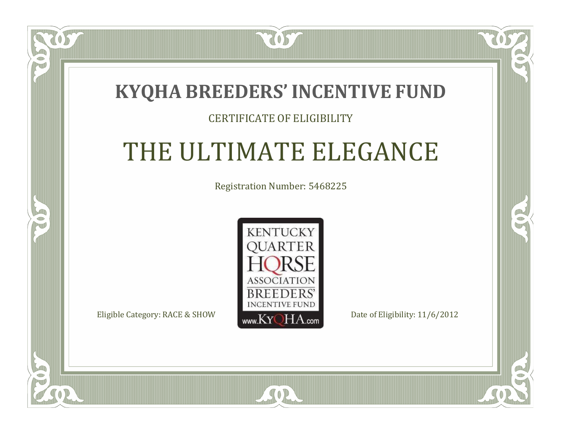### **KYQHA BREEDERS'INCENTIVE FUND**

7057

 $\blacksquare$ N

S

### CERTIFICATE OF ELIGIBILITY

# THE ULTIMATE ELEGANCE

Registration Number: 5468225



SOR

RO

 $\rightarrow$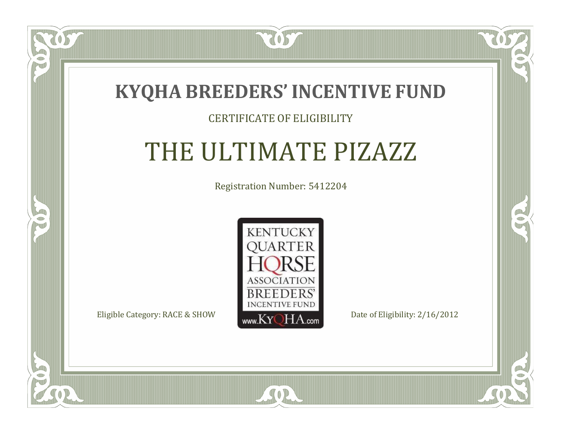

#### CERTIFICATE OF ELIGIBILITY

### THE ULTIMATE PIZAZZ

Registration Number: 5412204



SOR

CO.

 $\rightarrow$ 

ÒS

 $\Box$ NU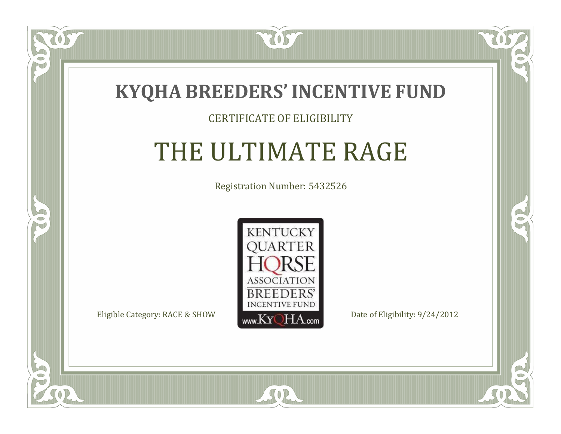

#### CERTIFICATE OF ELIGIBILITY

# THE ULTIMATE RAGE

Registration Number: 5432526



CO.

 $\rightarrow$ 

 $\Box$ N

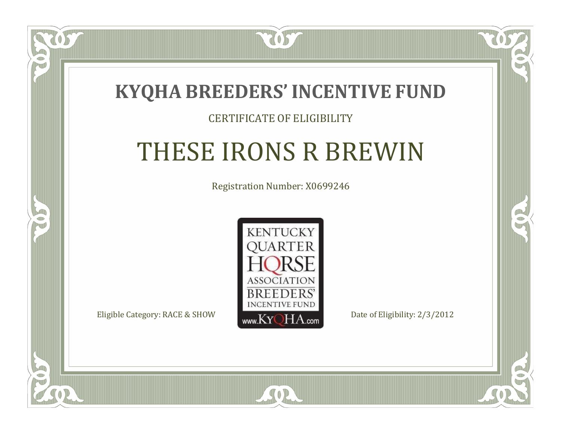

#### CERTIFICATE OF ELIGIBILITY

## THESE IRONS R BREWIN

Registration Number: X0699246



SOR

RO

CO.

 $\Box$ N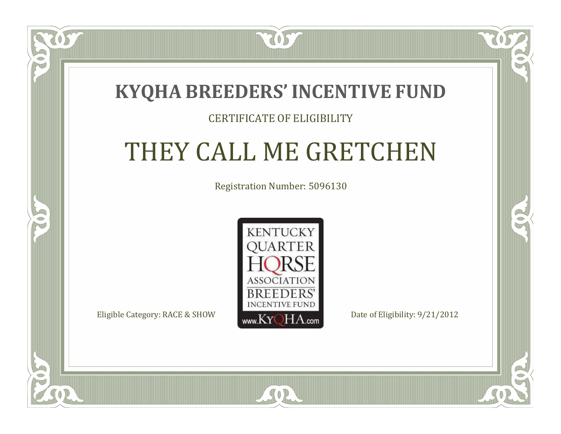### **KYQHA BREEDERS'INCENTIVE FUND**

7057

### CERTIFICATE OF ELIGIBILITY

# THEY CALL ME GRETCHEN

Registration Number: 5096130



SOR

CO.

 $\rightarrow$ 

 $\Box$ N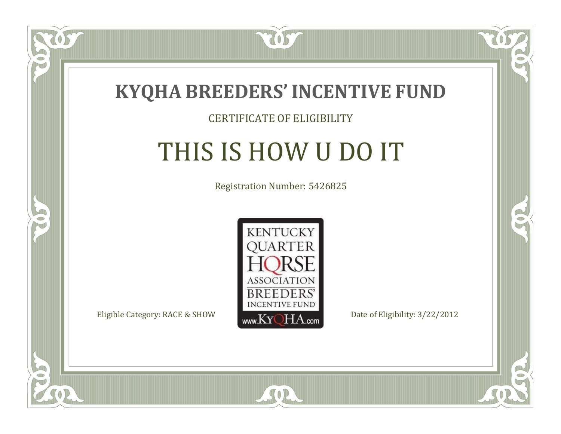

#### CERTIFICATE OF ELIGIBILITY

# THIS IS HOW U DO IT

Registration Number: 5426825



SOR

RO

B

 $\Box$ N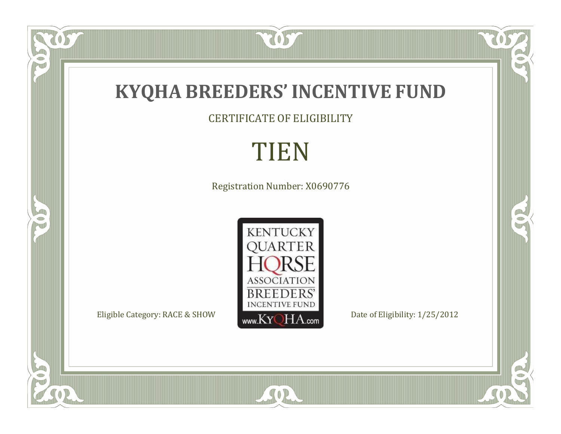

CERTIFICATE OF ELIGIBILITY

### TIEN

Registration Number: X0690776



SOR

RO

 $\mathbb{R}^2$ 

 $\overline{OS}$ 

FO

SC

 $\overline{\mathbb{C}}$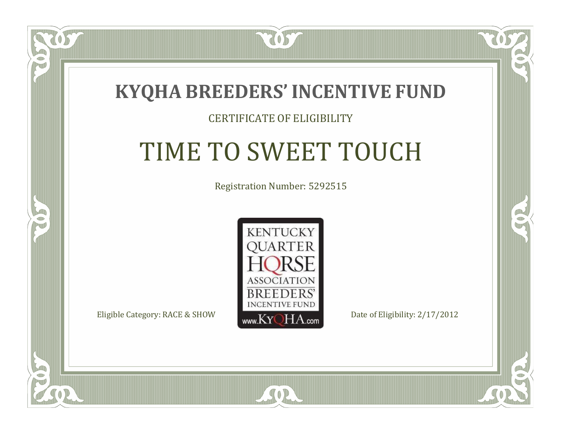

#### CERTIFICATE OF ELIGIBILITY

# TIME TO SWEET TOUCH

Registration Number: 5292515



CO.

 $\rightarrow$ 

 $\blacksquare$ N

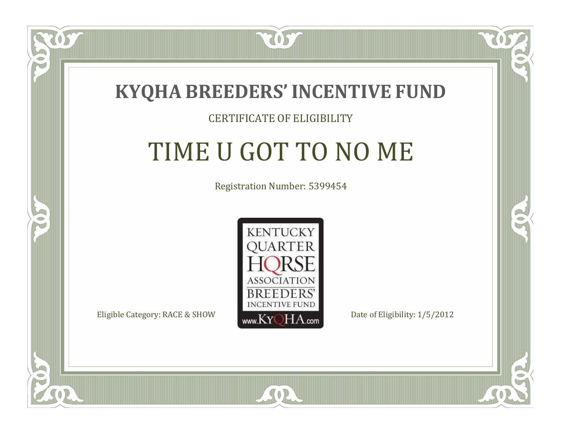

### CERTIFICATE OF ELIGIBILITY

# TIME U GOT TO NO ME

Registration Number: 5399454



 $SO2$ 

RO

P.

 $\Box$ N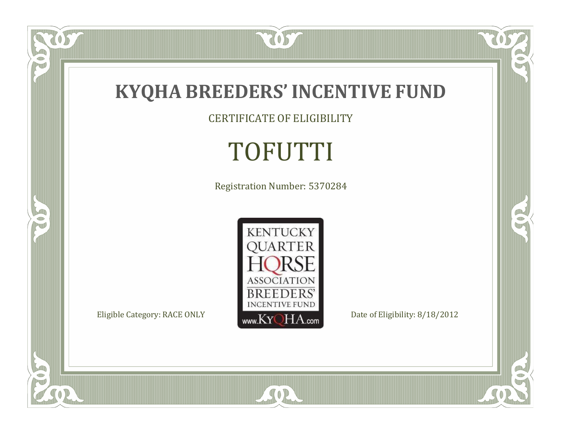

CERTIFICATE OF ELIGIBILITY

# TOFUTTI

Registration Number: 5370284



SOR

 $\mathbb{R}$ 

 $\mathbb{R}^2$ 

US.

P

5

 $\overline{\mathbb{C}}$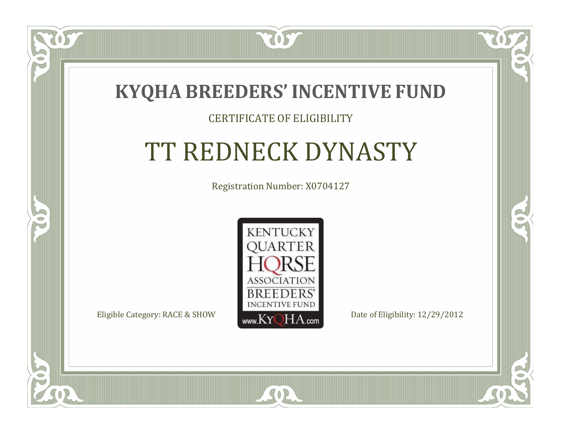

### CERTIFICATE OF ELIGIBILITY

# TT REDNECK DYNASTY

Registration Number: X0704127



SOR

 $\mathbb{R}^2$ 

 $\rightarrow$ 

 $\Box$ N

S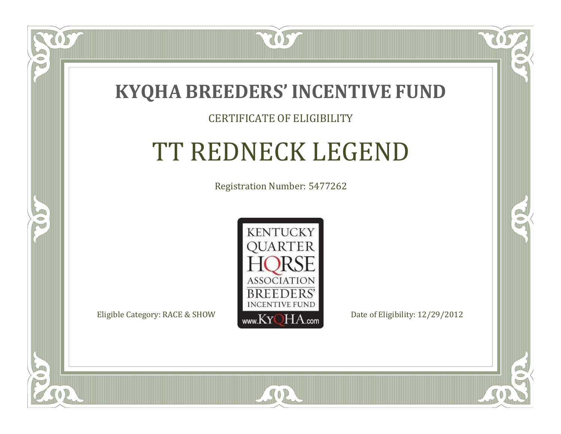

#### CERTIFICATE OF ELIGIBILITY

# TT REDNECK LEGEND

Registration Number: 5477262



CO.

 $\rightarrow$ 

 $\blacksquare$ N

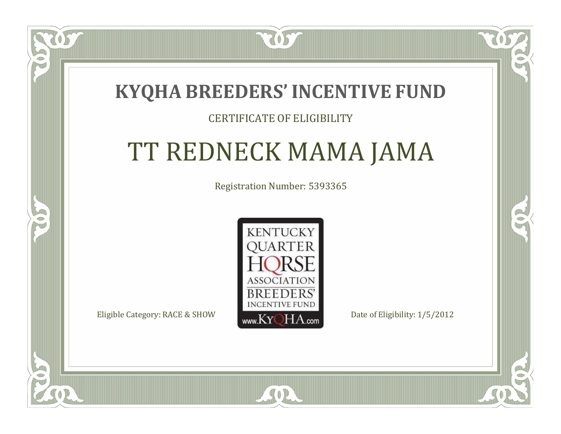### **KYQHA BREEDERS'INCENTIVE FUND**

7057

### CERTIFICATE OF ELIGIBILITY

# TT REDNECK MAMA JAMA

Registration Number: 5393365



RO

A.

 $\Box$ N

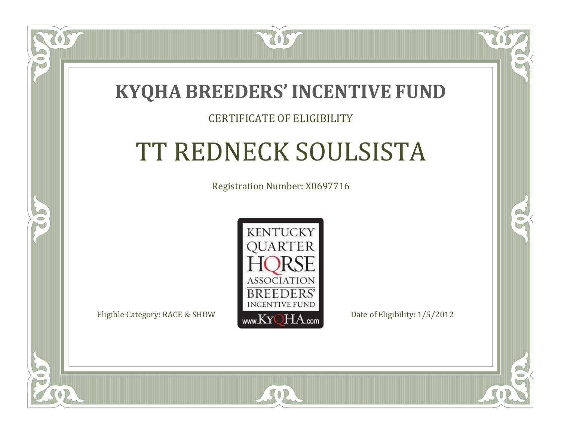### **KYQHA BREEDERS'INCENTIVE FUND**

7057

### CERTIFICATE OF ELIGIBILITY

# TT REDNECK SOULSISTA

Registration Number: X0697716



 $SO<sub>2</sub>$ 

CO.

P.

 $\Box$ T

S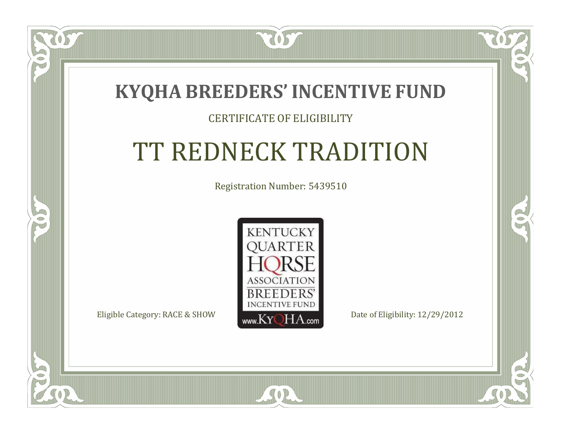

### CERTIFICATE OF ELIGIBILITY

# TT REDNECK TRADITION

Registration Number: 5439510



SOR

 $\mathbb{R}^2$ 

 $\rightarrow$ 

 $\Box$ N

S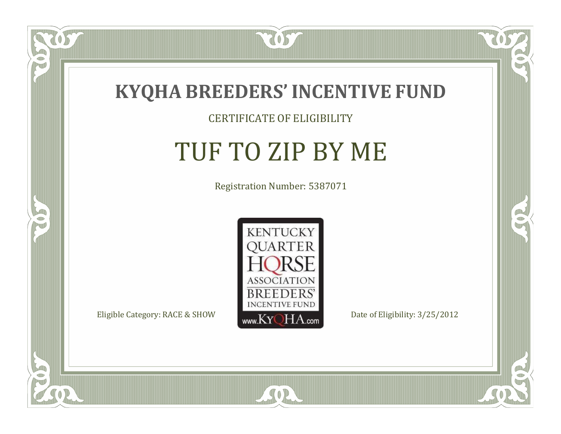

### CERTIFICATE OF ELIGIBILITY

# TUF TO ZIP BY ME

Registration Number: 5387071



SOR

 $\delta S$ 

 $\bullet$ NU

5

CO.

 $\rightarrow$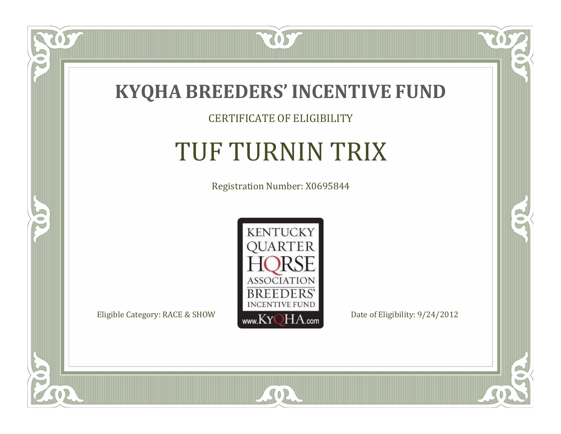

CERTIFICATE OF ELIGIBILITY

# TUF TURNIN TRIX

Registration Number: X0695844



SOR

 $\mathbb{R}$ 

 $\rightarrow$ 

 $\overline{OS}$ 

 $\bullet$ NU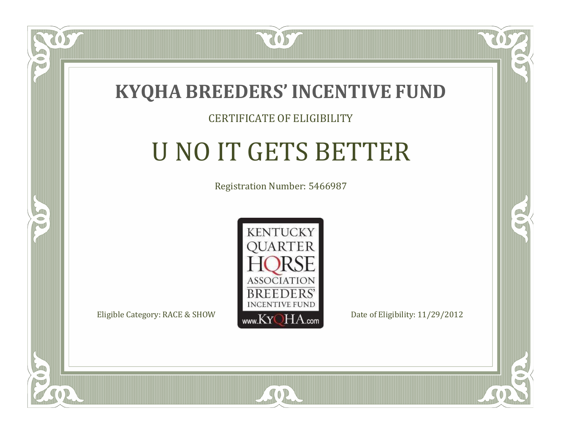

 $\Box$ N

5

#### CERTIFICATE OF ELIGIBILITY

# U NO IT GETS BETTER

Registration Number: 5466987



SOR

CO.

B)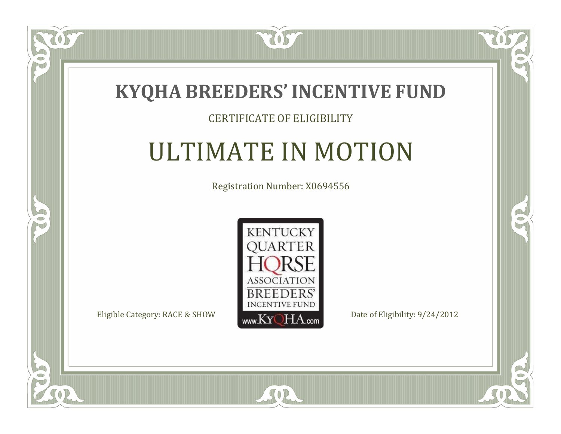

### CERTIFICATE OF ELIGIBILITY

# ULTIMATE IN MOTION

Registration Number: X0694556



 $SO2$ 

CO.

 $\rightarrow$ 

ÒS

 $\Box$ NU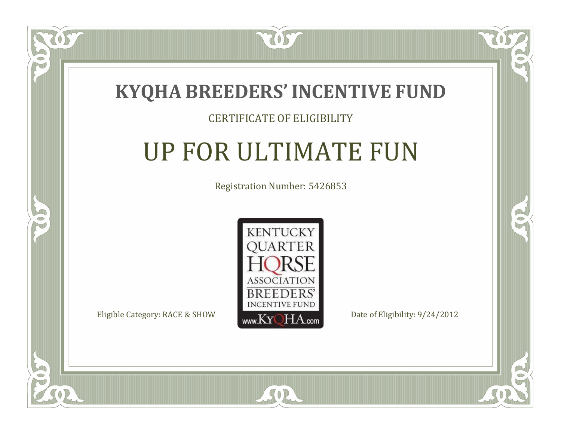

### CERTIFICATE OF ELIGIBILITY

# UP FOR ULTIMATE FUN

Registration Number: 5426853



SOR

CO.

 $\rightarrow$ 

 $\Box$ NU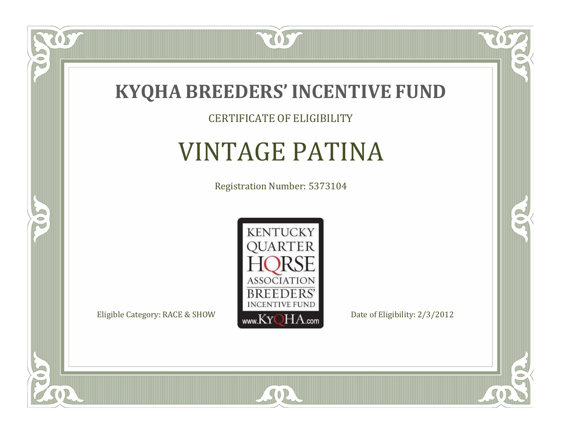

### CERTIFICATE OF ELIGIBILITY

# VINTAGE PATINA

Registration Number: 5373104



SOR

 $\mathbb{R}$ 

 $\rightarrow$ 

057

 $\bullet$ NU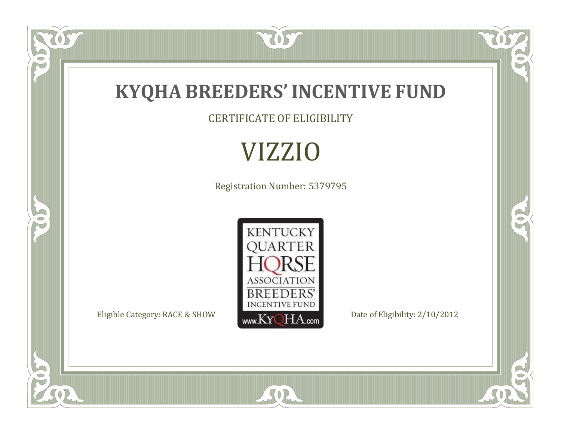

CERTIFICATE OF ELIGIBILITY

VIZZIO

Registration Number: 5379795



SOR

RO

 $\mathbb{R}^2$ 

OST

FO

5

 $\overline{\mathbb{C}}$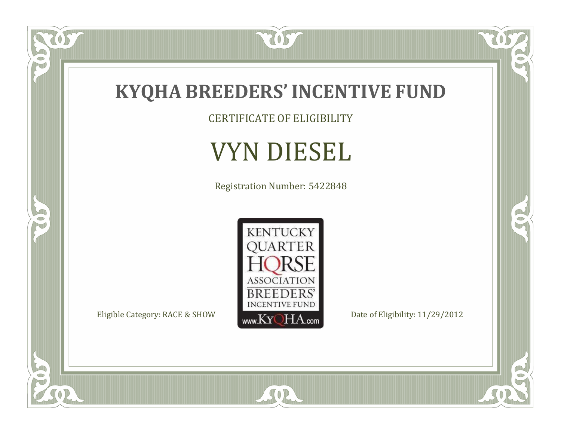

CERTIFICATE OF ELIGIBILITY

# VYN DIESEL

Registration Number: 5422848



SOR

 $\mathbb{R}$ 

 $\mathbb{R}^2$ 

OS.

 $\bullet$ N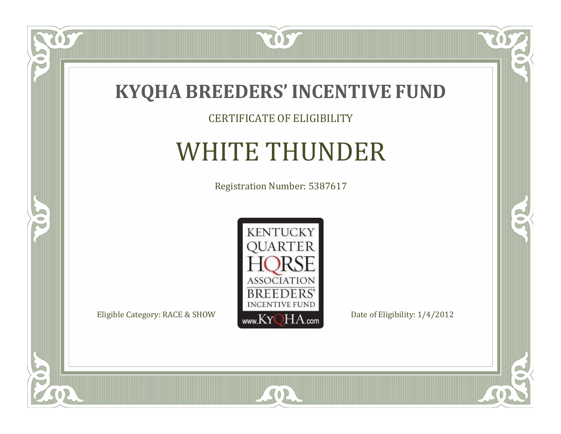

CERTIFICATE OF ELIGIBILITY

# WHITE THUNDER

Registration Number: 5387617



SOR

 $\mathbb{R}$ 

R

 $\overline{OS}$ 

 $\bullet$ NU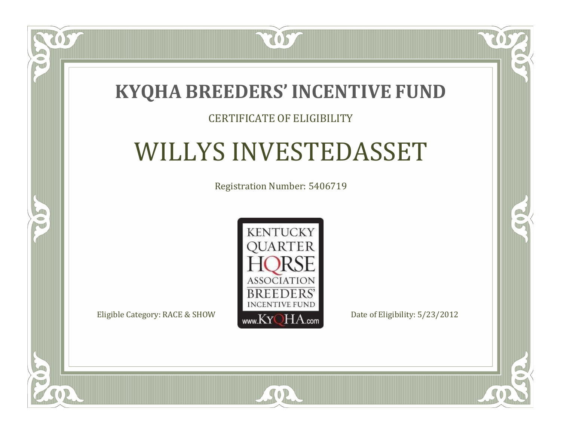

### CERTIFICATE OF ELIGIBILITY

### WILLYS INVESTEDASSET

Registration Number: 5406719



SOR

CO.

 $\rightarrow$ 

 $\blacksquare$ N

S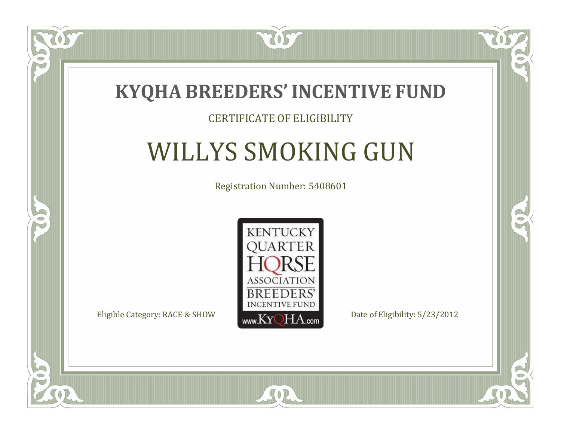

### CERTIFICATE OF ELIGIBILITY

# WILLYS SMOKING GUN

Registration Number: 5408601



SOR

CO.

B)

 $\Box$ N

S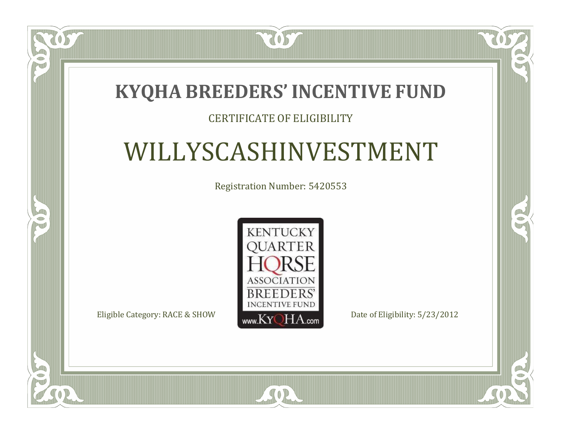### **KYQHA BREEDERS'INCENTIVE FUND**

7057

### CERTIFICATE OF ELIGIBILITY

# WILLYSCASHINVESTMENT

Registration Number: 5420553



SOR

 $\mathbb{R}$ 

R

 $\blacksquare$ N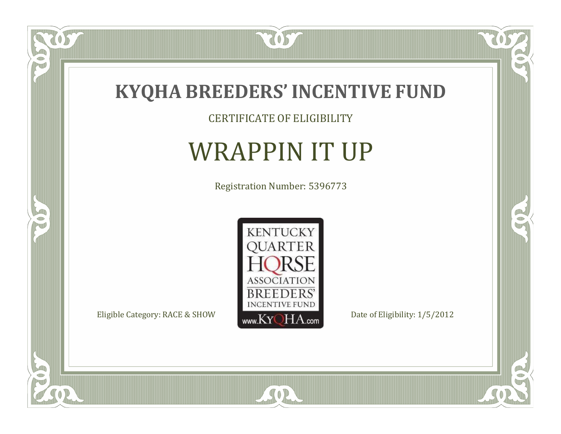

CERTIFICATE OF ELIGIBILITY

# WRAPPIN IT UP

Registration Number: 5396773



SOR

 $\mathbb{R}$ 

 $\mathbb{R}^2$ 

 $\overline{OS}$ 

 $\bullet$ N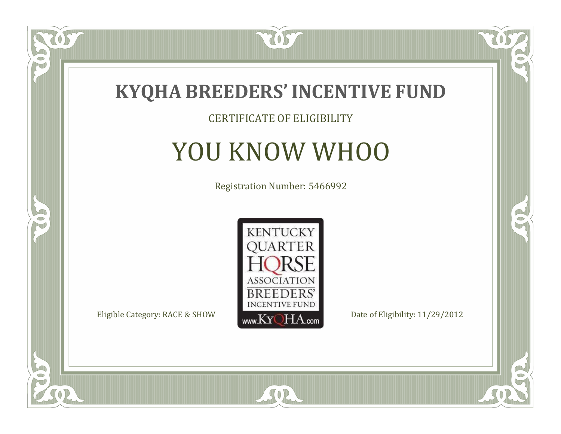

### CERTIFICATE OF ELIGIBILITY

# YOU KNOW WHOO

Registration Number: 5466992



SOR

 $\mathbb{R}$ 

 $\rightarrow$ 

US

 $\Box$ NU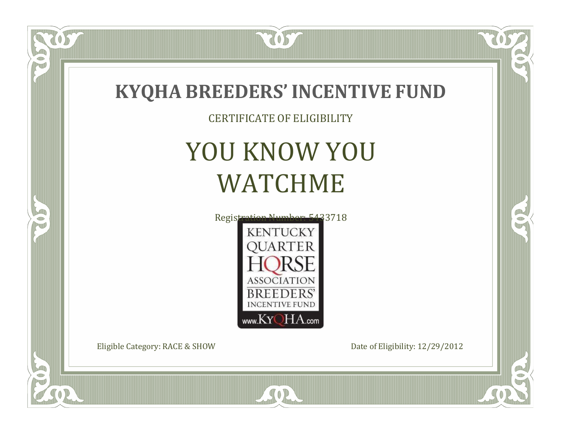

SOR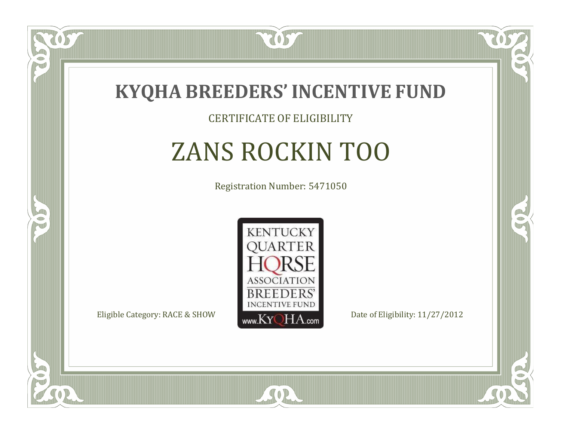

#### CERTIFICATE OF ELIGIBILITY

# ZANS ROCKIN TOO

Registration Number: 5471050



 $SO2$ 

CO.

B)

 $\Box$ N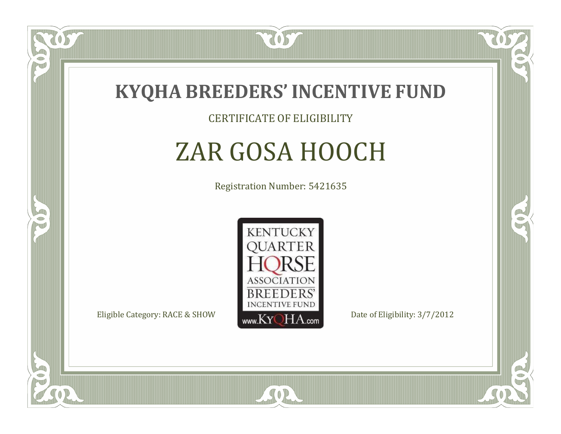

CERTIFICATE OF ELIGIBILITY

# ZAR GOSA HOOCH

Registration Number: 5421635



SOR

RO

B)

 $\Box$ N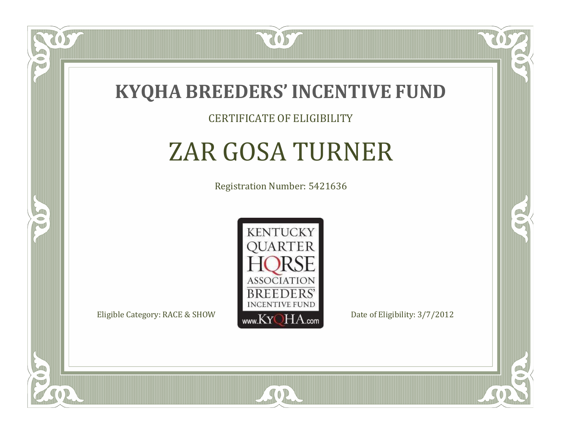

#### CERTIFICATE OF ELIGIBILITY

# ZAR GOSA TURNER

Registration Number: 5421636



SOR

RO

B)

 $\Box$ N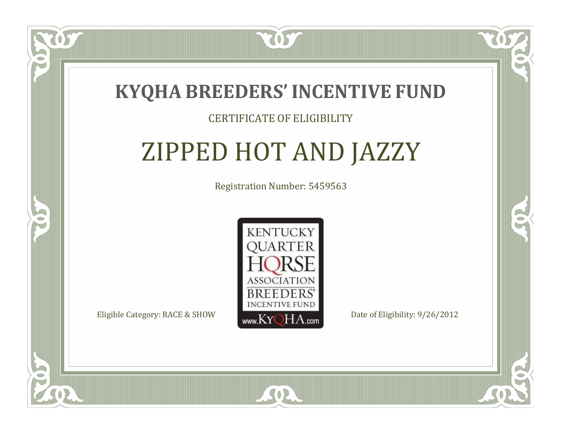

### CERTIFICATE OF ELIGIBILITY

# ZIPPED HOT AND JAZZY

Registration Number: 5459563



SOR

RO

B.

 $\Box$ N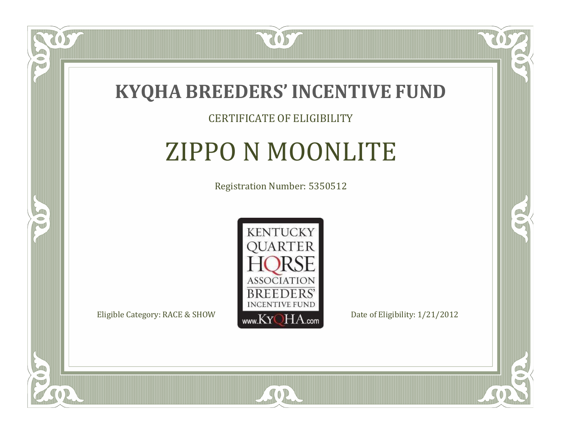

### CERTIFICATE OF ELIGIBILITY

### ZIPPO N MOONLITE

Registration Number: 5350512



SOR

CO.

B)

 $\Box$ N